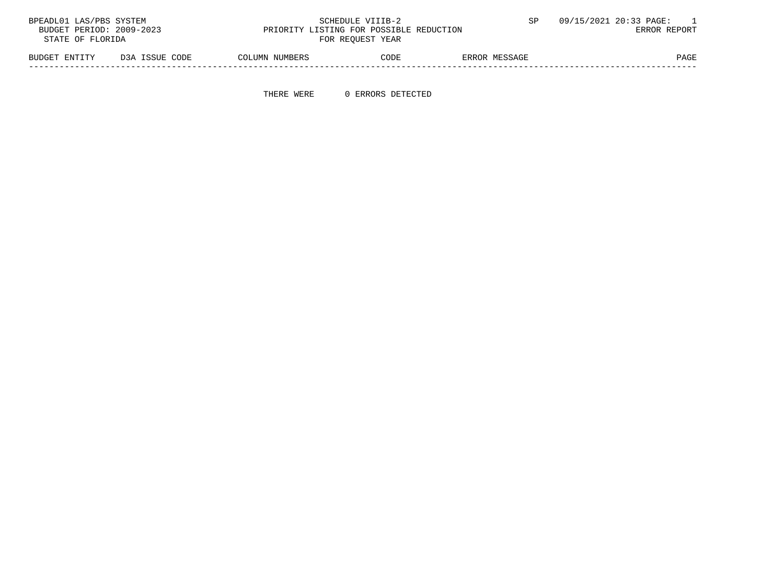| BPEADL01 LAS/PBS SYSTEM  |                |                | SCHEDULE VIIIB-2                        |               | 09/15/2021 20:33 PAGE: |
|--------------------------|----------------|----------------|-----------------------------------------|---------------|------------------------|
| BUDGET PERIOD: 2009-2023 |                |                | PRIORITY LISTING FOR POSSIBLE REDUCTION |               | ERROR REPORT           |
| STATE OF FLORIDA         |                |                | FOR REOUEST YEAR                        |               |                        |
| BUDGET ENTITY            | D3A ISSUE CODE | COLUMN NUMBERS | CODE                                    | ERROR MESSAGE | PAGE                   |

-----------------------------------------------------------------------------------------------------------------------------------

THERE WERE 0 ERRORS DETECTED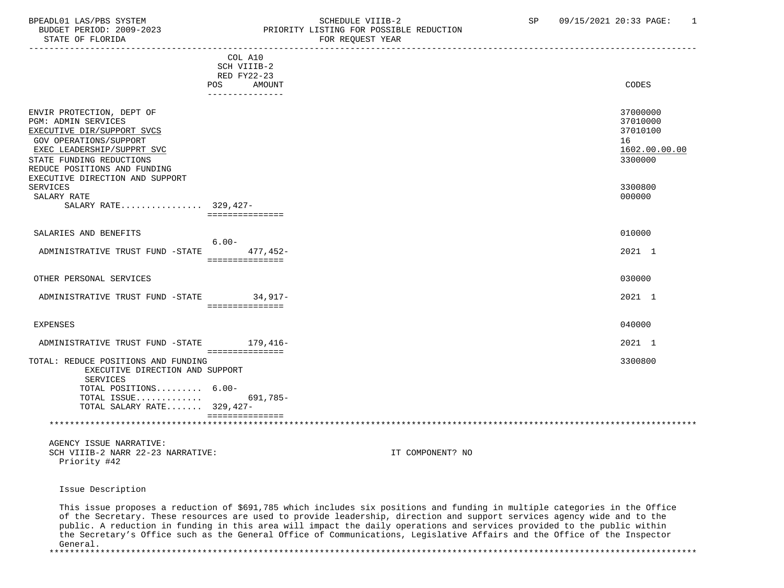#### BPEADL01 LAS/PBS SYSTEM STRING THE SCHEDULE VIIIB-2 SP 09/15/2021 20:33 PAGE: 1 BUDGET PERIOD: 2009-2023<br>
STATE OF FLORIDA<br>
FOR REOUEST YEAR FOR REQUEST YEAR

|                                                                                                                                                                                                                                                                                                 | COL A10<br>SCH VIIIB-2<br>RED FY22-23<br><b>POS</b><br>AMOUNT<br>--------------- | CODES                                                                                   |
|-------------------------------------------------------------------------------------------------------------------------------------------------------------------------------------------------------------------------------------------------------------------------------------------------|----------------------------------------------------------------------------------|-----------------------------------------------------------------------------------------|
| ENVIR PROTECTION, DEPT OF<br><b>PGM: ADMIN SERVICES</b><br>EXECUTIVE DIR/SUPPORT SVCS<br>GOV OPERATIONS/SUPPORT<br>EXEC LEADERSHIP/SUPPRT SVC<br>STATE FUNDING REDUCTIONS<br>REDUCE POSITIONS AND FUNDING<br>EXECUTIVE DIRECTION AND SUPPORT<br>SERVICES<br>SALARY RATE<br>SALARY RATE 329,427- | ===============                                                                  | 37000000<br>37010000<br>37010100<br>16<br>1602.00.00.00<br>3300000<br>3300800<br>000000 |
| SALARIES AND BENEFITS<br>ADMINISTRATIVE TRUST FUND -STATE                                                                                                                                                                                                                                       | $6.00 -$<br>477.452-<br>===============                                          | 010000<br>2021 1                                                                        |
| OTHER PERSONAL SERVICES                                                                                                                                                                                                                                                                         |                                                                                  | 030000                                                                                  |
| ADMINISTRATIVE TRUST FUND -STATE 34,917-                                                                                                                                                                                                                                                        | ===============                                                                  | 2021 1                                                                                  |
| EXPENSES                                                                                                                                                                                                                                                                                        |                                                                                  | 040000                                                                                  |
| ADMINISTRATIVE TRUST FUND -STATE                                                                                                                                                                                                                                                                | 179,416-                                                                         | 2021 1                                                                                  |
| TOTAL: REDUCE POSITIONS AND FUNDING<br>EXECUTIVE DIRECTION AND SUPPORT<br><b>SERVICES</b><br>TOTAL POSITIONS 6.00-<br>TOTAL ISSUE<br>TOTAL SALARY RATE 329,427-                                                                                                                                 | ===============<br>691,785-<br>===============                                   | 3300800                                                                                 |
|                                                                                                                                                                                                                                                                                                 |                                                                                  |                                                                                         |
| AGENCY ISSUE NARRATIVE:                                                                                                                                                                                                                                                                         |                                                                                  |                                                                                         |

SCH VIIIB-2 NARR 22-23 NARRATIVE: IT COMPONENT? NO Priority #42

Issue Description

 This issue proposes a reduction of \$691,785 which includes six positions and funding in multiple categories in the Office of the Secretary. These resources are used to provide leadership, direction and support services agency wide and to the public. A reduction in funding in this area will impact the daily operations and services provided to the public within the Secretary's Office such as the General Office of Communications, Legislative Affairs and the Office of the Inspector General.

\*\*\*\*\*\*\*\*\*\*\*\*\*\*\*\*\*\*\*\*\*\*\*\*\*\*\*\*\*\*\*\*\*\*\*\*\*\*\*\*\*\*\*\*\*\*\*\*\*\*\*\*\*\*\*\*\*\*\*\*\*\*\*\*\*\*\*\*\*\*\*\*\*\*\*\*\*\*\*\*\*\*\*\*\*\*\*\*\*\*\*\*\*\*\*\*\*\*\*\*\*\*\*\*\*\*\*\*\*\*\*\*\*\*\*\*\*\*\*\*\*\*\*\*\*\*\*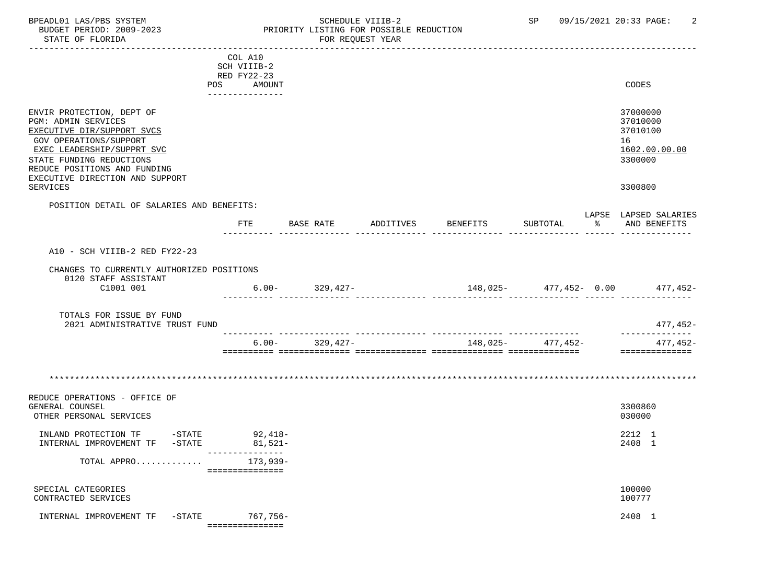#### BPEADL01 LAS/PBS SYSTEM SCHEDULE VIIIB-2 SCHEDULE VIIIB-2 SP 09/15/2021 20:33 PAGE: 2<br>BUDGET PERIOD: 2009-2023 PRIORITY LISTING FOR POSSIBLE REDUCTION BUDGET PERIOD: 2009-2023 PRIORITY LISTING FOR POSSIBLE REDUCTION FOR REQUEST YEAR

|                                           | COL A10                       |                     |                            |                    |                       |
|-------------------------------------------|-------------------------------|---------------------|----------------------------|--------------------|-----------------------|
|                                           | SCH VIIIB-2                   |                     |                            |                    |                       |
|                                           | RED FY22-23                   |                     |                            |                    |                       |
|                                           | POS<br>AMOUNT                 |                     |                            |                    | CODES                 |
|                                           | . _ _ _ _ _ _ _ _ _ _ _ _ _ _ |                     |                            |                    |                       |
|                                           |                               |                     |                            |                    |                       |
|                                           |                               |                     |                            |                    | 37000000              |
| ENVIR PROTECTION, DEPT OF                 |                               |                     |                            |                    |                       |
| PGM: ADMIN SERVICES                       |                               |                     |                            |                    | 37010000              |
| EXECUTIVE DIR/SUPPORT SVCS                |                               |                     |                            |                    | 37010100              |
| <b>GOV OPERATIONS/SUPPORT</b>             |                               |                     |                            |                    | 16                    |
| EXEC LEADERSHIP/SUPPRT SVC                |                               |                     |                            |                    | 1602.00.00.00         |
| STATE FUNDING REDUCTIONS                  |                               |                     |                            |                    | 3300000               |
| REDUCE POSITIONS AND FUNDING              |                               |                     |                            |                    |                       |
| EXECUTIVE DIRECTION AND SUPPORT           |                               |                     |                            |                    |                       |
|                                           |                               |                     |                            |                    |                       |
| SERVICES                                  |                               |                     |                            |                    | 3300800               |
|                                           |                               |                     |                            |                    |                       |
| POSITION DETAIL OF SALARIES AND BENEFITS: |                               |                     |                            |                    |                       |
|                                           |                               |                     |                            |                    | LAPSE LAPSED SALARIES |
|                                           | ETE                           | BASE RATE ADDITIVES | BENEFITS                   | SUBTOTAL           | % AND BENEFITS        |
|                                           |                               |                     |                            |                    |                       |
|                                           |                               |                     |                            |                    |                       |
| A10 - SCH VIIIB-2 RED FY22-23             |                               |                     |                            |                    |                       |
|                                           |                               |                     |                            |                    |                       |
| CHANGES TO CURRENTLY AUTHORIZED POSITIONS |                               |                     |                            |                    |                       |
| 0120 STAFF ASSISTANT                      |                               |                     |                            |                    |                       |
| C1001 001                                 |                               | $6.00 - 329,427 -$  | $148,025 - 477,452 - 0.00$ |                    | 477,452-              |
|                                           |                               |                     |                            |                    |                       |
|                                           |                               |                     |                            |                    |                       |
| TOTALS FOR ISSUE BY FUND                  |                               |                     |                            |                    |                       |
| 2021 ADMINISTRATIVE TRUST FUND            |                               |                     |                            |                    | 477,452-              |
|                                           |                               |                     |                            |                    | ______________        |
|                                           |                               | $6.00 - 329,427 -$  |                            | $148,025 477,452-$ | 477,452-              |
|                                           |                               |                     |                            |                    | ==============        |
|                                           |                               |                     |                            |                    |                       |
|                                           |                               |                     |                            |                    |                       |
|                                           |                               |                     |                            |                    |                       |
|                                           |                               |                     |                            |                    |                       |
| REDUCE OPERATIONS - OFFICE OF             |                               |                     |                            |                    |                       |
|                                           |                               |                     |                            |                    |                       |
| GENERAL COUNSEL                           |                               |                     |                            |                    | 3300860               |
| OTHER PERSONAL SERVICES                   |                               |                     |                            |                    | 030000                |
|                                           |                               |                     |                            |                    |                       |
|                                           |                               |                     |                            |                    | 2212 1                |
|                                           |                               |                     |                            |                    | 2408 1                |
|                                           | ---------------               |                     |                            |                    |                       |
| TOTAL APPRO                               | 173,939-                      |                     |                            |                    |                       |
|                                           | ===============               |                     |                            |                    |                       |
|                                           |                               |                     |                            |                    |                       |
| SPECIAL CATEGORIES                        |                               |                     |                            |                    | 100000                |
| CONTRACTED SERVICES                       |                               |                     |                            |                    | 100777                |
|                                           |                               |                     |                            |                    |                       |
| INTERNAL IMPROVEMENT TF -STATE 767,756-   |                               |                     |                            |                    | 2408 1                |
|                                           | ================              |                     |                            |                    |                       |
|                                           |                               |                     |                            |                    |                       |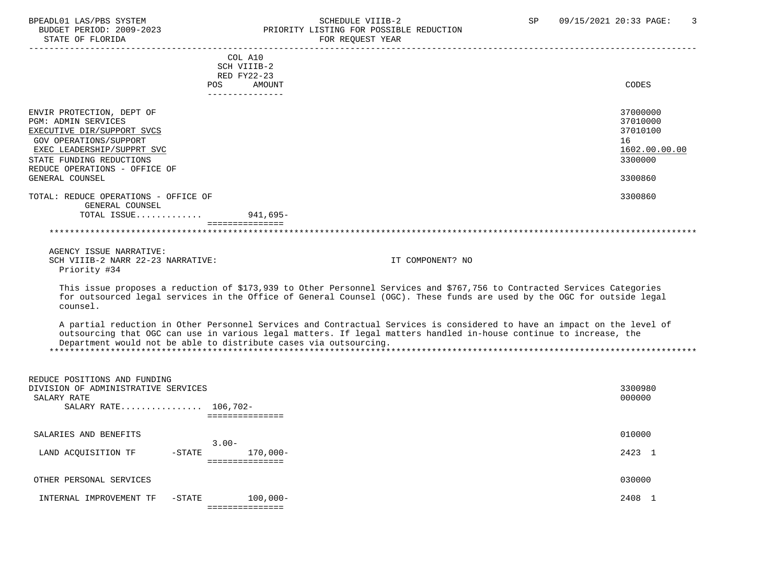# BPEADL01 LAS/PBS SYSTEM SALL SOME SCHEDULE VIIIB-2 SCHEDULE SP 09/15/2021 20:33 PAGE: 3 BUDGET PERIOD: 2009-2023 PRIORITY LISTING FOR POSSIBLE REDUCTION

| STATE OF FLORIDA                                                                                                                                                                                                  | FOR REQUEST YEAR                                                                                                                                                                                                                                                                                                    |                                                                    |
|-------------------------------------------------------------------------------------------------------------------------------------------------------------------------------------------------------------------|---------------------------------------------------------------------------------------------------------------------------------------------------------------------------------------------------------------------------------------------------------------------------------------------------------------------|--------------------------------------------------------------------|
| <b>POS</b>                                                                                                                                                                                                        | COL A10<br>SCH VIIIB-2<br>RED FY22-23<br>AMOUNT                                                                                                                                                                                                                                                                     | CODES                                                              |
|                                                                                                                                                                                                                   | ---------------                                                                                                                                                                                                                                                                                                     |                                                                    |
| ENVIR PROTECTION, DEPT OF<br><b>PGM: ADMIN SERVICES</b><br>EXECUTIVE DIR/SUPPORT SVCS<br><b>GOV OPERATIONS/SUPPORT</b><br>EXEC LEADERSHIP/SUPPRT SVC<br>STATE FUNDING REDUCTIONS<br>REDUCE OPERATIONS - OFFICE OF |                                                                                                                                                                                                                                                                                                                     | 37000000<br>37010000<br>37010100<br>16<br>1602.00.00.00<br>3300000 |
| GENERAL COUNSEL                                                                                                                                                                                                   |                                                                                                                                                                                                                                                                                                                     | 3300860                                                            |
| TOTAL: REDUCE OPERATIONS - OFFICE OF<br>GENERAL COUNSEL                                                                                                                                                           |                                                                                                                                                                                                                                                                                                                     | 3300860                                                            |
| TOTAL ISSUE                                                                                                                                                                                                       | 941,695-<br>===============                                                                                                                                                                                                                                                                                         |                                                                    |
|                                                                                                                                                                                                                   |                                                                                                                                                                                                                                                                                                                     |                                                                    |
|                                                                                                                                                                                                                   |                                                                                                                                                                                                                                                                                                                     |                                                                    |
| AGENCY ISSUE NARRATIVE:<br>SCH VIIIB-2 NARR 22-23 NARRATIVE:<br>Priority #34                                                                                                                                      | IT COMPONENT? NO                                                                                                                                                                                                                                                                                                    |                                                                    |
| counsel.                                                                                                                                                                                                          | This issue proposes a reduction of \$173,939 to Other Personnel Services and \$767,756 to Contracted Services Categories<br>for outsourced legal services in the Office of General Counsel (OGC). These funds are used by the OGC for outside legal                                                                 |                                                                    |
|                                                                                                                                                                                                                   | A partial reduction in Other Personnel Services and Contractual Services is considered to have an impact on the level of<br>outsourcing that OGC can use in various legal matters. If legal matters handled in-house continue to increase, the<br>Department would not be able to distribute cases via outsourcing. |                                                                    |
|                                                                                                                                                                                                                   |                                                                                                                                                                                                                                                                                                                     |                                                                    |
| REDUCE POSITIONS AND FUNDING<br>DIVISION OF ADMINISTRATIVE SERVICES<br>SALARY RATE<br>SALARY RATE 106.702-                                                                                                        | ===============                                                                                                                                                                                                                                                                                                     | 3300980<br>000000                                                  |
| SALARIES AND BENEFITS                                                                                                                                                                                             |                                                                                                                                                                                                                                                                                                                     | 010000                                                             |
|                                                                                                                                                                                                                   | $3.00 -$                                                                                                                                                                                                                                                                                                            |                                                                    |
| LAND ACOUISITION TF<br>$-$ STATE                                                                                                                                                                                  | $170,000-$<br>===============                                                                                                                                                                                                                                                                                       | 2423 1                                                             |

| OTHER PERSONAL SERVICES | 030000 |
|-------------------------|--------|
|-------------------------|--------|

 INTERNAL IMPROVEMENT TF -STATE 100,000- 2408 1 ===============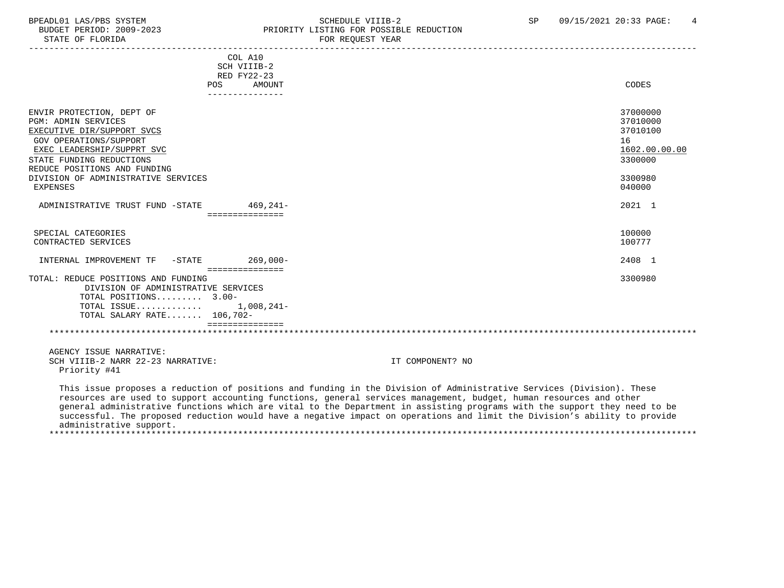#### BPEADL01 LAS/PBS SYSTEM SALLE STREDULE VIIIB-2 SCHEDULE VIIIB-2 SP 09/15/2021 20:33 PAGE: 4 BUDGET PERIOD: 2009-2023 PRIORITY LISTING FOR POSSIBLE REDUCTION<br>FOR REQUEST YEAR FOR REQUEST YEAR

| COL A10                                                                                                                                                                                                                                                                                                                                                                                                                                                                                                                          |                  |                                                              |
|----------------------------------------------------------------------------------------------------------------------------------------------------------------------------------------------------------------------------------------------------------------------------------------------------------------------------------------------------------------------------------------------------------------------------------------------------------------------------------------------------------------------------------|------------------|--------------------------------------------------------------|
| SCH VIIIB-2                                                                                                                                                                                                                                                                                                                                                                                                                                                                                                                      |                  |                                                              |
| RED FY22-23                                                                                                                                                                                                                                                                                                                                                                                                                                                                                                                      |                  |                                                              |
| POS AMOUNT                                                                                                                                                                                                                                                                                                                                                                                                                                                                                                                       |                  | CODES                                                        |
| _______________                                                                                                                                                                                                                                                                                                                                                                                                                                                                                                                  |                  |                                                              |
| ENVIR PROTECTION, DEPT OF<br><b>PGM: ADMIN SERVICES</b><br>EXECUTIVE DIR/SUPPORT SVCS<br>GOV OPERATIONS/SUPPORT<br>EXEC LEADERSHIP/SUPPRT SVC<br>STATE FUNDING REDUCTIONS<br>REDUCE POSITIONS AND FUNDING                                                                                                                                                                                                                                                                                                                        | 16               | 37000000<br>37010000<br>37010100<br>1602.00.00.00<br>3300000 |
| DIVISION OF ADMINISTRATIVE SERVICES<br><b>EXPENSES</b>                                                                                                                                                                                                                                                                                                                                                                                                                                                                           |                  | 3300980<br>040000                                            |
| ADMINISTRATIVE TRUST FUND -STATE 469,241-<br>- ===============                                                                                                                                                                                                                                                                                                                                                                                                                                                                   |                  | 2021 1                                                       |
| SPECIAL CATEGORIES                                                                                                                                                                                                                                                                                                                                                                                                                                                                                                               |                  | 100000                                                       |
| CONTRACTED SERVICES                                                                                                                                                                                                                                                                                                                                                                                                                                                                                                              |                  | 100777                                                       |
| INTERNAL IMPROVEMENT TF -STATE 269,000-                                                                                                                                                                                                                                                                                                                                                                                                                                                                                          |                  | 2408 1                                                       |
| <b>EEEEEEEEEEEEEE</b><br>TOTAL: REDUCE POSITIONS AND FUNDING<br>DIVISION OF ADMINISTRATIVE SERVICES                                                                                                                                                                                                                                                                                                                                                                                                                              |                  | 3300980                                                      |
| TOTAL POSITIONS 3.00-                                                                                                                                                                                                                                                                                                                                                                                                                                                                                                            |                  |                                                              |
| TOTAL ISSUE $1,008,241-$<br>TOTAL SALARY RATE 106,702-                                                                                                                                                                                                                                                                                                                                                                                                                                                                           |                  |                                                              |
| ===============                                                                                                                                                                                                                                                                                                                                                                                                                                                                                                                  |                  |                                                              |
| AGENCY ISSUE NARRATIVE:<br>SCH VIIIB-2 NARR 22-23 NARRATIVE:<br>Priority #41                                                                                                                                                                                                                                                                                                                                                                                                                                                     | IT COMPONENT? NO |                                                              |
| This issue proposes a reduction of positions and funding in the Division of Administrative Services (Division). These<br>resources are used to support accounting functions, general services management, budget, human resources and other<br>general administrative functions which are vital to the Department in assisting programs with the support they need to be<br>successful. The proposed reduction would have a negative impact on operations and limit the Division's ability to provide<br>administrative support. |                  |                                                              |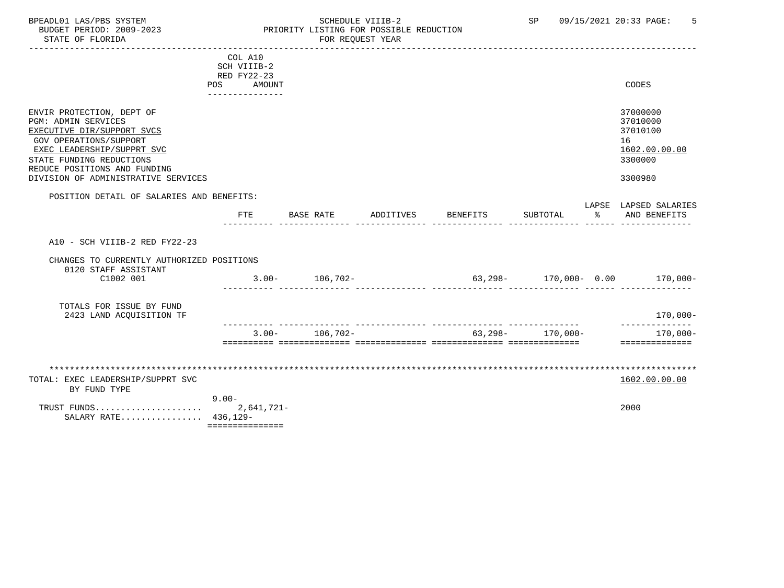#### BPEADL01 LAS/PBS SYSTEM SALLE STRID SCHEDULE VIIIB-2 SP 09/15/2021 20:33 PAGE: 5<br>BUDGET PERIOD: 2009-2023 SPRIORITY LISTING FOR POSSIBLE REDUCTION BUDGET PERIOD: 2009-2023 PRIORITY LISTING FOR POSSIBLE REDUCTION<br>STATE OF FLORIDA POR REQUEST YEAR FOR REQUEST YEAR

|                                                                                                                                                                                                                                                         | COL A10<br>SCH VIIIB-2<br>RED FY22-23<br>POS<br>AMOUNT<br>--------------- |                    |                    |                   |               | CODES                                                                         |
|---------------------------------------------------------------------------------------------------------------------------------------------------------------------------------------------------------------------------------------------------------|---------------------------------------------------------------------------|--------------------|--------------------|-------------------|---------------|-------------------------------------------------------------------------------|
| ENVIR PROTECTION, DEPT OF<br><b>PGM: ADMIN SERVICES</b><br>EXECUTIVE DIR/SUPPORT SVCS<br><b>GOV OPERATIONS/SUPPORT</b><br>EXEC LEADERSHIP/SUPPRT SVC<br>STATE FUNDING REDUCTIONS<br>REDUCE POSITIONS AND FUNDING<br>DIVISION OF ADMINISTRATIVE SERVICES |                                                                           |                    |                    |                   |               | 37000000<br>37010000<br>37010100<br>16<br>1602.00.00.00<br>3300000<br>3300980 |
| POSITION DETAIL OF SALARIES AND BENEFITS:                                                                                                                                                                                                               |                                                                           |                    |                    |                   |               |                                                                               |
|                                                                                                                                                                                                                                                         | <b>FTE</b>                                                                | BASE RATE          | ADDITIVES BENEFITS | SUBTOTAL          | $\sim$ $\sim$ | LAPSE LAPSED SALARIES<br>AND BENEFITS                                         |
| A10 - SCH VIIIB-2 RED FY22-23                                                                                                                                                                                                                           |                                                                           |                    |                    |                   |               |                                                                               |
| CHANGES TO CURRENTLY AUTHORIZED POSITIONS<br>0120 STAFF ASSISTANT<br>C1002 001                                                                                                                                                                          |                                                                           | $3.00 - 106,702 -$ |                    |                   |               | $63,298-170,000-0.00$ $170,000-$                                              |
| TOTALS FOR ISSUE BY FUND<br>2423 LAND ACOUISITION TF                                                                                                                                                                                                    |                                                                           |                    |                    |                   |               | $170,000-$                                                                    |
|                                                                                                                                                                                                                                                         |                                                                           | $3.00 - 106,702 -$ |                    | $63,298-170,000-$ |               | --------------<br>170,000-<br>==============                                  |
|                                                                                                                                                                                                                                                         |                                                                           |                    |                    |                   |               |                                                                               |
| TOTAL: EXEC LEADERSHIP/SUPPRT SVC<br>BY FUND TYPE                                                                                                                                                                                                       | $9.00 -$                                                                  |                    |                    |                   |               | 1602.00.00.00                                                                 |
| TRUST FUNDS<br>SALARY RATE 436,129-                                                                                                                                                                                                                     | 2,641,721-<br>===============                                             |                    |                    |                   |               | 2000                                                                          |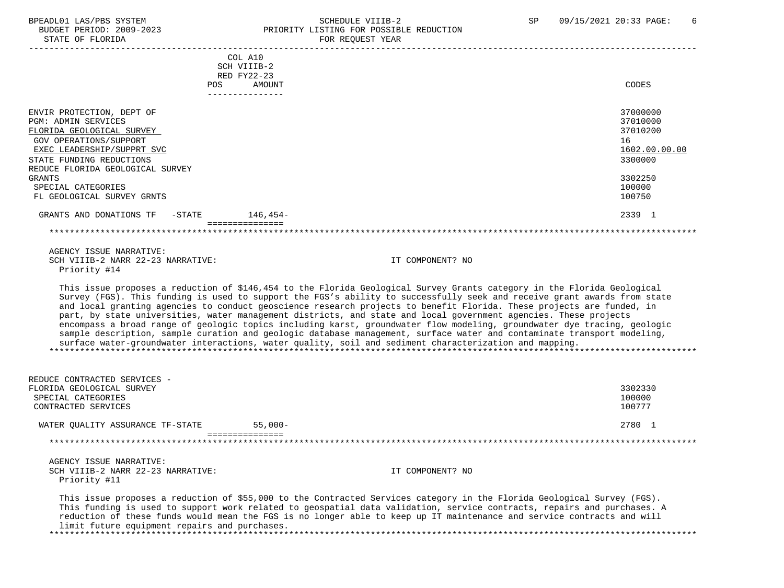# BPEADL01 LAS/PBS SYSTEM SCHEDULE VIIIB-2 SCHEDULE VIIIB-2 SP 09/15/2021 20:33 PAGE: 6<br>BUDGET PERIOD: 2009-2023 PRIORITY LISTING FOR POSSIBLE REDUCTION PRIORITY LISTING FOR POSSIBLE REDUCTION

| STATE OF FLORIDA                     | FOR REQUEST YEAR                                                                                                                                                                                                                                                                                                                                                                                                                                                                                                                                                                                                                                                                                                                                                                                                                                                  |               |
|--------------------------------------|-------------------------------------------------------------------------------------------------------------------------------------------------------------------------------------------------------------------------------------------------------------------------------------------------------------------------------------------------------------------------------------------------------------------------------------------------------------------------------------------------------------------------------------------------------------------------------------------------------------------------------------------------------------------------------------------------------------------------------------------------------------------------------------------------------------------------------------------------------------------|---------------|
|                                      | COL A10                                                                                                                                                                                                                                                                                                                                                                                                                                                                                                                                                                                                                                                                                                                                                                                                                                                           |               |
|                                      | SCH VIIIB-2<br>RED FY22-23                                                                                                                                                                                                                                                                                                                                                                                                                                                                                                                                                                                                                                                                                                                                                                                                                                        |               |
|                                      | POS.<br>AMOUNT                                                                                                                                                                                                                                                                                                                                                                                                                                                                                                                                                                                                                                                                                                                                                                                                                                                    | CODES         |
|                                      | ----------------                                                                                                                                                                                                                                                                                                                                                                                                                                                                                                                                                                                                                                                                                                                                                                                                                                                  |               |
| ENVIR PROTECTION, DEPT OF            |                                                                                                                                                                                                                                                                                                                                                                                                                                                                                                                                                                                                                                                                                                                                                                                                                                                                   | 37000000      |
| <b>PGM: ADMIN SERVICES</b>           |                                                                                                                                                                                                                                                                                                                                                                                                                                                                                                                                                                                                                                                                                                                                                                                                                                                                   | 37010000      |
| FLORIDA GEOLOGICAL SURVEY            |                                                                                                                                                                                                                                                                                                                                                                                                                                                                                                                                                                                                                                                                                                                                                                                                                                                                   | 37010200      |
| <b>GOV OPERATIONS/SUPPORT</b>        |                                                                                                                                                                                                                                                                                                                                                                                                                                                                                                                                                                                                                                                                                                                                                                                                                                                                   | 16            |
| EXEC LEADERSHIP/SUPPRT SVC           |                                                                                                                                                                                                                                                                                                                                                                                                                                                                                                                                                                                                                                                                                                                                                                                                                                                                   | 1602.00.00.00 |
| STATE FUNDING REDUCTIONS             |                                                                                                                                                                                                                                                                                                                                                                                                                                                                                                                                                                                                                                                                                                                                                                                                                                                                   | 3300000       |
| REDUCE FLORIDA GEOLOGICAL SURVEY     |                                                                                                                                                                                                                                                                                                                                                                                                                                                                                                                                                                                                                                                                                                                                                                                                                                                                   |               |
| <b>GRANTS</b>                        |                                                                                                                                                                                                                                                                                                                                                                                                                                                                                                                                                                                                                                                                                                                                                                                                                                                                   | 3302250       |
| SPECIAL CATEGORIES                   |                                                                                                                                                                                                                                                                                                                                                                                                                                                                                                                                                                                                                                                                                                                                                                                                                                                                   | 100000        |
| FL GEOLOGICAL SURVEY GRNTS           |                                                                                                                                                                                                                                                                                                                                                                                                                                                                                                                                                                                                                                                                                                                                                                                                                                                                   | 100750        |
| GRANTS AND DONATIONS TF<br>$-$ STATE | 146.454-                                                                                                                                                                                                                                                                                                                                                                                                                                                                                                                                                                                                                                                                                                                                                                                                                                                          | 2339 1        |
|                                      | ===============                                                                                                                                                                                                                                                                                                                                                                                                                                                                                                                                                                                                                                                                                                                                                                                                                                                   |               |
|                                      |                                                                                                                                                                                                                                                                                                                                                                                                                                                                                                                                                                                                                                                                                                                                                                                                                                                                   |               |
| AGENCY ISSUE NARRATIVE:              |                                                                                                                                                                                                                                                                                                                                                                                                                                                                                                                                                                                                                                                                                                                                                                                                                                                                   |               |
| SCH VIIIB-2 NARR 22-23 NARRATIVE:    | IT COMPONENT? NO                                                                                                                                                                                                                                                                                                                                                                                                                                                                                                                                                                                                                                                                                                                                                                                                                                                  |               |
| Priority #14                         |                                                                                                                                                                                                                                                                                                                                                                                                                                                                                                                                                                                                                                                                                                                                                                                                                                                                   |               |
|                                      | This issue proposes a reduction of \$146,454 to the Florida Geological Survey Grants category in the Florida Geological<br>Survey (FGS). This funding is used to support the FGS's ability to successfully seek and receive grant awards from state<br>and local granting agencies to conduct geoscience research projects to benefit Florida. These projects are funded, in<br>part, by state universities, water management districts, and state and local government agencies. These projects<br>encompass a broad range of geologic topics including karst, groundwater flow modeling, groundwater dye tracing, geologic<br>sample description, sample curation and geologic database management, surface water and contaminate transport modeling,<br>surface water-groundwater interactions, water quality, soil and sediment characterization and mapping. |               |
| REDUCE CONTRACTED SERVICES -         |                                                                                                                                                                                                                                                                                                                                                                                                                                                                                                                                                                                                                                                                                                                                                                                                                                                                   |               |
| FLORIDA GEOLOGICAL SURVEY            |                                                                                                                                                                                                                                                                                                                                                                                                                                                                                                                                                                                                                                                                                                                                                                                                                                                                   | 3302330       |
| SPECIAL CATEGORIES                   |                                                                                                                                                                                                                                                                                                                                                                                                                                                                                                                                                                                                                                                                                                                                                                                                                                                                   | 100000        |
| CONTRACTED SERVICES                  |                                                                                                                                                                                                                                                                                                                                                                                                                                                                                                                                                                                                                                                                                                                                                                                                                                                                   | 100777        |
| WATER QUALITY ASSURANCE TF-STATE     | $55.000 -$<br>================                                                                                                                                                                                                                                                                                                                                                                                                                                                                                                                                                                                                                                                                                                                                                                                                                                    | 2780 1        |
|                                      | **************************                                                                                                                                                                                                                                                                                                                                                                                                                                                                                                                                                                                                                                                                                                                                                                                                                                        |               |
| AGENCY ISSUE NARRATIVE:              |                                                                                                                                                                                                                                                                                                                                                                                                                                                                                                                                                                                                                                                                                                                                                                                                                                                                   |               |
| SCH VIIIB-2 NARR 22-23 NARRATIVE:    | IT COMPONENT? NO                                                                                                                                                                                                                                                                                                                                                                                                                                                                                                                                                                                                                                                                                                                                                                                                                                                  |               |
| Priority #11                         |                                                                                                                                                                                                                                                                                                                                                                                                                                                                                                                                                                                                                                                                                                                                                                                                                                                                   |               |
|                                      | mile leave accepted to colourly of AFF AAA Leave the Audio-colorate accepted to the middle Accident Audio-Campus (mAA)                                                                                                                                                                                                                                                                                                                                                                                                                                                                                                                                                                                                                                                                                                                                            |               |

 This issue proposes a reduction of \$55,000 to the Contracted Services category in the Florida Geological Survey (FGS). This funding is used to support work related to geospatial data validation, service contracts, repairs and purchases. A reduction of these funds would mean the FGS is no longer able to keep up IT maintenance and service contracts and will limit future equipment repairs and purchases. \*\*\*\*\*\*\*\*\*\*\*\*\*\*\*\*\*\*\*\*\*\*\*\*\*\*\*\*\*\*\*\*\*\*\*\*\*\*\*\*\*\*\*\*\*\*\*\*\*\*\*\*\*\*\*\*\*\*\*\*\*\*\*\*\*\*\*\*\*\*\*\*\*\*\*\*\*\*\*\*\*\*\*\*\*\*\*\*\*\*\*\*\*\*\*\*\*\*\*\*\*\*\*\*\*\*\*\*\*\*\*\*\*\*\*\*\*\*\*\*\*\*\*\*\*\*\*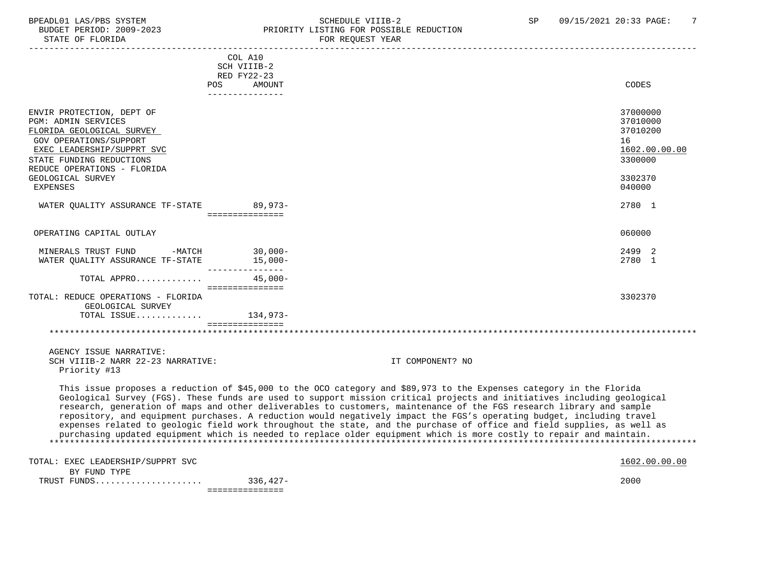# BPEADL01 LAS/PBS SYSTEM SCHEDULE VIIIB-2 SCHEDULE VIIIB-2 SP 09/15/2021 20:33 PAGE: 7<br>BUDGET PERIOD: 2009-2023 PRIORITY LISTING FOR POSSIBLE REDUCTION PRIORITY LISTING FOR POSSIBLE REDUCTION<br>FOR REQUEST YEAR

|                                                                                                                                                                          | COL A10<br>SCH VIIIB-2<br>RED FY22-23 |                                                                                                                                                                                                                                                                                                                                                                                                                                                                                                                                                                                                                                                                                                                                                     |               |
|--------------------------------------------------------------------------------------------------------------------------------------------------------------------------|---------------------------------------|-----------------------------------------------------------------------------------------------------------------------------------------------------------------------------------------------------------------------------------------------------------------------------------------------------------------------------------------------------------------------------------------------------------------------------------------------------------------------------------------------------------------------------------------------------------------------------------------------------------------------------------------------------------------------------------------------------------------------------------------------------|---------------|
|                                                                                                                                                                          | POS<br>AMOUNT                         | CODES                                                                                                                                                                                                                                                                                                                                                                                                                                                                                                                                                                                                                                                                                                                                               |               |
| ENVIR PROTECTION, DEPT OF<br><b>PGM: ADMIN SERVICES</b><br>FLORIDA GEOLOGICAL SURVEY<br>GOV OPERATIONS/SUPPORT<br>EXEC LEADERSHIP/SUPPRT SVC<br>STATE FUNDING REDUCTIONS | ---------------                       | 37000000<br>37010000<br>37010200<br>16<br>3300000                                                                                                                                                                                                                                                                                                                                                                                                                                                                                                                                                                                                                                                                                                   | 1602.00.00.00 |
| REDUCE OPERATIONS - FLORIDA<br>GEOLOGICAL SURVEY<br><b>EXPENSES</b>                                                                                                      |                                       | 3302370<br>040000                                                                                                                                                                                                                                                                                                                                                                                                                                                                                                                                                                                                                                                                                                                                   |               |
| WATER QUALITY ASSURANCE TF-STATE 89,973-                                                                                                                                 |                                       | 2780 1                                                                                                                                                                                                                                                                                                                                                                                                                                                                                                                                                                                                                                                                                                                                              |               |
| OPERATING CAPITAL OUTLAY                                                                                                                                                 |                                       | 060000                                                                                                                                                                                                                                                                                                                                                                                                                                                                                                                                                                                                                                                                                                                                              |               |
| MINERALS TRUST FUND -MATCH 30,000-<br>WATER QUALITY ASSURANCE TF-STATE                                                                                                   | $15,000-$                             | 2499 2<br>2780 1                                                                                                                                                                                                                                                                                                                                                                                                                                                                                                                                                                                                                                                                                                                                    |               |
| TOTAL APPRO                                                                                                                                                              | $45.000 -$<br>================        |                                                                                                                                                                                                                                                                                                                                                                                                                                                                                                                                                                                                                                                                                                                                                     |               |
| TOTAL: REDUCE OPERATIONS - FLORIDA<br>GEOLOGICAL SURVEY<br>TOTAL ISSUE 134,973-                                                                                          | ===============                       | 3302370                                                                                                                                                                                                                                                                                                                                                                                                                                                                                                                                                                                                                                                                                                                                             |               |
|                                                                                                                                                                          |                                       |                                                                                                                                                                                                                                                                                                                                                                                                                                                                                                                                                                                                                                                                                                                                                     |               |
| AGENCY ISSUE NARRATIVE:<br>SCH VIIIB-2 NARR 22-23 NARRATIVE:<br>Priority #13                                                                                             |                                       | IT COMPONENT? NO                                                                                                                                                                                                                                                                                                                                                                                                                                                                                                                                                                                                                                                                                                                                    |               |
|                                                                                                                                                                          |                                       | This issue proposes a reduction of \$45,000 to the OCO category and \$89,973 to the Expenses category in the Florida<br>Geological Survey (FGS). These funds are used to support mission critical projects and initiatives including geological<br>research, generation of maps and other deliverables to customers, maintenance of the FGS research library and sample<br>repository, and equipment purchases. A reduction would negatively impact the FGS's operating budget, including travel<br>expenses related to geologic field work throughout the state, and the purchase of office and field supplies, as well as<br>purchasing updated equipment which is needed to replace older equipment which is more costly to repair and maintain. |               |
| TOTAL: EXEC LEADERSHIP/SUPPRT SVC<br>BY FUND TYPE                                                                                                                        |                                       |                                                                                                                                                                                                                                                                                                                                                                                                                                                                                                                                                                                                                                                                                                                                                     | 1602.00.00.00 |
|                                                                                                                                                                          | - ================                    | 2000                                                                                                                                                                                                                                                                                                                                                                                                                                                                                                                                                                                                                                                                                                                                                |               |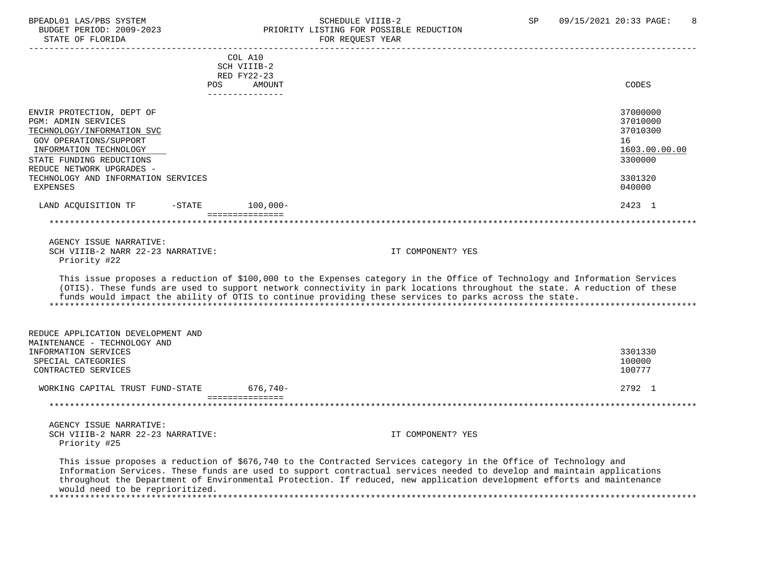#### BPEADL01 LAS/PBS SYSTEM SALLE STRIDULE VIIIB-2 SCHEDULE VIIIB-2 SP 09/15/2021 20:33 PAGE: 8<br>BUDGET PERIOD: 2009-2023 PRIORITY LISTING FOR POSSIBLE REDUCTION BUDGET PERIOD: 2009-2023<br>STATE OF FLORIDA PRIORITY LISTING FOR POSSIBLE REDUCTION FOR REQUEST YEAR

|                                                                                                                                                                                                           | COL A10<br>SCH VIIIB-2                                           |                                                                                                                                                                                                                                                                                                                                                                   |                                                                    |
|-----------------------------------------------------------------------------------------------------------------------------------------------------------------------------------------------------------|------------------------------------------------------------------|-------------------------------------------------------------------------------------------------------------------------------------------------------------------------------------------------------------------------------------------------------------------------------------------------------------------------------------------------------------------|--------------------------------------------------------------------|
|                                                                                                                                                                                                           | RED FY22-23<br>POS FOR<br>AMOUNT<br><u> Le Beles Beles Beles</u> |                                                                                                                                                                                                                                                                                                                                                                   | CODES                                                              |
| ENVIR PROTECTION, DEPT OF<br><b>PGM: ADMIN SERVICES</b><br>TECHNOLOGY/INFORMATION SVC<br><b>GOV OPERATIONS/SUPPORT</b><br>INFORMATION TECHNOLOGY<br>STATE FUNDING REDUCTIONS<br>REDUCE NETWORK UPGRADES - |                                                                  |                                                                                                                                                                                                                                                                                                                                                                   | 37000000<br>37010000<br>37010300<br>16<br>1603.00.00.00<br>3300000 |
| TECHNOLOGY AND INFORMATION SERVICES<br><b>EXPENSES</b>                                                                                                                                                    |                                                                  |                                                                                                                                                                                                                                                                                                                                                                   | 3301320<br>040000                                                  |
| LAND ACQUISITION TF -STATE 100,000-                                                                                                                                                                       |                                                                  |                                                                                                                                                                                                                                                                                                                                                                   | 2423 1                                                             |
| AGENCY ISSUE NARRATIVE:<br>SCH VIIIB-2 NARR 22-23 NARRATIVE:<br>Priority #22                                                                                                                              |                                                                  | IT COMPONENT? YES                                                                                                                                                                                                                                                                                                                                                 |                                                                    |
|                                                                                                                                                                                                           |                                                                  | This issue proposes a reduction of \$100,000 to the Expenses category in the Office of Technology and Information Services<br>(OTIS). These funds are used to support network connectivity in park locations throughout the state. A reduction of these<br>funds would impact the ability of OTIS to continue providing these services to parks across the state. |                                                                    |
| REDUCE APPLICATION DEVELOPMENT AND<br>MAINTENANCE - TECHNOLOGY AND<br>INFORMATION SERVICES<br>SPECIAL CATEGORIES                                                                                          |                                                                  |                                                                                                                                                                                                                                                                                                                                                                   | 3301330<br>100000                                                  |
| CONTRACTED SERVICES                                                                                                                                                                                       |                                                                  |                                                                                                                                                                                                                                                                                                                                                                   | 100777                                                             |
| WORKING CAPITAL TRUST FUND-STATE 676,740-                                                                                                                                                                 | ===============                                                  |                                                                                                                                                                                                                                                                                                                                                                   | 2792 1                                                             |
|                                                                                                                                                                                                           |                                                                  |                                                                                                                                                                                                                                                                                                                                                                   |                                                                    |
| AGENCY ISSUE NARRATIVE:<br>SCH VIIIB-2 NARR 22-23 NARRATIVE:<br>Priority #25                                                                                                                              |                                                                  | IT COMPONENT? YES                                                                                                                                                                                                                                                                                                                                                 |                                                                    |
|                                                                                                                                                                                                           |                                                                  | This issue proposes a reduction of \$676,740 to the Contracted Services category in the Office of Technology and<br>Information Services. These funds are used to support contractual services needed to develop and maintain applications                                                                                                                        |                                                                    |

 throughout the Department of Environmental Protection. If reduced, new application development efforts and maintenance would need to be reprioritized. \*\*\*\*\*\*\*\*\*\*\*\*\*\*\*\*\*\*\*\*\*\*\*\*\*\*\*\*\*\*\*\*\*\*\*\*\*\*\*\*\*\*\*\*\*\*\*\*\*\*\*\*\*\*\*\*\*\*\*\*\*\*\*\*\*\*\*\*\*\*\*\*\*\*\*\*\*\*\*\*\*\*\*\*\*\*\*\*\*\*\*\*\*\*\*\*\*\*\*\*\*\*\*\*\*\*\*\*\*\*\*\*\*\*\*\*\*\*\*\*\*\*\*\*\*\*\*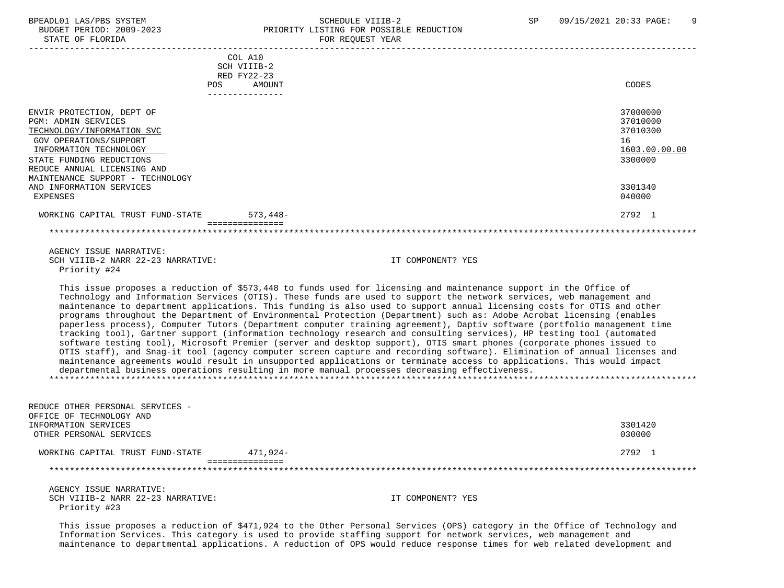# BPEADL01 LAS/PBS SYSTEM SOHEDULE VIIIB-2 SCHEDULE VIIIB-2 SP 09/15/2021 20:33 PAGE: 9 PRIORITY LISTING FOR POSSIBLE REDUCTION

| STATE OF FLORIDA                                                                                                                                                                                                                                                     |                                                                    | FOR REQUEST YEAR                                                                                                                                                                                                                                                                                                                                                                                                                                                                                                                                                                                                                                                                                                                                                                                                                                                                                                                                                                                                                                                                                                                                                                                                                   |                                                                               |
|----------------------------------------------------------------------------------------------------------------------------------------------------------------------------------------------------------------------------------------------------------------------|--------------------------------------------------------------------|------------------------------------------------------------------------------------------------------------------------------------------------------------------------------------------------------------------------------------------------------------------------------------------------------------------------------------------------------------------------------------------------------------------------------------------------------------------------------------------------------------------------------------------------------------------------------------------------------------------------------------------------------------------------------------------------------------------------------------------------------------------------------------------------------------------------------------------------------------------------------------------------------------------------------------------------------------------------------------------------------------------------------------------------------------------------------------------------------------------------------------------------------------------------------------------------------------------------------------|-------------------------------------------------------------------------------|
| <b>POS</b>                                                                                                                                                                                                                                                           | COL A10<br>SCH VIIIB-2<br>RED FY22-23<br>AMOUNT<br>_______________ |                                                                                                                                                                                                                                                                                                                                                                                                                                                                                                                                                                                                                                                                                                                                                                                                                                                                                                                                                                                                                                                                                                                                                                                                                                    | CODES                                                                         |
| ENVIR PROTECTION, DEPT OF<br><b>PGM: ADMIN SERVICES</b><br>TECHNOLOGY/INFORMATION SVC<br>GOV OPERATIONS/SUPPORT<br>INFORMATION TECHNOLOGY<br>STATE FUNDING REDUCTIONS<br>REDUCE ANNUAL LICENSING AND<br>MAINTENANCE SUPPORT - TECHNOLOGY<br>AND INFORMATION SERVICES |                                                                    |                                                                                                                                                                                                                                                                                                                                                                                                                                                                                                                                                                                                                                                                                                                                                                                                                                                                                                                                                                                                                                                                                                                                                                                                                                    | 37000000<br>37010000<br>37010300<br>16<br>1603.00.00.00<br>3300000<br>3301340 |
| <b>EXPENSES</b>                                                                                                                                                                                                                                                      |                                                                    |                                                                                                                                                                                                                                                                                                                                                                                                                                                                                                                                                                                                                                                                                                                                                                                                                                                                                                                                                                                                                                                                                                                                                                                                                                    | 040000                                                                        |
| WORKING CAPITAL TRUST FUND-STATE                                                                                                                                                                                                                                     | $573,448-$<br>===============                                      |                                                                                                                                                                                                                                                                                                                                                                                                                                                                                                                                                                                                                                                                                                                                                                                                                                                                                                                                                                                                                                                                                                                                                                                                                                    | 2792 1                                                                        |
|                                                                                                                                                                                                                                                                      |                                                                    |                                                                                                                                                                                                                                                                                                                                                                                                                                                                                                                                                                                                                                                                                                                                                                                                                                                                                                                                                                                                                                                                                                                                                                                                                                    |                                                                               |
| AGENCY ISSUE NARRATIVE:<br>SCH VIIIB-2 NARR 22-23 NARRATIVE:<br>Priority #24                                                                                                                                                                                         |                                                                    | IT COMPONENT? YES                                                                                                                                                                                                                                                                                                                                                                                                                                                                                                                                                                                                                                                                                                                                                                                                                                                                                                                                                                                                                                                                                                                                                                                                                  |                                                                               |
|                                                                                                                                                                                                                                                                      |                                                                    | This issue proposes a reduction of \$573,448 to funds used for licensing and maintenance support in the Office of<br>Technology and Information Services (OTIS). These funds are used to support the network services, web management and<br>maintenance to department applications. This funding is also used to support annual licensing costs for OTIS and other<br>programs throughout the Department of Environmental Protection (Department) such as: Adobe Acrobat licensing (enables<br>paperless process), Computer Tutors (Department computer training agreement), Daptiv software (portfolio management time<br>tracking tool), Gartner support (information technology research and consulting services), HP testing tool (automated<br>software testing tool), Microsoft Premier (server and desktop support), OTIS smart phones (corporate phones issued to<br>OTIS staff), and Snag-it tool (agency computer screen capture and recording software). Elimination of annual licenses and<br>maintenance agreements would result in unsupported applications or terminate access to applications. This would impact<br>departmental business operations resulting in more manual processes decreasing effectiveness. |                                                                               |
| REDUCE OTHER PERSONAL SERVICES -<br>OFFICE OF TECHNOLOGY AND<br>INFORMATION SERVICES<br>OTHER PERSONAL SERVICES                                                                                                                                                      |                                                                    |                                                                                                                                                                                                                                                                                                                                                                                                                                                                                                                                                                                                                                                                                                                                                                                                                                                                                                                                                                                                                                                                                                                                                                                                                                    | 3301420<br>030000                                                             |
| WORKING CAPITAL TRUST FUND-STATE 471,924-                                                                                                                                                                                                                            |                                                                    |                                                                                                                                                                                                                                                                                                                                                                                                                                                                                                                                                                                                                                                                                                                                                                                                                                                                                                                                                                                                                                                                                                                                                                                                                                    | 2792 1                                                                        |
| *********************                                                                                                                                                                                                                                                | ===============                                                    |                                                                                                                                                                                                                                                                                                                                                                                                                                                                                                                                                                                                                                                                                                                                                                                                                                                                                                                                                                                                                                                                                                                                                                                                                                    |                                                                               |
| AGENCY ISSUE NARRATIVE:<br>SCH VIIIB-2 NARR 22-23 NARRATIVE:<br>Priority #23                                                                                                                                                                                         |                                                                    | IT COMPONENT? YES                                                                                                                                                                                                                                                                                                                                                                                                                                                                                                                                                                                                                                                                                                                                                                                                                                                                                                                                                                                                                                                                                                                                                                                                                  |                                                                               |

 This issue proposes a reduction of \$471,924 to the Other Personal Services (OPS) category in the Office of Technology and Information Services. This category is used to provide staffing support for network services, web management and maintenance to departmental applications. A reduction of OPS would reduce response times for web related development and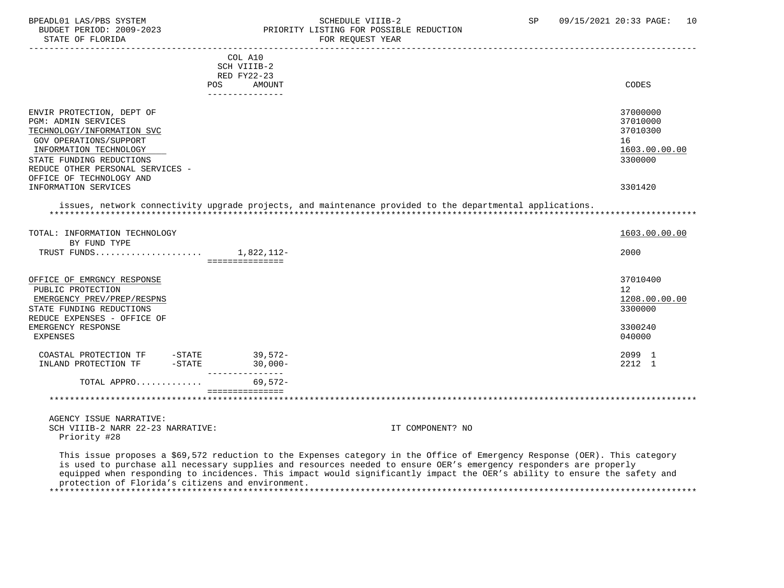#### BPEADL01 LAS/PBS SYSTEM STREADULE SCHEDULE VIIIB-2 SP 09/15/2021 20:33 PAGE: 10 BUDGET PERIOD: 2009-2023<br>
STATE OF FLORIDA<br>
FOR REOUEST YEAR FOR REQUEST YEAR

|                                  | COL A10                                                                                                   |               |
|----------------------------------|-----------------------------------------------------------------------------------------------------------|---------------|
|                                  | SCH VIIIB-2                                                                                               |               |
|                                  | RED FY22-23                                                                                               |               |
|                                  | <b>AMOUNT</b><br>POS                                                                                      | CODES         |
|                                  | ---------------                                                                                           |               |
|                                  |                                                                                                           |               |
| ENVIR PROTECTION, DEPT OF        |                                                                                                           | 37000000      |
| <b>PGM: ADMIN SERVICES</b>       |                                                                                                           | 37010000      |
| TECHNOLOGY/INFORMATION SVC       |                                                                                                           | 37010300      |
| GOV OPERATIONS/SUPPORT           |                                                                                                           | 16            |
|                                  |                                                                                                           |               |
| INFORMATION TECHNOLOGY           |                                                                                                           | 1603.00.00.00 |
| STATE FUNDING REDUCTIONS         |                                                                                                           | 3300000       |
| REDUCE OTHER PERSONAL SERVICES - |                                                                                                           |               |
| OFFICE OF TECHNOLOGY AND         |                                                                                                           |               |
| INFORMATION SERVICES             |                                                                                                           | 3301420       |
| TOTAL: INFORMATION TECHNOLOGY    | issues, network connectivity upgrade projects, and maintenance provided to the departmental applications. | 1603.00.00.00 |
| BY FUND TYPE                     |                                                                                                           |               |
|                                  |                                                                                                           |               |
|                                  |                                                                                                           | 2000          |
|                                  | ===============                                                                                           |               |
|                                  |                                                                                                           |               |
| OFFICE OF EMRGNCY RESPONSE       |                                                                                                           | 37010400      |
| PUBLIC PROTECTION                |                                                                                                           | 12            |
|                                  |                                                                                                           |               |
| EMERGENCY PREV/PREP/RESPNS       |                                                                                                           | 1208.00.00.00 |
| STATE FUNDING REDUCTIONS         |                                                                                                           | 3300000       |
| REDUCE EXPENSES - OFFICE OF      |                                                                                                           |               |
| EMERGENCY RESPONSE               |                                                                                                           | 3300240       |
| <b>EXPENSES</b>                  |                                                                                                           | 040000        |
|                                  |                                                                                                           |               |
| COASTAL PROTECTION TF            |                                                                                                           | 2099 1        |
| INLAND PROTECTION TF             | - STATE 39,572<br>-STATE 30,000-                                                                          | 2212 1        |
| TOTAL APPRO                      | $69.572-$                                                                                                 |               |
|                                  |                                                                                                           |               |

 AGENCY ISSUE NARRATIVE: SCH VIIIB-2 NARR 22-23 NARRATIVE: IT COMPONENT? NO Priority #28

 This issue proposes a \$69,572 reduction to the Expenses category in the Office of Emergency Response (OER). This category is used to purchase all necessary supplies and resources needed to ensure OER's emergency responders are properly equipped when responding to incidences. This impact would significantly impact the OER's ability to ensure the safety and protection of Florida's citizens and environment. \*\*\*\*\*\*\*\*\*\*\*\*\*\*\*\*\*\*\*\*\*\*\*\*\*\*\*\*\*\*\*\*\*\*\*\*\*\*\*\*\*\*\*\*\*\*\*\*\*\*\*\*\*\*\*\*\*\*\*\*\*\*\*\*\*\*\*\*\*\*\*\*\*\*\*\*\*\*\*\*\*\*\*\*\*\*\*\*\*\*\*\*\*\*\*\*\*\*\*\*\*\*\*\*\*\*\*\*\*\*\*\*\*\*\*\*\*\*\*\*\*\*\*\*\*\*\*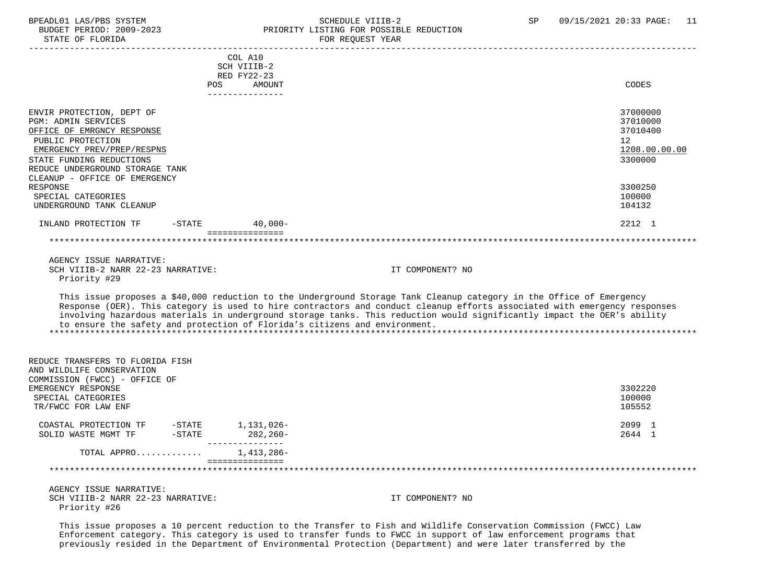# BPEADL01 LAS/PBS SYSTEM STRING THE SCHEDULE VIIIB-2 SCHEDULE SENSIBLE REDUCTION SP 09/15/2021 20:33 PAGE: 11 PRIORITY LISTING FOR POSSIBLE REDUCTION<br>FOR REQUEST YEAR

|                                                                                                |                   | COL A10                                                                    |                                                                                                                                                                                                                                                                                                                                                                              |                                  |
|------------------------------------------------------------------------------------------------|-------------------|----------------------------------------------------------------------------|------------------------------------------------------------------------------------------------------------------------------------------------------------------------------------------------------------------------------------------------------------------------------------------------------------------------------------------------------------------------------|----------------------------------|
|                                                                                                |                   | SCH VIIIB-2                                                                |                                                                                                                                                                                                                                                                                                                                                                              |                                  |
|                                                                                                | POS               | RED FY22-23<br>AMOUNT                                                      |                                                                                                                                                                                                                                                                                                                                                                              | CODES                            |
|                                                                                                |                   | ---------------                                                            |                                                                                                                                                                                                                                                                                                                                                                              |                                  |
|                                                                                                |                   |                                                                            |                                                                                                                                                                                                                                                                                                                                                                              |                                  |
| ENVIR PROTECTION, DEPT OF<br><b>PGM: ADMIN SERVICES</b><br>OFFICE OF EMRGNCY RESPONSE          |                   |                                                                            |                                                                                                                                                                                                                                                                                                                                                                              | 37000000<br>37010000<br>37010400 |
| PUBLIC PROTECTION                                                                              |                   |                                                                            |                                                                                                                                                                                                                                                                                                                                                                              | 12 <sup>°</sup>                  |
| EMERGENCY PREV/PREP/RESPNS                                                                     |                   |                                                                            |                                                                                                                                                                                                                                                                                                                                                                              | 1208.00.00.00                    |
| STATE FUNDING REDUCTIONS                                                                       |                   |                                                                            |                                                                                                                                                                                                                                                                                                                                                                              | 3300000                          |
| REDUCE UNDERGROUND STORAGE TANK<br>CLEANUP - OFFICE OF EMERGENCY                               |                   |                                                                            |                                                                                                                                                                                                                                                                                                                                                                              |                                  |
| RESPONSE                                                                                       |                   |                                                                            |                                                                                                                                                                                                                                                                                                                                                                              | 3300250                          |
| SPECIAL CATEGORIES                                                                             |                   |                                                                            |                                                                                                                                                                                                                                                                                                                                                                              | 100000                           |
| UNDERGROUND TANK CLEANUP                                                                       |                   |                                                                            |                                                                                                                                                                                                                                                                                                                                                                              | 104132                           |
| INLAND PROTECTION TF                                                                           | $-$ STATE         | $40,000-$<br>===============                                               |                                                                                                                                                                                                                                                                                                                                                                              | 2212 1                           |
|                                                                                                |                   |                                                                            |                                                                                                                                                                                                                                                                                                                                                                              |                                  |
|                                                                                                |                   |                                                                            |                                                                                                                                                                                                                                                                                                                                                                              |                                  |
| AGENCY ISSUE NARRATIVE:                                                                        |                   |                                                                            |                                                                                                                                                                                                                                                                                                                                                                              |                                  |
| SCH VIIIB-2 NARR 22-23 NARRATIVE:                                                              |                   |                                                                            | IT COMPONENT? NO                                                                                                                                                                                                                                                                                                                                                             |                                  |
| Priority #29                                                                                   |                   |                                                                            |                                                                                                                                                                                                                                                                                                                                                                              |                                  |
|                                                                                                |                   | to ensure the safety and protection of Florida's citizens and environment. | This issue proposes a \$40,000 reduction to the Underground Storage Tank Cleanup category in the Office of Emergency<br>Response (OER). This category is used to hire contractors and conduct cleanup efforts associated with emergency responses<br>involving hazardous materials in underground storage tanks. This reduction would significantly impact the OER's ability |                                  |
| REDUCE TRANSFERS TO FLORIDA FISH<br>AND WILDLIFE CONSERVATION<br>COMMISSION (FWCC) - OFFICE OF |                   |                                                                            |                                                                                                                                                                                                                                                                                                                                                                              |                                  |
| EMERGENCY RESPONSE                                                                             |                   |                                                                            |                                                                                                                                                                                                                                                                                                                                                                              | 3302220                          |
| SPECIAL CATEGORIES                                                                             |                   |                                                                            |                                                                                                                                                                                                                                                                                                                                                                              | 100000                           |
| TR/FWCC FOR LAW ENF                                                                            |                   |                                                                            |                                                                                                                                                                                                                                                                                                                                                                              | 105552                           |
|                                                                                                |                   |                                                                            |                                                                                                                                                                                                                                                                                                                                                                              |                                  |
| COASTAL PROTECTION TF                                                                          | $-\mathtt{STATE}$ | 1,131,026-                                                                 |                                                                                                                                                                                                                                                                                                                                                                              | 2099 1                           |
| SOLID WASTE MGMT TF                                                                            | $-\mathtt{STATE}$ | 282,260-<br>_______________                                                |                                                                                                                                                                                                                                                                                                                                                                              | 2644 1                           |
| TOTAL APPRO                                                                                    |                   | 1,413,286-<br>===============                                              |                                                                                                                                                                                                                                                                                                                                                                              |                                  |
|                                                                                                |                   |                                                                            |                                                                                                                                                                                                                                                                                                                                                                              |                                  |
| AGENCY ISSUE NARRATIVE:                                                                        |                   |                                                                            |                                                                                                                                                                                                                                                                                                                                                                              |                                  |
| SCH VIIIB-2 NARR 22-23 NARRATIVE:                                                              |                   |                                                                            | IT COMPONENT? NO                                                                                                                                                                                                                                                                                                                                                             |                                  |
| Priority #26                                                                                   |                   |                                                                            |                                                                                                                                                                                                                                                                                                                                                                              |                                  |
|                                                                                                |                   |                                                                            |                                                                                                                                                                                                                                                                                                                                                                              |                                  |

 This issue proposes a 10 percent reduction to the Transfer to Fish and Wildlife Conservation Commission (FWCC) Law Enforcement category. This category is used to transfer funds to FWCC in support of law enforcement programs that previously resided in the Department of Environmental Protection (Department) and were later transferred by the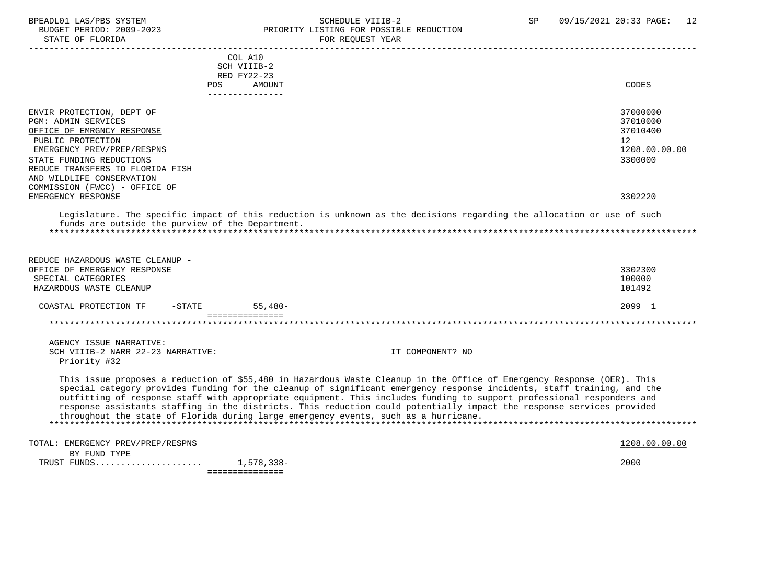#### BPEADL01 LAS/PBS SYSTEM SALL SOME SCHEDULE VIIIB-2 SCHEDULE SP 09/15/2021 20:33 PAGE: 12 BUDGET PERIOD: 2009-2023 PRIORITY LISTING FOR POSSIBLE REDUCTION STATE OF FLORIDA **FOR STATE OF STATE OF STATE OF STATE**

|                                                               |           | COL A10<br>SCH VIIIB-2 |                                                                                                                                                                                                              |                 |
|---------------------------------------------------------------|-----------|------------------------|--------------------------------------------------------------------------------------------------------------------------------------------------------------------------------------------------------------|-----------------|
|                                                               |           | RED FY22-23            |                                                                                                                                                                                                              |                 |
|                                                               | POS       | AMOUNT                 |                                                                                                                                                                                                              | <b>CODES</b>    |
|                                                               |           | ----------------       |                                                                                                                                                                                                              |                 |
| ENVIR PROTECTION, DEPT OF                                     |           |                        |                                                                                                                                                                                                              | 37000000        |
| <b>PGM: ADMIN SERVICES</b>                                    |           |                        |                                                                                                                                                                                                              | 37010000        |
| OFFICE OF EMRGNCY RESPONSE                                    |           |                        |                                                                                                                                                                                                              | 37010400        |
| PUBLIC PROTECTION                                             |           |                        |                                                                                                                                                                                                              | 12 <sup>°</sup> |
| EMERGENCY PREV/PREP/RESPNS                                    |           |                        |                                                                                                                                                                                                              | 1208.00.00.00   |
| STATE FUNDING REDUCTIONS                                      |           |                        |                                                                                                                                                                                                              | 3300000         |
| REDUCE TRANSFERS TO FLORIDA FISH<br>AND WILDLIFE CONSERVATION |           |                        |                                                                                                                                                                                                              |                 |
| COMMISSION (FWCC) - OFFICE OF                                 |           |                        |                                                                                                                                                                                                              |                 |
| EMERGENCY RESPONSE                                            |           |                        |                                                                                                                                                                                                              | 3302220         |
|                                                               |           |                        |                                                                                                                                                                                                              |                 |
|                                                               |           |                        | Legislature. The specific impact of this reduction is unknown as the decisions regarding the allocation or use of such                                                                                       |                 |
| funds are outside the purview of the Department.              |           |                        |                                                                                                                                                                                                              |                 |
|                                                               |           |                        |                                                                                                                                                                                                              |                 |
|                                                               |           |                        |                                                                                                                                                                                                              |                 |
| REDUCE HAZARDOUS WASTE CLEANUP -                              |           |                        |                                                                                                                                                                                                              |                 |
| OFFICE OF EMERGENCY RESPONSE                                  |           |                        |                                                                                                                                                                                                              | 3302300         |
| SPECIAL CATEGORIES                                            |           |                        |                                                                                                                                                                                                              | 100000          |
| HAZARDOUS WASTE CLEANUP                                       |           |                        |                                                                                                                                                                                                              | 101492          |
|                                                               |           |                        |                                                                                                                                                                                                              |                 |
| COASTAL PROTECTION TF                                         | $-$ STATE | $55.480 -$             |                                                                                                                                                                                                              | 2099 1          |
|                                                               |           | ===============        |                                                                                                                                                                                                              |                 |
|                                                               |           |                        |                                                                                                                                                                                                              |                 |
| AGENCY ISSUE NARRATIVE:                                       |           |                        |                                                                                                                                                                                                              |                 |
| SCH VIIIB-2 NARR 22-23 NARRATIVE:                             |           |                        | IT COMPONENT? NO                                                                                                                                                                                             |                 |
| Priority #32                                                  |           |                        |                                                                                                                                                                                                              |                 |
|                                                               |           |                        |                                                                                                                                                                                                              |                 |
|                                                               |           |                        | This issue proposes a reduction of \$55,480 in Hazardous Waste Cleanup in the Office of Emergency Response (OER). This                                                                                       |                 |
|                                                               |           |                        | special category provides funding for the cleanup of significant emergency response incidents, staff training, and the                                                                                       |                 |
|                                                               |           |                        | outfitting of response staff with appropriate equipment. This includes funding to support professional responders and                                                                                        |                 |
|                                                               |           |                        | response assistants staffing in the districts. This reduction could potentially impact the response services provided<br>throughout the state of Florida during large emergency events, such as a hurricane. |                 |
|                                                               |           |                        |                                                                                                                                                                                                              |                 |
|                                                               |           |                        |                                                                                                                                                                                                              |                 |
| TOTAL: EMERGENCY PREV/PREP/RESPNS                             |           |                        |                                                                                                                                                                                                              | 1208.00.00.00   |
| BY FUND TYPE                                                  |           |                        |                                                                                                                                                                                                              |                 |
|                                                               |           |                        |                                                                                                                                                                                                              | 2000            |
|                                                               |           | ===============        |                                                                                                                                                                                                              |                 |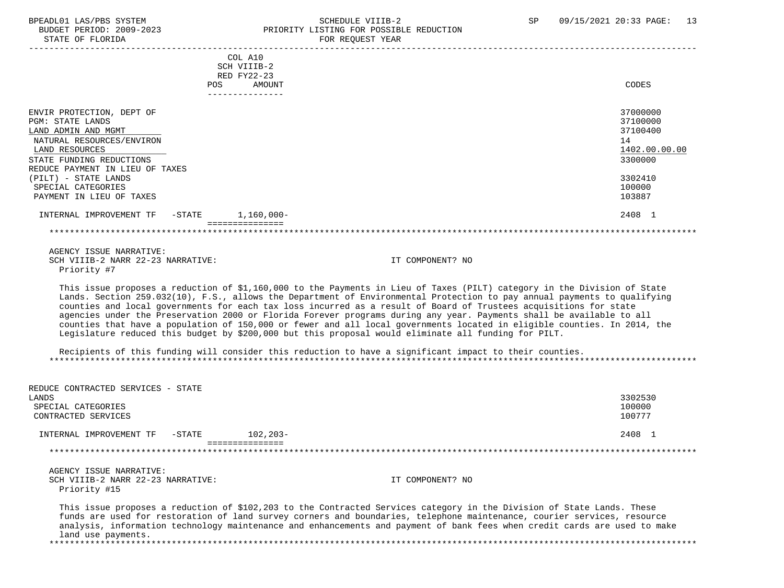#### BPEADL01 LAS/PBS SYSTEM SALLE STREDULE VIIIB-2 SCHEDULE VIIIB-2 SP 09/15/2021 20:33 PAGE: 13<br>BUDGET PERIOD: 2009-2023 PRIORITY LISTING FOR POSSIBLE REDUCTION BUDGET PERIOD: 2009-2023 PRIORITY LISTING FOR POSSIBLE REDUCTION<br>FOR REQUEST YEAR FOR REQUEST YEAR

| COL A10                                                                                                                                                                                                                                                                                                                                                                                                                                                                                                                                                                                                                                                                                                                               |                  |               |
|---------------------------------------------------------------------------------------------------------------------------------------------------------------------------------------------------------------------------------------------------------------------------------------------------------------------------------------------------------------------------------------------------------------------------------------------------------------------------------------------------------------------------------------------------------------------------------------------------------------------------------------------------------------------------------------------------------------------------------------|------------------|---------------|
| SCH VIIIB-2                                                                                                                                                                                                                                                                                                                                                                                                                                                                                                                                                                                                                                                                                                                           |                  |               |
| RED FY22-23                                                                                                                                                                                                                                                                                                                                                                                                                                                                                                                                                                                                                                                                                                                           |                  |               |
| AMOUNT<br>POS                                                                                                                                                                                                                                                                                                                                                                                                                                                                                                                                                                                                                                                                                                                         |                  | CODES         |
|                                                                                                                                                                                                                                                                                                                                                                                                                                                                                                                                                                                                                                                                                                                                       |                  |               |
| ENVIR PROTECTION, DEPT OF                                                                                                                                                                                                                                                                                                                                                                                                                                                                                                                                                                                                                                                                                                             |                  | 37000000      |
| <b>PGM: STATE LANDS</b>                                                                                                                                                                                                                                                                                                                                                                                                                                                                                                                                                                                                                                                                                                               |                  | 37100000      |
| LAND ADMIN AND MGMT                                                                                                                                                                                                                                                                                                                                                                                                                                                                                                                                                                                                                                                                                                                   |                  | 37100400      |
| NATURAL RESOURCES/ENVIRON                                                                                                                                                                                                                                                                                                                                                                                                                                                                                                                                                                                                                                                                                                             |                  | 14            |
| LAND RESOURCES                                                                                                                                                                                                                                                                                                                                                                                                                                                                                                                                                                                                                                                                                                                        |                  | 1402.00.00.00 |
|                                                                                                                                                                                                                                                                                                                                                                                                                                                                                                                                                                                                                                                                                                                                       |                  |               |
| STATE FUNDING REDUCTIONS                                                                                                                                                                                                                                                                                                                                                                                                                                                                                                                                                                                                                                                                                                              |                  | 3300000       |
| REDUCE PAYMENT IN LIEU OF TAXES                                                                                                                                                                                                                                                                                                                                                                                                                                                                                                                                                                                                                                                                                                       |                  | 3302410       |
| (PILT) - STATE LANDS<br>SPECIAL CATEGORIES                                                                                                                                                                                                                                                                                                                                                                                                                                                                                                                                                                                                                                                                                            |                  | 100000        |
| PAYMENT IN LIEU OF TAXES                                                                                                                                                                                                                                                                                                                                                                                                                                                                                                                                                                                                                                                                                                              |                  | 103887        |
|                                                                                                                                                                                                                                                                                                                                                                                                                                                                                                                                                                                                                                                                                                                                       |                  |               |
| 1,160,000-<br>INTERNAL IMPROVEMENT TF -STATE<br>===============                                                                                                                                                                                                                                                                                                                                                                                                                                                                                                                                                                                                                                                                       |                  | 2408 1        |
|                                                                                                                                                                                                                                                                                                                                                                                                                                                                                                                                                                                                                                                                                                                                       |                  |               |
| AGENCY ISSUE NARRATIVE:                                                                                                                                                                                                                                                                                                                                                                                                                                                                                                                                                                                                                                                                                                               |                  |               |
| SCH VIIIB-2 NARR 22-23 NARRATIVE:                                                                                                                                                                                                                                                                                                                                                                                                                                                                                                                                                                                                                                                                                                     | IT COMPONENT? NO |               |
| Priority #7                                                                                                                                                                                                                                                                                                                                                                                                                                                                                                                                                                                                                                                                                                                           |                  |               |
|                                                                                                                                                                                                                                                                                                                                                                                                                                                                                                                                                                                                                                                                                                                                       |                  |               |
| This issue proposes a reduction of \$1,160,000 to the Payments in Lieu of Taxes (PILT) category in the Division of State<br>Lands. Section 259.032(10), F.S., allows the Department of Environmental Protection to pay annual payments to qualifying<br>counties and local governments for each tax loss incurred as a result of Board of Trustees acquisitions for state<br>agencies under the Preservation 2000 or Florida Forever programs during any year. Payments shall be available to all<br>counties that have a population of 150,000 or fewer and all local governments located in eligible counties. In 2014, the<br>Legislature reduced this budget by \$200,000 but this proposal would eliminate all funding for PILT. |                  |               |
| Recipients of this funding will consider this reduction to have a significant impact to their counties.                                                                                                                                                                                                                                                                                                                                                                                                                                                                                                                                                                                                                               |                  |               |

| REDUCE CONTRACTED SERVICES - STATE<br>LANDS<br>SPECIAL CATEGORIES<br>CONTRACTED SERVICES | 3302530<br>100000<br>100777                                                                                                                                                                                                                                                                                                                                                    |
|------------------------------------------------------------------------------------------|--------------------------------------------------------------------------------------------------------------------------------------------------------------------------------------------------------------------------------------------------------------------------------------------------------------------------------------------------------------------------------|
| INTERNAL IMPROVEMENT TF<br>-STATE                                                        | 2408 1<br>102,203-                                                                                                                                                                                                                                                                                                                                                             |
|                                                                                          |                                                                                                                                                                                                                                                                                                                                                                                |
| AGENCY ISSUE NARRATIVE:                                                                  |                                                                                                                                                                                                                                                                                                                                                                                |
| SCH VIIIB-2 NARR 22-23 NARRATIVE:<br>Priority #15                                        | IT COMPONENT? NO                                                                                                                                                                                                                                                                                                                                                               |
| land use payments.                                                                       | This issue proposes a reduction of \$102,203 to the Contracted Services category in the Division of State Lands. These<br>funds are used for restoration of land survey corners and boundaries, telephone maintenance, courier services, resource<br>analysis, information technology maintenance and enhancements and payment of bank fees when credit cards are used to make |

\*\*\*\*\*\*\*\*\*\*\*\*\*\*\*\*\*\*\*\*\*\*\*\*\*\*\*\*\*\*\*\*\*\*\*\*\*\*\*\*\*\*\*\*\*\*\*\*\*\*\*\*\*\*\*\*\*\*\*\*\*\*\*\*\*\*\*\*\*\*\*\*\*\*\*\*\*\*\*\*\*\*\*\*\*\*\*\*\*\*\*\*\*\*\*\*\*\*\*\*\*\*\*\*\*\*\*\*\*\*\*\*\*\*\*\*\*\*\*\*\*\*\*\*\*\*\*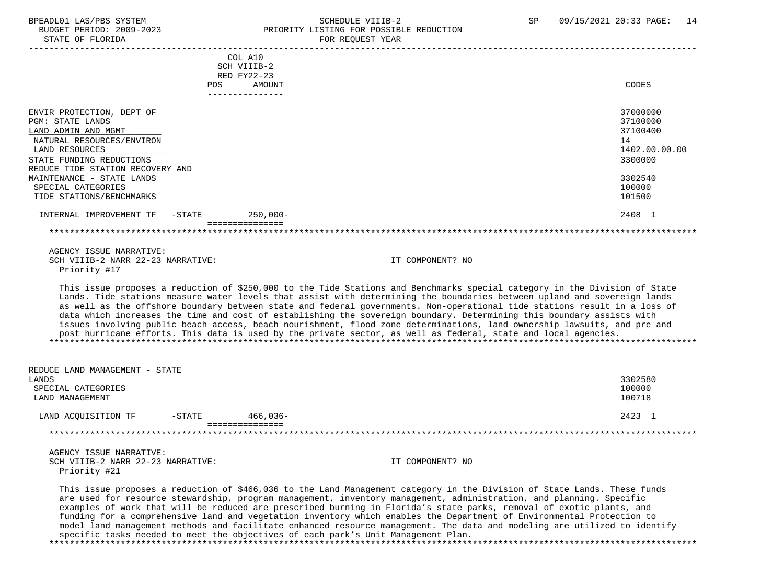#### BPEADL01 LAS/PBS SYSTEM SALL SALL SOMEDULE VIIIB-2 SP 09/15/2021 20:33 PAGE: 14 BUDGET PERIOD: 2009-2023 PRIORITY LISTING FOR POSSIBLE REDUCTION STATE OF FLORIDA FOR REQUEST YEAR FOR REQUEST YEAR

|                                                                                                                                                                                                                                                                           | <b>POS</b> | COL A10<br>SCH VIIIB-2<br>RED FY22-23<br>AMOUNT | CODES                                                                                             |
|---------------------------------------------------------------------------------------------------------------------------------------------------------------------------------------------------------------------------------------------------------------------------|------------|-------------------------------------------------|---------------------------------------------------------------------------------------------------|
|                                                                                                                                                                                                                                                                           |            | -------------                                   |                                                                                                   |
| ENVIR PROTECTION, DEPT OF<br><b>PGM: STATE LANDS</b><br>LAND ADMIN AND MGMT<br>NATURAL RESOURCES/ENVIRON<br>LAND RESOURCES<br>STATE FUNDING REDUCTIONS<br>REDUCE TIDE STATION RECOVERY AND<br>MAINTENANCE - STATE LANDS<br>SPECIAL CATEGORIES<br>TIDE STATIONS/BENCHMARKS |            |                                                 | 37000000<br>37100000<br>37100400<br>14<br>1402.00.00.00<br>3300000<br>3302540<br>100000<br>101500 |
| INTERNAL IMPROVEMENT TF                                                                                                                                                                                                                                                   | $-$ STATE  | $250,000-$                                      | 2408 1                                                                                            |
|                                                                                                                                                                                                                                                                           |            |                                                 |                                                                                                   |

 AGENCY ISSUE NARRATIVE: SCH VIIIB-2 NARR 22-23 NARRATIVE: IT COMPONENT? NO Priority #17

 This issue proposes a reduction of \$250,000 to the Tide Stations and Benchmarks special category in the Division of State Lands. Tide stations measure water levels that assist with determining the boundaries between upland and sovereign lands as well as the offshore boundary between state and federal governments. Non-operational tide stations result in a loss of data which increases the time and cost of establishing the sovereign boundary. Determining this boundary assists with issues involving public beach access, beach nourishment, flood zone determinations, land ownership lawsuits, and pre and

 post hurricane efforts. This data is used by the private sector, as well as federal, state and local agencies. \*\*\*\*\*\*\*\*\*\*\*\*\*\*\*\*\*\*\*\*\*\*\*\*\*\*\*\*\*\*\*\*\*\*\*\*\*\*\*\*\*\*\*\*\*\*\*\*\*\*\*\*\*\*\*\*\*\*\*\*\*\*\*\*\*\*\*\*\*\*\*\*\*\*\*\*\*\*\*\*\*\*\*\*\*\*\*\*\*\*\*\*\*\*\*\*\*\*\*\*\*\*\*\*\*\*\*\*\*\*\*\*\*\*\*\*\*\*\*\*\*\*\*\*\*\*\*

| REDUCE LAND MANAGEMENT - STATE |           |          |         |
|--------------------------------|-----------|----------|---------|
| LANDS                          |           |          | 3302580 |
| SPECIAL CATEGORIES             |           |          | 100000  |
| LAND MANAGEMENT                |           |          | 100718  |
| LAND ACOUISITION TF            | $-$ STATE | 466,036- | 2423 1  |
|                                |           |          |         |
|                                |           |          |         |

|  |              | AGENCY ISSUE NARRATIVE: |                                  |
|--|--------------|-------------------------|----------------------------------|
|  |              |                         | SCH VIIIB-2 NARR 22-23 NARRATIVE |
|  | Priority #21 |                         |                                  |

SCHEINIGE SCHOOL IT COMPONENT? NO

 This issue proposes a reduction of \$466,036 to the Land Management category in the Division of State Lands. These funds are used for resource stewardship, program management, inventory management, administration, and planning. Specific examples of work that will be reduced are prescribed burning in Florida's state parks, removal of exotic plants, and funding for a comprehensive land and vegetation inventory which enables the Department of Environmental Protection to model land management methods and facilitate enhanced resource management. The data and modeling are utilized to identify specific tasks needed to meet the objectives of each park's Unit Management Plan. \*\*\*\*\*\*\*\*\*\*\*\*\*\*\*\*\*\*\*\*\*\*\*\*\*\*\*\*\*\*\*\*\*\*\*\*\*\*\*\*\*\*\*\*\*\*\*\*\*\*\*\*\*\*\*\*\*\*\*\*\*\*\*\*\*\*\*\*\*\*\*\*\*\*\*\*\*\*\*\*\*\*\*\*\*\*\*\*\*\*\*\*\*\*\*\*\*\*\*\*\*\*\*\*\*\*\*\*\*\*\*\*\*\*\*\*\*\*\*\*\*\*\*\*\*\*\*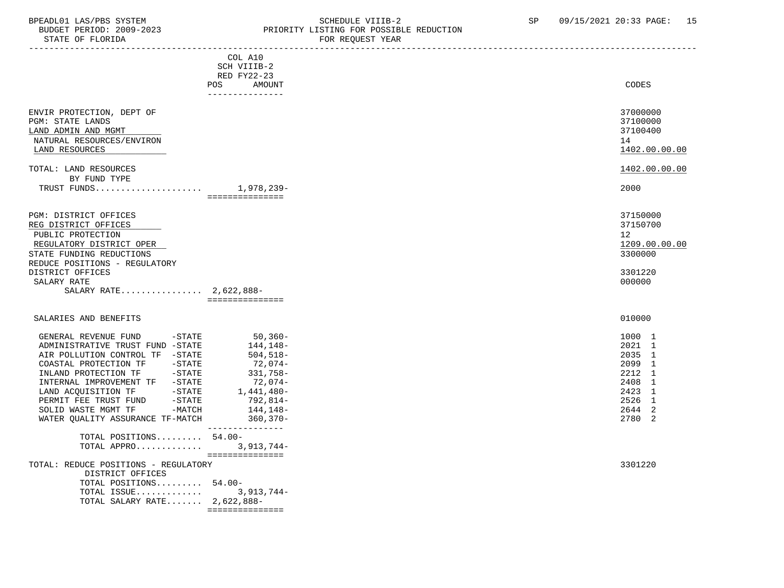### BPEADL01 LAS/PBS SYSTEM SALL SOME SCHEDULE VIIIB-2 SCHEDULE SP 09/15/2021 20:33 PAGE: 15 BUDGET PERIOD: 2009-2023 PRIORITY LISTING FOR POSSIBLE REDUCTION

| STATE OF FLORIDA                                                                                                                                                                                                                                                                                                                                                        |                                                                                                                                            | FOR REQUEST YEAR |                                                                                                  |
|-------------------------------------------------------------------------------------------------------------------------------------------------------------------------------------------------------------------------------------------------------------------------------------------------------------------------------------------------------------------------|--------------------------------------------------------------------------------------------------------------------------------------------|------------------|--------------------------------------------------------------------------------------------------|
|                                                                                                                                                                                                                                                                                                                                                                         | COL A10<br>SCH VIIIB-2<br><b>RED FY22-23</b><br>POS<br>AMOUNT<br>_______________                                                           |                  | CODES                                                                                            |
| ENVIR PROTECTION, DEPT OF<br>PGM: STATE LANDS<br>LAND ADMIN AND MGMT<br>NATURAL RESOURCES/ENVIRON<br>LAND RESOURCES<br>TOTAL: LAND RESOURCES<br>BY FUND TYPE                                                                                                                                                                                                            |                                                                                                                                            |                  | 37000000<br>37100000<br>37100400<br>14<br>1402.00.00.00<br>1402.00.00.00<br>2000                 |
|                                                                                                                                                                                                                                                                                                                                                                         | ===============                                                                                                                            |                  |                                                                                                  |
| PGM: DISTRICT OFFICES<br>REG DISTRICT OFFICES<br>PUBLIC PROTECTION<br>REGULATORY DISTRICT OPER<br>STATE FUNDING REDUCTIONS<br>REDUCE POSITIONS - REGULATORY<br>DISTRICT OFFICES<br>SALARY RATE<br>SALARY RATE 2,622,888-                                                                                                                                                | ===============                                                                                                                            |                  | 37150000<br>37150700<br>12<br>1209.00.00.00<br>3300000<br>3301220<br>000000                      |
| SALARIES AND BENEFITS                                                                                                                                                                                                                                                                                                                                                   |                                                                                                                                            |                  | 010000                                                                                           |
| $-$ STATE<br>GENERAL REVENUE FUND<br>ADMINISTRATIVE TRUST FUND -STATE<br>AIR POLLUTION CONTROL TF -STATE<br>$-\mathtt{STATE}$<br>COASTAL PROTECTION TF<br>INLAND PROTECTION TF -STATE<br>INTERNAL IMPROVEMENT TF -STATE<br>LAND ACQUISITION TF<br>$ STATE$<br>PERMIT FEE TRUST FUND<br>$-$ STATE<br>$-MATCH$<br>SOLID WASTE MGMT TF<br>WATER QUALITY ASSURANCE TF-MATCH | 50,360-<br>144,148–<br>504,518-<br>72,074-<br>331,758-<br>72,074-<br>1,441,480-<br>792,814-<br>144,148–<br>$360, 370 -$<br>--------------- |                  | 1000 1<br>2021 1<br>2035 1<br>2099 1<br>2212 1<br>2408 1<br>2423 1<br>2526 1<br>2644 2<br>2780 2 |
| TOTAL POSITIONS 54.00-<br>TOTAL APPRO 3,913,744-                                                                                                                                                                                                                                                                                                                        |                                                                                                                                            |                  |                                                                                                  |
| TOTAL: REDUCE POSITIONS - REGULATORY<br>DISTRICT OFFICES<br>TOTAL POSITIONS 54.00-<br>TOTAL ISSUE<br>TOTAL SALARY RATE $2,622,888-$                                                                                                                                                                                                                                     | ===============<br>3,913,744-<br>===============                                                                                           |                  | 3301220                                                                                          |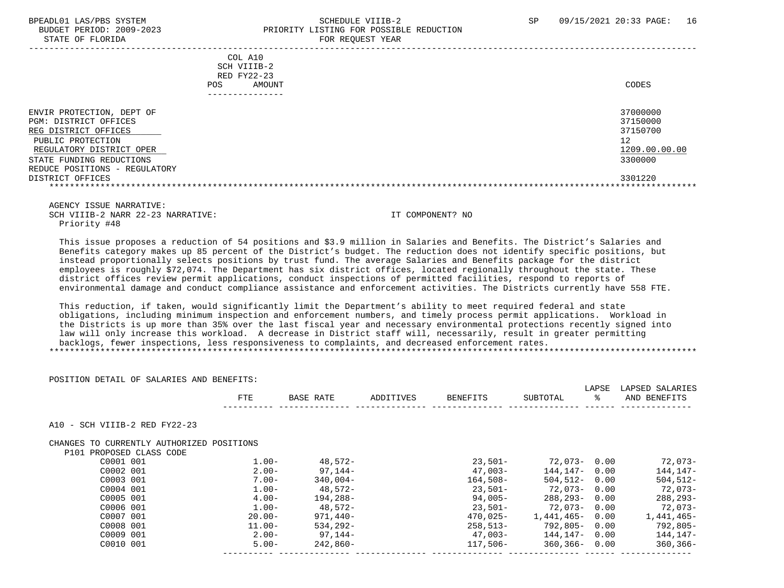#### BPEADL01 LAS/PBS SYSTEM SALL SALL SOMEDULE VIIIB-2 SP 09/15/2021 20:33 PAGE: 16 BUDGET PERIOD: 2009-2023 PRIORITY LISTING FOR POSSIBLE REDUCTION STATE OF FLORIDA FOR REQUEST YEAR

| COL A10<br>SCH VIIIB-2<br>RED FY22-23<br>AMOUNT<br>POS.                                                                                                                                  | CODES                                                              |
|------------------------------------------------------------------------------------------------------------------------------------------------------------------------------------------|--------------------------------------------------------------------|
| ENVIR PROTECTION, DEPT OF<br>PGM: DISTRICT OFFICES<br>REG DISTRICT OFFICES<br>PUBLIC PROTECTION<br>REGULATORY DISTRICT OPER<br>STATE FUNDING REDUCTIONS<br>REDUCE POSITIONS - REGULATORY | 37000000<br>37150000<br>37150700<br>12<br>1209.00.00.00<br>3300000 |
| DISTRICT OFFICES                                                                                                                                                                         | 3301220                                                            |

 AGENCY ISSUE NARRATIVE: SCH VIIIB-2 NARR 22-23 NARRATIVE: IT COMPONENT? NO Priority #48

 This issue proposes a reduction of 54 positions and \$3.9 million in Salaries and Benefits. The District's Salaries and Benefits category makes up 85 percent of the District's budget. The reduction does not identify specific positions, but instead proportionally selects positions by trust fund. The average Salaries and Benefits package for the district employees is roughly \$72,074. The Department has six district offices, located regionally throughout the state. These district offices review permit applications, conduct inspections of permitted facilities, respond to reports of environmental damage and conduct compliance assistance and enforcement activities. The Districts currently have 558 FTE.

 This reduction, if taken, would significantly limit the Department's ability to meet required federal and state obligations, including minimum inspection and enforcement numbers, and timely process permit applications. Workload in the Districts is up more than 35% over the last fiscal year and necessary environmental protections recently signed into law will only increase this workload. A decrease in District staff will, necessarily, result in greater permitting backlogs, fewer inspections, less responsiveness to complaints, and decreased enforcement rates. \*\*\*\*\*\*\*\*\*\*\*\*\*\*\*\*\*\*\*\*\*\*\*\*\*\*\*\*\*\*\*\*\*\*\*\*\*\*\*\*\*\*\*\*\*\*\*\*\*\*\*\*\*\*\*\*\*\*\*\*\*\*\*\*\*\*\*\*\*\*\*\*\*\*\*\*\*\*\*\*\*\*\*\*\*\*\*\*\*\*\*\*\*\*\*\*\*\*\*\*\*\*\*\*\*\*\*\*\*\*\*\*\*\*\*\*\*\*\*\*\*\*\*\*\*\*\*

| POSITION DETAIL OF SALARIES AND BENEFITS: |            |              |           |          |                    | LAPSE | LAPSED SALARIES |
|-------------------------------------------|------------|--------------|-----------|----------|--------------------|-------|-----------------|
|                                           | <b>FTE</b> | BASE RATE    | ADDITIVES | BENEFITS | SUBTOTAL           | ႜ     | AND BENEFITS    |
|                                           |            |              |           |          |                    |       |                 |
| - SCH VIIIB-2 RED FY22-23<br>A10          |            |              |           |          |                    |       |                 |
| CHANGES TO CURRENTLY AUTHORIZED POSITIONS |            |              |           |          |                    |       |                 |
| P101 PROPOSED CLASS CODE                  |            |              |           |          |                    |       |                 |
| C0001 001                                 | $1.00-$    | 48,572-      |           | 23,501-  | 72.073-0.00        |       | 72,073-         |
| C0002 001                                 | $2.00 -$   | 97,144-      |           | 47,003-  | 144,147- 0.00      |       | 144,147-        |
| C0003 001                                 | 7.00-      | $340.004 -$  |           | 164,508- | 504.512- 0.00      |       | $504, 512 -$    |
| C0004 001                                 | $1.00-$    | 48,572-      |           | 23,501-  | 72.073-0.00        |       | 72,073-         |
| C0005 001                                 | $4.00-$    | 194,288-     |           | 94,005-  | 288,293-           | 0.00  | 288,293-        |
| C0006 001                                 | $1.00-$    | 48,572-      |           | 23,501-  | 72.073-0.00        |       | $72,073-$       |
| C0007 001                                 | $20.00 -$  | $971.440 -$  |           | 470,025- | $1.441.465 - 0.00$ |       | 1,441,465-      |
| C0008 001                                 | $11.00 -$  | $534, 292 -$ |           | 258,513- | 792,805-0.00       |       | $792,805-$      |
| C0009 001                                 | $2.00 -$   | 97.144-      |           | 47,003-  | 144.147- 0.00      |       | 144,147-        |
|                                           |            |              |           | 117,506- | $360,366 - 0.00$   |       | $360, 366 -$    |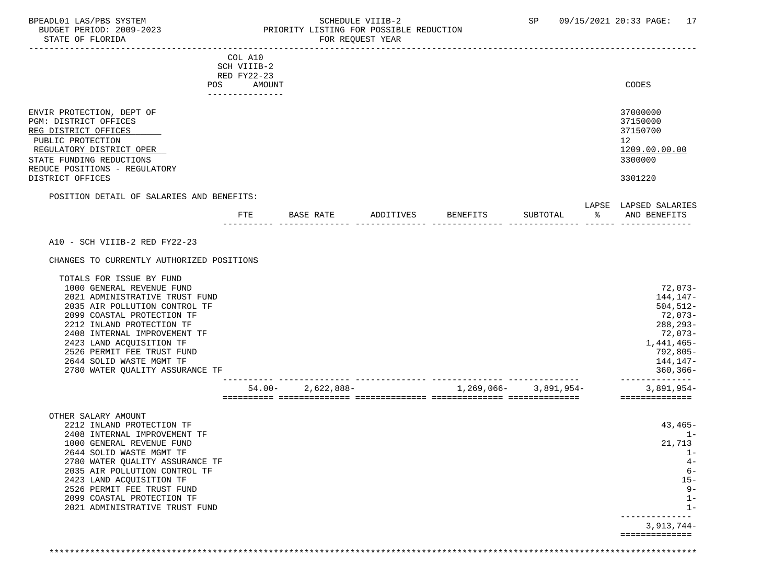STATE OF FLORIDA

# BPEADL01 LAS/PBS SYSTEM SALLE STREDULE VIIIB-2 SCHEDULE VIIIB-2 SP 09/15/2021 20:33 PAGE: 17 PRIORITY LISTING FOR POSSIBLE REDUCTION<br>FOR REQUEST YEAR

|                                                                                                                                                                                                                                                                                                                                              | COL A10               |              |           |            |            |   |                                                                                                                                                |
|----------------------------------------------------------------------------------------------------------------------------------------------------------------------------------------------------------------------------------------------------------------------------------------------------------------------------------------------|-----------------------|--------------|-----------|------------|------------|---|------------------------------------------------------------------------------------------------------------------------------------------------|
|                                                                                                                                                                                                                                                                                                                                              | SCH VIIIB-2           |              |           |            |            |   |                                                                                                                                                |
| POS                                                                                                                                                                                                                                                                                                                                          | RED FY22-23<br>AMOUNT |              |           |            |            |   | CODES                                                                                                                                          |
|                                                                                                                                                                                                                                                                                                                                              | .                     |              |           |            |            |   |                                                                                                                                                |
| ENVIR PROTECTION, DEPT OF<br>PGM: DISTRICT OFFICES<br>REG DISTRICT OFFICES<br>PUBLIC PROTECTION<br>REGULATORY DISTRICT OPER<br>STATE FUNDING REDUCTIONS<br>REDUCE POSITIONS - REGULATORY<br>DISTRICT OFFICES                                                                                                                                 |                       |              |           |            |            |   | 37000000<br>37150000<br>37150700<br>12 <sup>°</sup><br>1209.00.00.00<br>3300000<br>3301220                                                     |
|                                                                                                                                                                                                                                                                                                                                              |                       |              |           |            |            |   |                                                                                                                                                |
| POSITION DETAIL OF SALARIES AND BENEFITS:                                                                                                                                                                                                                                                                                                    |                       |              |           |            |            |   | LAPSE LAPSED SALARIES                                                                                                                          |
|                                                                                                                                                                                                                                                                                                                                              | <b>FTE</b>            | BASE RATE    | ADDITIVES | BENEFITS   | SUBTOTAL   | ႜ | AND BENEFITS                                                                                                                                   |
|                                                                                                                                                                                                                                                                                                                                              |                       |              |           |            |            |   |                                                                                                                                                |
| A10 - SCH VIIIB-2 RED FY22-23                                                                                                                                                                                                                                                                                                                |                       |              |           |            |            |   |                                                                                                                                                |
| CHANGES TO CURRENTLY AUTHORIZED POSITIONS                                                                                                                                                                                                                                                                                                    |                       |              |           |            |            |   |                                                                                                                                                |
| TOTALS FOR ISSUE BY FUND<br>1000 GENERAL REVENUE FUND<br>2021 ADMINISTRATIVE TRUST FUND<br>2035 AIR POLLUTION CONTROL TF<br>2099 COASTAL PROTECTION TF<br>2212 INLAND PROTECTION TF<br>2408 INTERNAL IMPROVEMENT TF<br>2423 LAND ACQUISITION TF<br>2526 PERMIT FEE TRUST FUND<br>2644 SOLID WASTE MGMT TF<br>2780 WATER QUALITY ASSURANCE TF |                       |              |           |            |            |   | 72,073-<br>144,147-<br>$504, 512 -$<br>72,073-<br>288, 293-<br>72,073-<br>1,441,465-<br>792,805-<br>144,147-<br>$360, 366 -$<br>-------------- |
|                                                                                                                                                                                                                                                                                                                                              | $54.00 -$             | $2,622,888-$ |           | 1,269,066- | 3,891,954- |   | $3,891,954-$<br>==============                                                                                                                 |
|                                                                                                                                                                                                                                                                                                                                              |                       |              |           |            |            |   |                                                                                                                                                |
| OTHER SALARY AMOUNT                                                                                                                                                                                                                                                                                                                          |                       |              |           |            |            |   |                                                                                                                                                |
| 2212 INLAND PROTECTION TF<br>2408 INTERNAL IMPROVEMENT TF                                                                                                                                                                                                                                                                                    |                       |              |           |            |            |   | $43,465-$<br>$1 -$                                                                                                                             |
| 1000 GENERAL REVENUE FUND                                                                                                                                                                                                                                                                                                                    |                       |              |           |            |            |   | 21,713                                                                                                                                         |
| 2644 SOLID WASTE MGMT TF                                                                                                                                                                                                                                                                                                                     |                       |              |           |            |            |   | $1-$                                                                                                                                           |
| 2780 WATER QUALITY ASSURANCE TF<br>2035 AIR POLLUTION CONTROL TF                                                                                                                                                                                                                                                                             |                       |              |           |            |            |   | $4-$<br>$6-$                                                                                                                                   |
| 2423 LAND ACQUISITION TF                                                                                                                                                                                                                                                                                                                     |                       |              |           |            |            |   | $15 -$                                                                                                                                         |
| 2526 PERMIT FEE TRUST FUND                                                                                                                                                                                                                                                                                                                   |                       |              |           |            |            |   | $9-$                                                                                                                                           |
| 2099 COASTAL PROTECTION TF                                                                                                                                                                                                                                                                                                                   |                       |              |           |            |            |   | $1 -$                                                                                                                                          |
| 2021 ADMINISTRATIVE TRUST FUND                                                                                                                                                                                                                                                                                                               |                       |              |           |            |            |   | $1 -$                                                                                                                                          |
|                                                                                                                                                                                                                                                                                                                                              |                       |              |           |            |            |   | $3,913,744-$                                                                                                                                   |
|                                                                                                                                                                                                                                                                                                                                              |                       |              |           |            |            |   | ==============                                                                                                                                 |

\*\*\*\*\*\*\*\*\*\*\*\*\*\*\*\*\*\*\*\*\*\*\*\*\*\*\*\*\*\*\*\*\*\*\*\*\*\*\*\*\*\*\*\*\*\*\*\*\*\*\*\*\*\*\*\*\*\*\*\*\*\*\*\*\*\*\*\*\*\*\*\*\*\*\*\*\*\*\*\*\*\*\*\*\*\*\*\*\*\*\*\*\*\*\*\*\*\*\*\*\*\*\*\*\*\*\*\*\*\*\*\*\*\*\*\*\*\*\*\*\*\*\*\*\*\*\*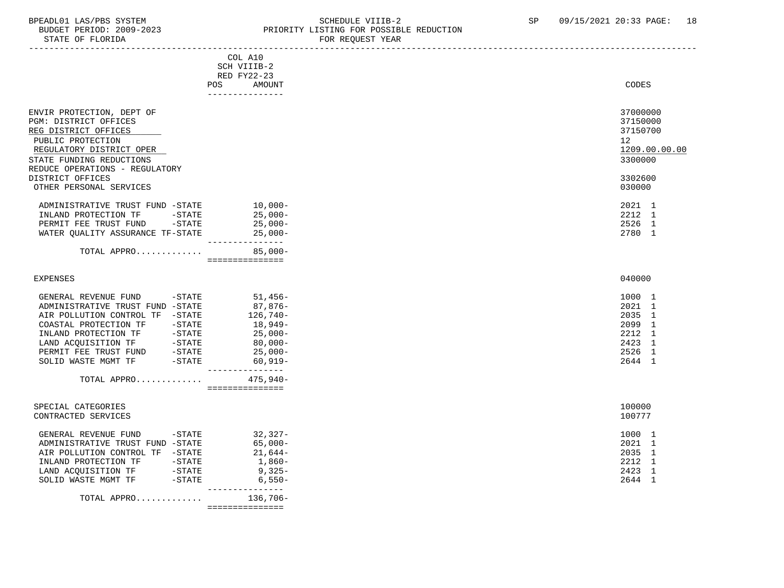# BPEADL01 LAS/PBS SYSTEM STREM SCHEDULE VIIIB-2 SCHEDULE VIIIB-2 SP 09/15/2021 20:33 PAGE: 18

BUDGET PERIOD: 2009-2023 PRIORITY LISTING FOR POSSIBLE REDUCTION<br>FOR REQUEST YEAR FOR REQUEST YEAR

|                                                                                             | COL A10<br>SCH VIIIB-2<br>RED FY22-23 |                 |
|---------------------------------------------------------------------------------------------|---------------------------------------|-----------------|
|                                                                                             | POS<br>AMOUNT<br>---------------      | CODES           |
| ENVIR PROTECTION, DEPT OF                                                                   |                                       | 37000000        |
| PGM: DISTRICT OFFICES                                                                       |                                       | 37150000        |
| REG DISTRICT OFFICES                                                                        |                                       | 37150700        |
| PUBLIC PROTECTION                                                                           |                                       | 12 <sup>°</sup> |
| REGULATORY DISTRICT OPER                                                                    |                                       | 1209.00.00.00   |
| STATE FUNDING REDUCTIONS                                                                    |                                       | 3300000         |
| REDUCE OPERATIONS - REGULATORY                                                              |                                       |                 |
| DISTRICT OFFICES                                                                            |                                       | 3302600         |
| OTHER PERSONAL SERVICES                                                                     |                                       | 030000          |
| ADMINISTRATIVE TRUST FUND -STATE                                                            | $10,000-$                             | 2021 1          |
| INLAND PROTECTION TF -STATE                                                                 | 25,000-                               | 2212 1          |
| PERMIT FEE TRUST FUND -STATE                                                                | 25,000-                               | 2526 1          |
| WATER QUALITY ASSURANCE TF-STATE                                                            | 25,000-                               | 2780 1          |
| TOTAL APPRO                                                                                 | ---------------<br>$85,000-$          |                 |
|                                                                                             |                                       |                 |
| <b>EXPENSES</b>                                                                             |                                       | 040000          |
| GENERAL REVENUE FUND -STATE 51,456-                                                         |                                       | 1000 1          |
| ADMINISTRATIVE TRUST FUND -STATE                                                            |                                       | 2021 1          |
| AIR POLLUTION CONTROL TF -STATE                                                             | -87,876<br>-126,740                   | 2035 1          |
|                                                                                             |                                       | 2099 1          |
|                                                                                             | 18,949–<br>25,000–                    | 2212 1          |
|                                                                                             | $80,000-$                             | 2423 1          |
| LAND ACQUISITION TF - STATE<br>PERMIT FEE TRUST FUND - STATE<br>SOLID WASTE MGMT TF - STATE | $25,000-$                             | 2526 1          |
|                                                                                             | 60,919-<br>-----------                | 2644 1          |
| TOTAL APPRO $475,940-$                                                                      | ===============                       |                 |
|                                                                                             |                                       |                 |
| SPECIAL CATEGORIES                                                                          |                                       | 100000          |
| CONTRACTED SERVICES                                                                         |                                       | 100777          |
| GENERAL REVENUE FUND -STATE                                                                 | $32,327-$                             | 1000 1          |
| ADMINISTRATIVE TRUST FUND -STATE                                                            | 65,000-                               | 2021 1          |
| AIR POLLUTION CONTROL TF -STATE                                                             | 21,644-                               | 2035 1          |
|                                                                                             | 1,860-<br>9,325-                      | 2212 1          |
|                                                                                             |                                       | 2423 1          |
| SOLID WASTE MGMT TF -STATE                                                                  | $6,550-$<br>________________          | 2644 1          |
| TOTAL APPRO $\dots\dots\dots\dots$ 136,706-                                                 |                                       |                 |
|                                                                                             |                                       |                 |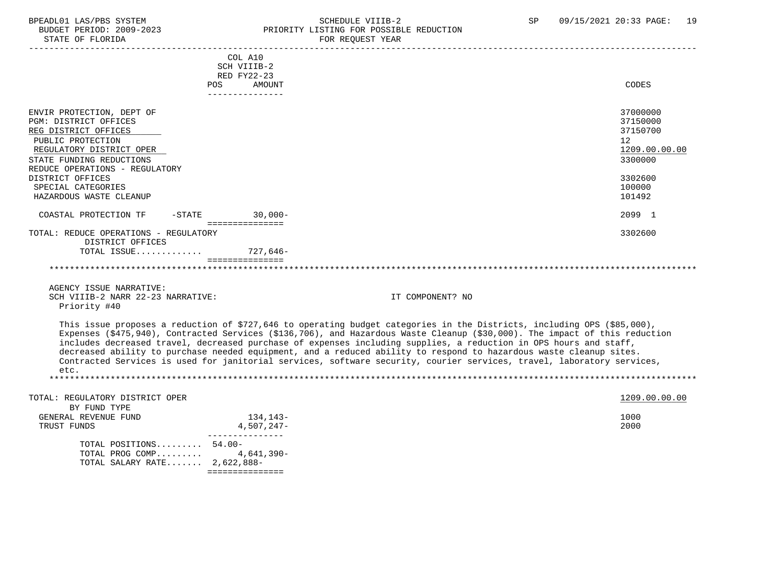#### BPEADL01 LAS/PBS SYSTEM STRING THE SCHEDULE VIIIB-2 SP 09/15/2021 20:33 PAGE: 19<br>BUDGET PERIOD: 2009-2023 PRIORITY LISTING FOR POSSIBLE REDUCTION BUDGET PERIOD: 2009-2023 PRIORITY LISTING FOR POSSIBLE REDUCTION FOR REQUEST YEAR

|                                                            | COL A10<br>SCH VIIIB-2<br>RED FY22-23 |                                                                                                                                                                                                                                                                                                                                                                                                                                                                                                                                                                                                                             |
|------------------------------------------------------------|---------------------------------------|-----------------------------------------------------------------------------------------------------------------------------------------------------------------------------------------------------------------------------------------------------------------------------------------------------------------------------------------------------------------------------------------------------------------------------------------------------------------------------------------------------------------------------------------------------------------------------------------------------------------------------|
|                                                            | POS.<br>AMOUNT<br>----------------    | CODES                                                                                                                                                                                                                                                                                                                                                                                                                                                                                                                                                                                                                       |
| ENVIR PROTECTION, DEPT OF                                  |                                       | 37000000                                                                                                                                                                                                                                                                                                                                                                                                                                                                                                                                                                                                                    |
| PGM: DISTRICT OFFICES<br>REG DISTRICT OFFICES              |                                       | 37150000<br>37150700                                                                                                                                                                                                                                                                                                                                                                                                                                                                                                                                                                                                        |
| PUBLIC PROTECTION                                          |                                       | 12                                                                                                                                                                                                                                                                                                                                                                                                                                                                                                                                                                                                                          |
| REGULATORY DISTRICT OPER                                   |                                       | 1209.00.00.00                                                                                                                                                                                                                                                                                                                                                                                                                                                                                                                                                                                                               |
| STATE FUNDING REDUCTIONS<br>REDUCE OPERATIONS - REGULATORY |                                       | 3300000                                                                                                                                                                                                                                                                                                                                                                                                                                                                                                                                                                                                                     |
| DISTRICT OFFICES                                           |                                       | 3302600                                                                                                                                                                                                                                                                                                                                                                                                                                                                                                                                                                                                                     |
| SPECIAL CATEGORIES                                         |                                       | 100000                                                                                                                                                                                                                                                                                                                                                                                                                                                                                                                                                                                                                      |
| HAZARDOUS WASTE CLEANUP                                    |                                       | 101492                                                                                                                                                                                                                                                                                                                                                                                                                                                                                                                                                                                                                      |
| COASTAL PROTECTION TF                                      | -STATE 30,000-<br>================    | 2099 1                                                                                                                                                                                                                                                                                                                                                                                                                                                                                                                                                                                                                      |
| TOTAL: REDUCE OPERATIONS - REGULATORY                      |                                       | 3302600                                                                                                                                                                                                                                                                                                                                                                                                                                                                                                                                                                                                                     |
| DISTRICT OFFICES                                           |                                       |                                                                                                                                                                                                                                                                                                                                                                                                                                                                                                                                                                                                                             |
| TOTAL ISSUE                                                | 727,646-<br>===============           |                                                                                                                                                                                                                                                                                                                                                                                                                                                                                                                                                                                                                             |
|                                                            |                                       |                                                                                                                                                                                                                                                                                                                                                                                                                                                                                                                                                                                                                             |
|                                                            |                                       |                                                                                                                                                                                                                                                                                                                                                                                                                                                                                                                                                                                                                             |
| AGENCY ISSUE NARRATIVE:                                    |                                       |                                                                                                                                                                                                                                                                                                                                                                                                                                                                                                                                                                                                                             |
| SCH VIIIB-2 NARR 22-23 NARRATIVE:                          |                                       | IT COMPONENT? NO                                                                                                                                                                                                                                                                                                                                                                                                                                                                                                                                                                                                            |
| Priority #40                                               |                                       |                                                                                                                                                                                                                                                                                                                                                                                                                                                                                                                                                                                                                             |
| etc.                                                       |                                       | This issue proposes a reduction of \$727,646 to operating budget categories in the Districts, including OPS (\$85,000),<br>Expenses (\$475,940), Contracted Services (\$136,706), and Hazardous Waste Cleanup (\$30,000). The impact of this reduction<br>includes decreased travel, decreased purchase of expenses including supplies, a reduction in OPS hours and staff,<br>decreased ability to purchase needed equipment, and a reduced ability to respond to hazardous waste cleanup sites.<br>Contracted Services is used for janitorial services, software security, courier services, travel, laboratory services, |
|                                                            |                                       |                                                                                                                                                                                                                                                                                                                                                                                                                                                                                                                                                                                                                             |
| TOTAL: REGULATORY DISTRICT OPER<br>BY FUND TYPE            |                                       | 1209.00.00.00                                                                                                                                                                                                                                                                                                                                                                                                                                                                                                                                                                                                               |
| GENERAL REVENUE FUND                                       | 134,143-                              | 1000                                                                                                                                                                                                                                                                                                                                                                                                                                                                                                                                                                                                                        |
| TRUST FUNDS                                                | $4,507,247-$                          | 2000                                                                                                                                                                                                                                                                                                                                                                                                                                                                                                                                                                                                                        |
|                                                            | ---------------                       |                                                                                                                                                                                                                                                                                                                                                                                                                                                                                                                                                                                                                             |
| TOTAL POSITIONS 54.00-<br>TOTAL PROG COMP                  | 4,641,390-                            |                                                                                                                                                                                                                                                                                                                                                                                                                                                                                                                                                                                                                             |
| TOTAL SALARY RATE 2,622,888-                               |                                       |                                                                                                                                                                                                                                                                                                                                                                                                                                                                                                                                                                                                                             |
|                                                            | ===============                       |                                                                                                                                                                                                                                                                                                                                                                                                                                                                                                                                                                                                                             |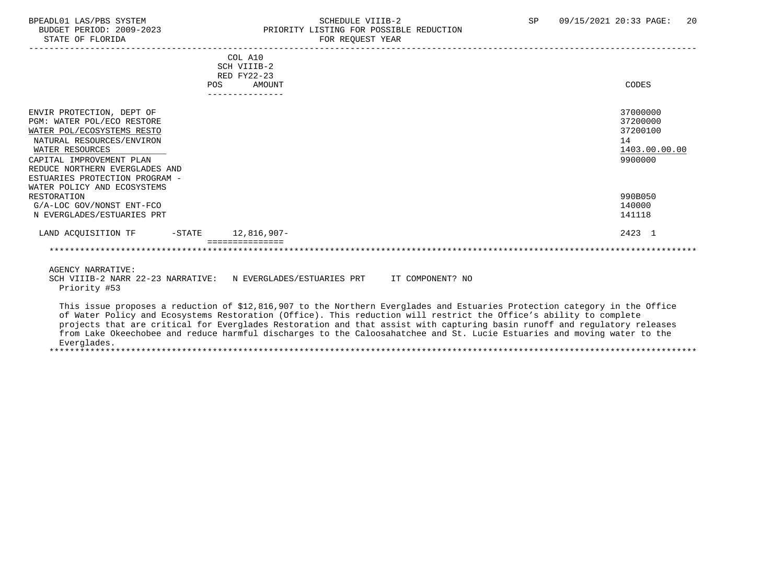#### BPEADL01 LAS/PBS SYSTEM SALLE STREDULE VIIIB-2 SCHEDULE VIIIB-2 SP 09/15/2021 20:33 PAGE: 20<br>BUDGET PERIOD: 2009-2023 PRIORITY LISTING FOR POSSIBLE REDUCTION BUDGET PERIOD: 2009-2023 PRIORITY LISTING FOR POSSIBLE REDUCTION<br>FOR REQUEST YEAR FOR REQUEST YEAR

| COL A10<br>SCH VIIIB-2<br>RED FY22-23<br><b>AMOUNT</b><br><b>POS</b>                                                                                                                                                                                                                                                                                                                                                                                                                                                     | CODES                                                              |
|--------------------------------------------------------------------------------------------------------------------------------------------------------------------------------------------------------------------------------------------------------------------------------------------------------------------------------------------------------------------------------------------------------------------------------------------------------------------------------------------------------------------------|--------------------------------------------------------------------|
| ---------------                                                                                                                                                                                                                                                                                                                                                                                                                                                                                                          |                                                                    |
| ENVIR PROTECTION, DEPT OF<br>PGM: WATER POL/ECO RESTORE<br>WATER POL/ECOSYSTEMS RESTO<br>NATURAL RESOURCES/ENVIRON<br>WATER RESOURCES<br>CAPITAL IMPROVEMENT PLAN<br>REDUCE NORTHERN EVERGLADES AND<br>ESTUARIES PROTECTION PROGRAM -<br>WATER POLICY AND ECOSYSTEMS                                                                                                                                                                                                                                                     | 37000000<br>37200000<br>37200100<br>14<br>1403.00.00.00<br>9900000 |
| RESTORATION                                                                                                                                                                                                                                                                                                                                                                                                                                                                                                              | 990B050                                                            |
| G/A-LOC GOV/NONST ENT-FCO                                                                                                                                                                                                                                                                                                                                                                                                                                                                                                | 140000                                                             |
| N EVERGLADES/ESTUARIES PRT                                                                                                                                                                                                                                                                                                                                                                                                                                                                                               | 141118                                                             |
| LAND ACQUISITION TF -STATE 12,816,907-                                                                                                                                                                                                                                                                                                                                                                                                                                                                                   | 2423 1                                                             |
|                                                                                                                                                                                                                                                                                                                                                                                                                                                                                                                          |                                                                    |
| AGENCY NARRATIVE:<br>SCH VIIIB-2 NARR 22-23 NARRATIVE: N EVERGLADES/ESTUARIES PRT IT COMPONENT? NO<br>Priority #53                                                                                                                                                                                                                                                                                                                                                                                                       |                                                                    |
| This issue proposes a reduction of \$12,816,907 to the Northern Everglades and Estuaries Protection category in the Office<br>of Water Policy and Ecosystems Restoration (Office). This reduction will restrict the Office's ability to complete<br>projects that are critical for Everglades Restoration and that assist with capturing basin runoff and regulatory releases<br>from Lake Okeechobee and reduce harmful discharges to the Caloosahatchee and St. Lucie Estuaries and moving water to the<br>Everglades. |                                                                    |

\*\*\*\*\*\*\*\*\*\*\*\*\*\*\*\*\*\*\*\*\*\*\*\*\*\*\*\*\*\*\*\*\*\*\*\*\*\*\*\*\*\*\*\*\*\*\*\*\*\*\*\*\*\*\*\*\*\*\*\*\*\*\*\*\*\*\*\*\*\*\*\*\*\*\*\*\*\*\*\*\*\*\*\*\*\*\*\*\*\*\*\*\*\*\*\*\*\*\*\*\*\*\*\*\*\*\*\*\*\*\*\*\*\*\*\*\*\*\*\*\*\*\*\*\*\*\*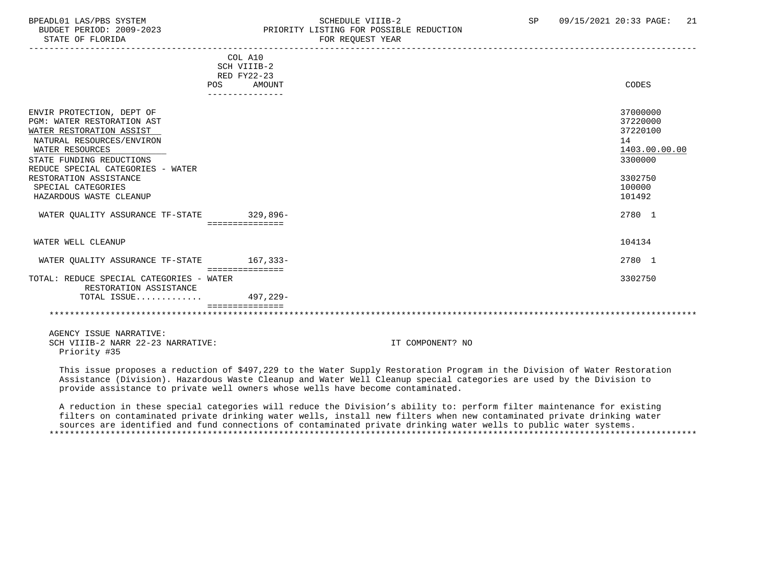#### BPEADL01 LAS/PBS SYSTEM SOHEDULE VIIIB-2 SCHEDULE VIIIB-2 SP 09/15/2021 20:33 PAGE: 21 BUDGET PERIOD: 2009-2023 PRIORITY LISTING FOR POSSIBLE REDUCTION<br>STATE OF FLORIDA FOR REQUEST YEAR

|                                          | RED FY22-23     | COL A10<br>SCH VIIIB-2 |               |
|------------------------------------------|-----------------|------------------------|---------------|
|                                          | POS             | AMOUNT                 | CODES         |
|                                          |                 | --------------         |               |
|                                          |                 |                        |               |
| ENVIR PROTECTION, DEPT OF                |                 |                        | 37000000      |
| PGM: WATER RESTORATION AST               |                 |                        | 37220000      |
| WATER RESTORATION ASSIST                 |                 |                        | 37220100      |
| NATURAL RESOURCES/ENVIRON                |                 |                        | 14            |
| WATER RESOURCES                          |                 |                        | 1403.00.00.00 |
| STATE FUNDING REDUCTIONS                 |                 |                        | 3300000       |
|                                          |                 |                        |               |
| REDUCE SPECIAL CATEGORIES - WATER        |                 |                        |               |
| RESTORATION ASSISTANCE                   |                 |                        | 3302750       |
| SPECIAL CATEGORIES                       |                 |                        | 100000        |
| HAZARDOUS WASTE CLEANUP                  |                 |                        | 101492        |
|                                          |                 |                        |               |
| WATER OUALITY ASSURANCE TF-STATE         |                 | $329,896-$             | 2780 1        |
|                                          |                 | ===============        |               |
|                                          |                 |                        |               |
| WATER WELL CLEANUP                       |                 |                        | 104134        |
|                                          |                 |                        | 2780 1        |
| WATER OUALITY ASSURANCE TF-STATE         |                 | $167.333 -$            |               |
|                                          | =============== |                        |               |
| TOTAL: REDUCE SPECIAL CATEGORIES - WATER |                 |                        | 3302750       |
| RESTORATION ASSISTANCE                   |                 |                        |               |
| TOTAL ISSUE                              |                 | 497,229-               |               |
|                                          |                 |                        |               |
|                                          |                 |                        |               |
|                                          |                 |                        |               |

 AGENCY ISSUE NARRATIVE: SCH VIIIB-2 NARR 22-23 NARRATIVE: IT COMPONENT? NO Priority #35

 This issue proposes a reduction of \$497,229 to the Water Supply Restoration Program in the Division of Water Restoration Assistance (Division). Hazardous Waste Cleanup and Water Well Cleanup special categories are used by the Division to provide assistance to private well owners whose wells have become contaminated.

 A reduction in these special categories will reduce the Division's ability to: perform filter maintenance for existing filters on contaminated private drinking water wells, install new filters when new contaminated private drinking water sources are identified and fund connections of contaminated private drinking water wells to public water systems. \*\*\*\*\*\*\*\*\*\*\*\*\*\*\*\*\*\*\*\*\*\*\*\*\*\*\*\*\*\*\*\*\*\*\*\*\*\*\*\*\*\*\*\*\*\*\*\*\*\*\*\*\*\*\*\*\*\*\*\*\*\*\*\*\*\*\*\*\*\*\*\*\*\*\*\*\*\*\*\*\*\*\*\*\*\*\*\*\*\*\*\*\*\*\*\*\*\*\*\*\*\*\*\*\*\*\*\*\*\*\*\*\*\*\*\*\*\*\*\*\*\*\*\*\*\*\*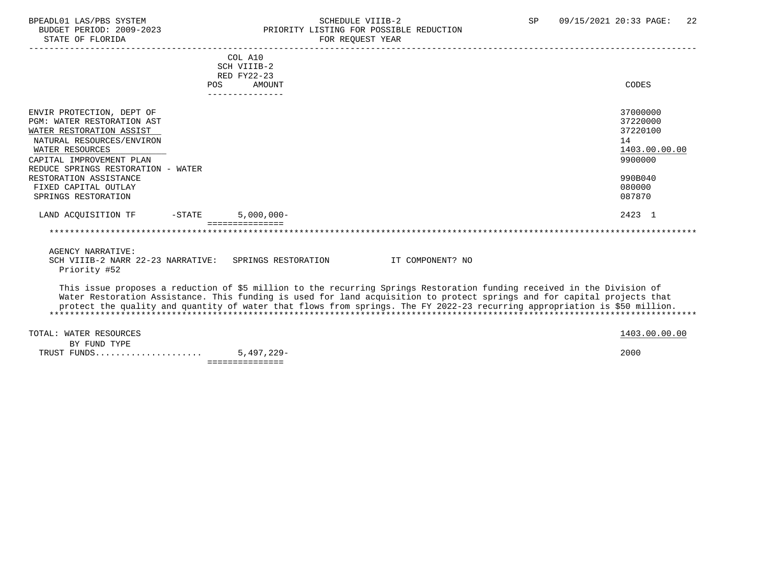STATE OF FLORIDA FOR STATE OF STATE OF STATE OF STATE OF STATE ASSESSMENT OF STATE ASSESSMENT OF STATE AND THE STATE OF STATE ASSESSMENT OF STATE AND THE STATE OF STATE AND THE STATE OF STATE ASSESSMENT OF STATE AND THE ST

### BPEADL01 LAS/PBS SYSTEM SALL SOME SCHEDULE VIIIB-2 SCHEDULE SP 09/15/2021 20:33 PAGE: 22 BUDGET PERIOD: 2009-2023 PRIORITY LISTING FOR POSSIBLE REDUCTION

|                                                                                                                                                                                                                                                                                                                                                                                   | POS. | COL A10<br>SCH VIIIB-2<br>RED FY22-23<br><b>AMOUNT</b> |                  |  | CODES                                                                                   |
|-----------------------------------------------------------------------------------------------------------------------------------------------------------------------------------------------------------------------------------------------------------------------------------------------------------------------------------------------------------------------------------|------|--------------------------------------------------------|------------------|--|-----------------------------------------------------------------------------------------|
|                                                                                                                                                                                                                                                                                                                                                                                   |      | ---------------                                        |                  |  |                                                                                         |
| ENVIR PROTECTION, DEPT OF<br>PGM: WATER RESTORATION AST<br>WATER RESTORATION ASSIST<br>NATURAL RESOURCES/ENVIRON<br>WATER RESOURCES<br>CAPITAL IMPROVEMENT PLAN<br>REDUCE SPRINGS RESTORATION - WATER<br>RESTORATION ASSISTANCE<br>FIXED CAPITAL OUTLAY                                                                                                                           |      |                                                        |                  |  | 37000000<br>37220000<br>37220100<br>14<br>1403.00.00.00<br>9900000<br>990B040<br>080000 |
| SPRINGS RESTORATION                                                                                                                                                                                                                                                                                                                                                               |      |                                                        |                  |  | 087870                                                                                  |
| LAND ACOUISITION TF<br>-STATE                                                                                                                                                                                                                                                                                                                                                     |      | $5,000,000 -$                                          |                  |  | 2423 1                                                                                  |
|                                                                                                                                                                                                                                                                                                                                                                                   |      |                                                        |                  |  |                                                                                         |
| AGENCY NARRATIVE:<br>SCH VIIIB-2 NARR 22-23 NARRATIVE: SPRINGS RESTORATION<br>Priority #52                                                                                                                                                                                                                                                                                        |      |                                                        | IT COMPONENT? NO |  |                                                                                         |
| This issue proposes a reduction of \$5 million to the recurring Springs Restoration funding received in the Division of<br>Water Restoration Assistance. This funding is used for land acquisition to protect springs and for capital projects that<br>protect the quality and quantity of water that flows from springs. The FY 2022-23 recurring appropriation is \$50 million. |      |                                                        |                  |  |                                                                                         |

TOTAL: WATER RESOURCES 1403.00.00 POTAL: WATER RESOURCES BY FUND TYPE TRUST FUNDS..................... 5,497,229- 2000 ===============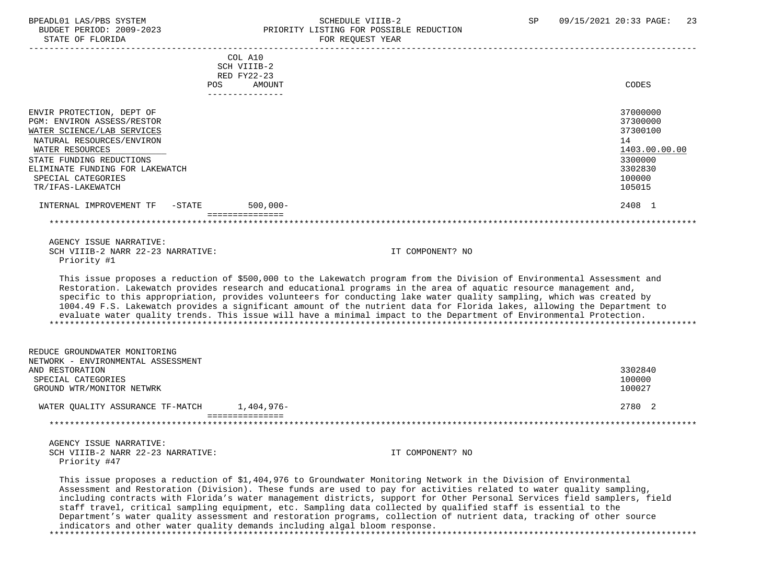### BPEADL01 LAS/PBS SYSTEM SOHEDULE VIIIB-2 SCHEDULE VIIIB-2 SP 09/15/2021 20:33 PAGE: 23<br>BUDGET PERIOD: 2009-2023 PRIORITY LISTING FOR POSSIBLE REDUCTION BUDGET PERIOD: 2009-2023<br>CTATE OF FLORIDA

| STATE OF FLORIDA                                                    |                            | FOR REQUEST YEAR                                                                                                                                                                                                                                                                                                                                                                                                                                                                                                                                                                                                       |               |
|---------------------------------------------------------------------|----------------------------|------------------------------------------------------------------------------------------------------------------------------------------------------------------------------------------------------------------------------------------------------------------------------------------------------------------------------------------------------------------------------------------------------------------------------------------------------------------------------------------------------------------------------------------------------------------------------------------------------------------------|---------------|
|                                                                     | COL A10                    |                                                                                                                                                                                                                                                                                                                                                                                                                                                                                                                                                                                                                        |               |
|                                                                     | SCH VIIIB-2<br>RED FY22-23 |                                                                                                                                                                                                                                                                                                                                                                                                                                                                                                                                                                                                                        |               |
|                                                                     | <b>POS</b><br>AMOUNT       |                                                                                                                                                                                                                                                                                                                                                                                                                                                                                                                                                                                                                        | CODES         |
|                                                                     | ---------------            |                                                                                                                                                                                                                                                                                                                                                                                                                                                                                                                                                                                                                        |               |
| ENVIR PROTECTION, DEPT OF                                           |                            |                                                                                                                                                                                                                                                                                                                                                                                                                                                                                                                                                                                                                        | 37000000      |
| PGM: ENVIRON ASSESS/RESTOR                                          |                            |                                                                                                                                                                                                                                                                                                                                                                                                                                                                                                                                                                                                                        | 37300000      |
| WATER SCIENCE/LAB SERVICES                                          |                            |                                                                                                                                                                                                                                                                                                                                                                                                                                                                                                                                                                                                                        | 37300100      |
| NATURAL RESOURCES/ENVIRON                                           |                            |                                                                                                                                                                                                                                                                                                                                                                                                                                                                                                                                                                                                                        | 14            |
| WATER RESOURCES                                                     |                            |                                                                                                                                                                                                                                                                                                                                                                                                                                                                                                                                                                                                                        | 1403.00.00.00 |
| STATE FUNDING REDUCTIONS                                            |                            |                                                                                                                                                                                                                                                                                                                                                                                                                                                                                                                                                                                                                        | 3300000       |
| ELIMINATE FUNDING FOR LAKEWATCH                                     |                            |                                                                                                                                                                                                                                                                                                                                                                                                                                                                                                                                                                                                                        | 3302830       |
| SPECIAL CATEGORIES                                                  |                            |                                                                                                                                                                                                                                                                                                                                                                                                                                                                                                                                                                                                                        | 100000        |
| TR/IFAS-LAKEWATCH                                                   |                            |                                                                                                                                                                                                                                                                                                                                                                                                                                                                                                                                                                                                                        | 105015        |
| INTERNAL IMPROVEMENT TF<br>$-$ STATE                                | $500,000 -$                |                                                                                                                                                                                                                                                                                                                                                                                                                                                                                                                                                                                                                        | 2408 1        |
|                                                                     | ===============            |                                                                                                                                                                                                                                                                                                                                                                                                                                                                                                                                                                                                                        |               |
| AGENCY ISSUE NARRATIVE:                                             |                            |                                                                                                                                                                                                                                                                                                                                                                                                                                                                                                                                                                                                                        |               |
| SCH VIIIB-2 NARR 22-23 NARRATIVE:                                   |                            | IT COMPONENT? NO                                                                                                                                                                                                                                                                                                                                                                                                                                                                                                                                                                                                       |               |
| Priority #1                                                         |                            |                                                                                                                                                                                                                                                                                                                                                                                                                                                                                                                                                                                                                        |               |
|                                                                     |                            | This issue proposes a reduction of \$500,000 to the Lakewatch program from the Division of Environmental Assessment and<br>Restoration. Lakewatch provides research and educational programs in the area of aquatic resource management and,<br>specific to this appropriation, provides volunteers for conducting lake water quality sampling, which was created by<br>1004.49 F.S. Lakewatch provides a significant amount of the nutrient data for Florida lakes, allowing the Department to<br>evaluate water quality trends. This issue will have a minimal impact to the Department of Environmental Protection. |               |
| REDUCE GROUNDWATER MONITORING<br>NETWORK - ENVIRONMENTAL ASSESSMENT |                            |                                                                                                                                                                                                                                                                                                                                                                                                                                                                                                                                                                                                                        |               |
| AND RESTORATION                                                     |                            |                                                                                                                                                                                                                                                                                                                                                                                                                                                                                                                                                                                                                        | 3302840       |
| SPECIAL CATEGORIES                                                  |                            |                                                                                                                                                                                                                                                                                                                                                                                                                                                                                                                                                                                                                        | 100000        |
| GROUND WTR/MONITOR NETWRK                                           |                            |                                                                                                                                                                                                                                                                                                                                                                                                                                                                                                                                                                                                                        | 100027        |
| WATER QUALITY ASSURANCE TF-MATCH 1,404,976-                         |                            |                                                                                                                                                                                                                                                                                                                                                                                                                                                                                                                                                                                                                        | 2780 2        |
|                                                                     | ===============            |                                                                                                                                                                                                                                                                                                                                                                                                                                                                                                                                                                                                                        |               |
| AGENCY ISSUE NARRATIVE:                                             |                            |                                                                                                                                                                                                                                                                                                                                                                                                                                                                                                                                                                                                                        |               |
| SCH VIIIB-2 NARR 22-23 NARRATIVE:                                   |                            | IT COMPONENT? NO                                                                                                                                                                                                                                                                                                                                                                                                                                                                                                                                                                                                       |               |
| Priority #47                                                        |                            |                                                                                                                                                                                                                                                                                                                                                                                                                                                                                                                                                                                                                        |               |

 This issue proposes a reduction of \$1,404,976 to Groundwater Monitoring Network in the Division of Environmental Assessment and Restoration (Division). These funds are used to pay for activities related to water quality sampling, including contracts with Florida's water management districts, support for Other Personal Services field samplers, field staff travel, critical sampling equipment, etc. Sampling data collected by qualified staff is essential to the Department's water quality assessment and restoration programs, collection of nutrient data, tracking of other source indicators and other water quality demands including algal bloom response. \*\*\*\*\*\*\*\*\*\*\*\*\*\*\*\*\*\*\*\*\*\*\*\*\*\*\*\*\*\*\*\*\*\*\*\*\*\*\*\*\*\*\*\*\*\*\*\*\*\*\*\*\*\*\*\*\*\*\*\*\*\*\*\*\*\*\*\*\*\*\*\*\*\*\*\*\*\*\*\*\*\*\*\*\*\*\*\*\*\*\*\*\*\*\*\*\*\*\*\*\*\*\*\*\*\*\*\*\*\*\*\*\*\*\*\*\*\*\*\*\*\*\*\*\*\*\*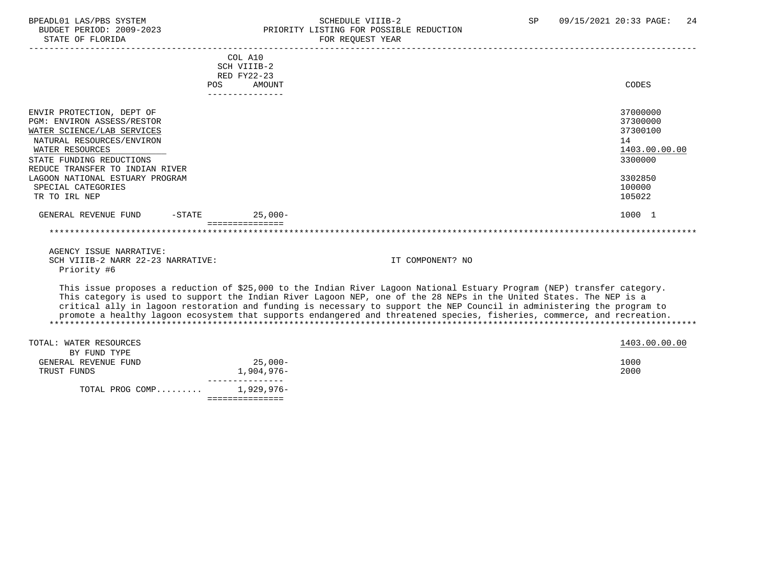### BPEADL01 LAS/PBS SYSTEM SALL SOME SCHEDULE VIIIB-2 SCHEDULE SUNTA SP 09/15/2021 20:33 PAGE: 24 BUDGET PERIOD: 2009-2023 PRIORITY LISTING FOR POSSIBLE REDUCTION

|                                   | COL A10                                |                                                                                                                                                                                                                                                 |               |
|-----------------------------------|----------------------------------------|-------------------------------------------------------------------------------------------------------------------------------------------------------------------------------------------------------------------------------------------------|---------------|
|                                   | SCH VIIIB-2                            |                                                                                                                                                                                                                                                 |               |
|                                   | RED FY22-23                            |                                                                                                                                                                                                                                                 |               |
|                                   | POS<br><b>AMOUNT</b><br>-------------- |                                                                                                                                                                                                                                                 | CODES         |
|                                   |                                        |                                                                                                                                                                                                                                                 |               |
| ENVIR PROTECTION, DEPT OF         |                                        |                                                                                                                                                                                                                                                 | 37000000      |
| PGM: ENVIRON ASSESS/RESTOR        |                                        |                                                                                                                                                                                                                                                 | 37300000      |
| WATER SCIENCE/LAB SERVICES        |                                        |                                                                                                                                                                                                                                                 | 37300100      |
| NATURAL RESOURCES/ENVIRON         |                                        |                                                                                                                                                                                                                                                 | 14            |
| WATER RESOURCES                   |                                        |                                                                                                                                                                                                                                                 | 1403.00.00.00 |
| STATE FUNDING REDUCTIONS          |                                        |                                                                                                                                                                                                                                                 | 3300000       |
| REDUCE TRANSFER TO INDIAN RIVER   |                                        |                                                                                                                                                                                                                                                 |               |
| LAGOON NATIONAL ESTUARY PROGRAM   |                                        |                                                                                                                                                                                                                                                 | 3302850       |
| SPECIAL CATEGORIES                |                                        |                                                                                                                                                                                                                                                 | 100000        |
| TR TO IRL NEP                     |                                        |                                                                                                                                                                                                                                                 | 105022        |
|                                   |                                        |                                                                                                                                                                                                                                                 |               |
| GENERAL REVENUE FUND<br>$-STATE$  | $25.000 -$                             |                                                                                                                                                                                                                                                 | 1000 1        |
|                                   | ===============                        |                                                                                                                                                                                                                                                 |               |
|                                   |                                        |                                                                                                                                                                                                                                                 |               |
|                                   |                                        |                                                                                                                                                                                                                                                 |               |
| AGENCY ISSUE NARRATIVE:           |                                        |                                                                                                                                                                                                                                                 |               |
| SCH VIIIB-2 NARR 22-23 NARRATIVE: |                                        | IT COMPONENT? NO                                                                                                                                                                                                                                |               |
| Priority #6                       |                                        |                                                                                                                                                                                                                                                 |               |
|                                   |                                        |                                                                                                                                                                                                                                                 |               |
|                                   |                                        | This issue proposes a reduction of \$25,000 to the Indian River Lagoon National Estuary Program (NEP) transfer category.<br>This category is used to support the Indian River Lagoon NEP, one of the 28 NEPs in the United States. The NEP is a |               |
|                                   |                                        | critical ally in lagoon restoration and funding is necessary to support the NEP Council in administering the program to                                                                                                                         |               |
|                                   |                                        | promote a healthy lagoon ecosystem that supports endangered and threatened species, fisheries, commerce, and recreation.                                                                                                                        |               |
|                                   |                                        |                                                                                                                                                                                                                                                 |               |
|                                   |                                        |                                                                                                                                                                                                                                                 |               |
| TOTAL: WATER RESOURCES            |                                        |                                                                                                                                                                                                                                                 | 1403.00.00.00 |
| BY FUND TYPE                      |                                        |                                                                                                                                                                                                                                                 |               |
| GENERAL REVENUE FUND              | $25,000-$                              |                                                                                                                                                                                                                                                 | 1000          |
| TRUST FUNDS                       | 1,904,976-                             |                                                                                                                                                                                                                                                 | 2000          |
|                                   |                                        |                                                                                                                                                                                                                                                 |               |
| TOTAL PROG COMP                   | $1,929,976-$                           |                                                                                                                                                                                                                                                 |               |

===============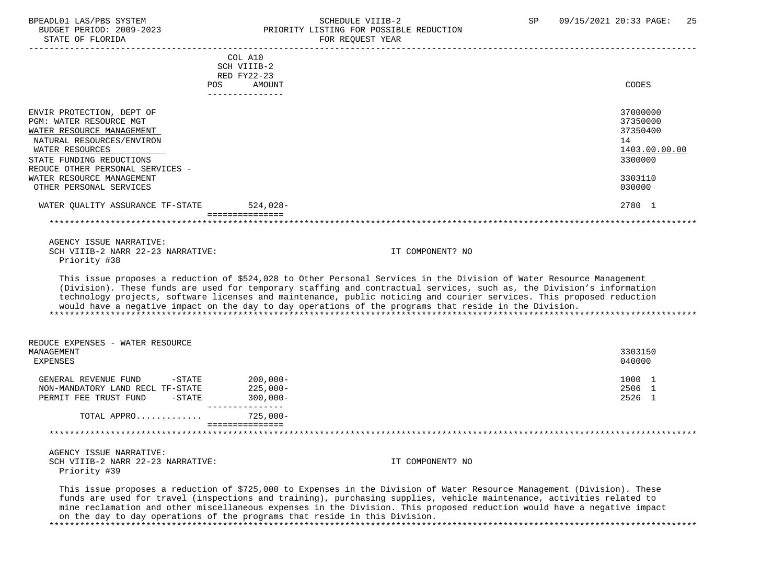### BPEADL01 LAS/PBS SYSTEM SALL SALL SOMEDULE VIIIB-2 SP 09/15/2021 20:33 PAGE: 25 BUDGET PERIOD: 2009-2023 PRIORITY LISTING FOR POSSIBLE REDUCTION

STATE OF FLORIDA **FOR REQUEST YEAR**  ----------------------------------------------------------------------------------------------------------------------------------- COL A10 SCH VIIIB-2 RED FY22-23 POS AMOUNT CODES --------------- ENVIR PROTECTION, DEPT OF SAN SERVICE SUBSEXUATION OF SERVICE SERVICE SERVICE SUBSEXUATION OF STRESS OF STRESS OF STRESS OF STRESS OF STRESS OF STRESS OF STRESS OF STRESS OF STRESS OF STRESS OF STRESS OF STRESS OF STRESS O PGM: WATER RESOURCE MGT<br>WATER RESOURCE MANAGEMENT 37350000<br>WATER RESOURCE MANAGEMENT WATER RESOURCE MANAGEMENT NATURAL RESOURCES/ENVIRON 14 WATER RESOURCES 1403.00.00.00 \_\_\_\_\_\_\_\_\_\_\_\_\_\_\_\_\_\_\_\_\_\_\_\_\_\_ \_\_\_\_\_\_\_\_\_\_\_\_\_ STATE FUNDING REDUCTIONS 3300000 REDUCE OTHER PERSONAL SERVICES - WATER RESOURCE MANAGEMENT 3303110 OTHER PERSONAL SERVICES WATER QUALITY ASSURANCE TF-STATE 524,028- 2780 1 =============== \*\*\*\*\*\*\*\*\*\*\*\*\*\*\*\*\*\*\*\*\*\*\*\*\*\*\*\*\*\*\*\*\*\*\*\*\*\*\*\*\*\*\*\*\*\*\*\*\*\*\*\*\*\*\*\*\*\*\*\*\*\*\*\*\*\*\*\*\*\*\*\*\*\*\*\*\*\*\*\*\*\*\*\*\*\*\*\*\*\*\*\*\*\*\*\*\*\*\*\*\*\*\*\*\*\*\*\*\*\*\*\*\*\*\*\*\*\*\*\*\*\*\*\*\*\*\* AGENCY ISSUE NARRATIVE: SCH VIIIB-2 NARR 22-23 NARRATIVE: IT COMPONENT? NO Priority #38 This issue proposes a reduction of \$524,028 to Other Personal Services in the Division of Water Resource Management (Division). These funds are used for temporary staffing and contractual services, such as, the Division's information technology projects, software licenses and maintenance, public noticing and courier services. This proposed reduction would have a negative impact on the day to day operations of the programs that reside in the Division. \*\*\*\*\*\*\*\*\*\*\*\*\*\*\*\*\*\*\*\*\*\*\*\*\*\*\*\*\*\*\*\*\*\*\*\*\*\*\*\*\*\*\*\*\*\*\*\*\*\*\*\*\*\*\*\*\*\*\*\*\*\*\*\*\*\*\*\*\*\*\*\*\*\*\*\*\*\*\*\*\*\*\*\*\*\*\*\*\*\*\*\*\*\*\*\*\*\*\*\*\*\*\*\*\*\*\*\*\*\*\*\*\*\*\*\*\*\*\*\*\*\*\*\*\*\*\* REDUCE EXPENSES - WATER RESOURCE MANAGEMENT 3303150 EXPENSES 040000 GENERAL REVENUE FUND -STATE 200,000-<br>NON-MANDATORY LAND RECL TE-STATE 225 000-NON-MANDATORY LAND RECL TF-STATE 225,000-<br>
2506 1 PERMIT FEE TRUST FUND -STATE 300.000- 2506 1 PERMIT FEE TRUST FUND -STATE --------------- TOTAL APPRO............. 725,000- =============== \*\*\*\*\*\*\*\*\*\*\*\*\*\*\*\*\*\*\*\*\*\*\*\*\*\*\*\*\*\*\*\*\*\*\*\*\*\*\*\*\*\*\*\*\*\*\*\*\*\*\*\*\*\*\*\*\*\*\*\*\*\*\*\*\*\*\*\*\*\*\*\*\*\*\*\*\*\*\*\*\*\*\*\*\*\*\*\*\*\*\*\*\*\*\*\*\*\*\*\*\*\*\*\*\*\*\*\*\*\*\*\*\*\*\*\*\*\*\*\*\*\*\*\*\*\*\* AGENCY ISSUE NARRATIVE: SCH VIIIB-2 NARR 22-23 NARRATIVE: IT COMPONENT? NO Priority #39 This issue proposes a reduction of \$725,000 to Expenses in the Division of Water Resource Management (Division). These

 funds are used for travel (inspections and training), purchasing supplies, vehicle maintenance, activities related to mine reclamation and other miscellaneous expenses in the Division. This proposed reduction would have a negative impact on the day to day operations of the programs that reside in this Division. \*\*\*\*\*\*\*\*\*\*\*\*\*\*\*\*\*\*\*\*\*\*\*\*\*\*\*\*\*\*\*\*\*\*\*\*\*\*\*\*\*\*\*\*\*\*\*\*\*\*\*\*\*\*\*\*\*\*\*\*\*\*\*\*\*\*\*\*\*\*\*\*\*\*\*\*\*\*\*\*\*\*\*\*\*\*\*\*\*\*\*\*\*\*\*\*\*\*\*\*\*\*\*\*\*\*\*\*\*\*\*\*\*\*\*\*\*\*\*\*\*\*\*\*\*\*\*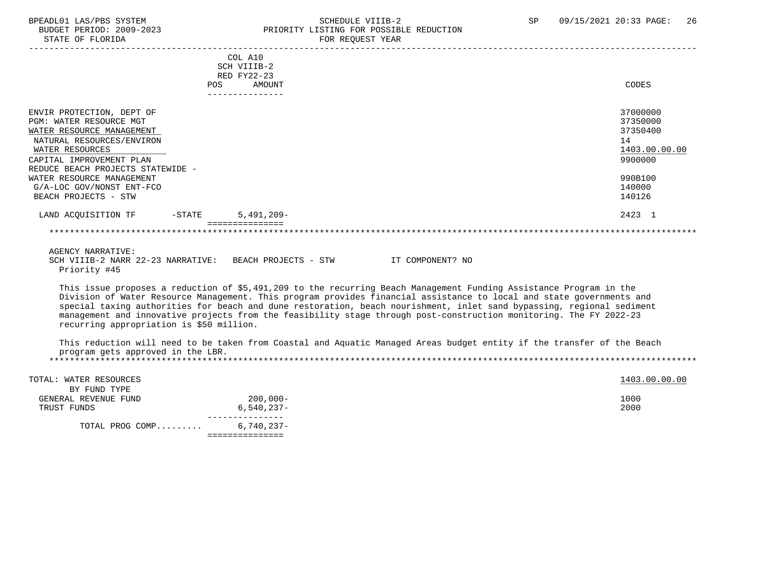#### BPEADL01 LAS/PBS SYSTEM SALLE STRID SCHEDULE VIIIB-2 SP 09/15/2021 20:33 PAGE: 26<br>BUDGET PERIOD: 2009-2023 PRIORITY LISTING FOR POSSIBLE REDUCTION BUDGET PERIOD: 2009-2023 PRIORITY LISTING FOR POSSIBLE REDUCTION FOR REQUEST YEAR

|                                                        | COL A10                                                                                                                |               |
|--------------------------------------------------------|------------------------------------------------------------------------------------------------------------------------|---------------|
|                                                        | SCH VIIIB-2                                                                                                            |               |
|                                                        | RED FY22-23                                                                                                            |               |
| <b>POS</b>                                             | <b>AMOUNT</b>                                                                                                          | CODES         |
|                                                        | ---------------                                                                                                        |               |
| ENVIR PROTECTION, DEPT OF                              |                                                                                                                        | 37000000      |
| PGM: WATER RESOURCE MGT                                |                                                                                                                        | 37350000      |
| WATER RESOURCE MANAGEMENT                              |                                                                                                                        | 37350400      |
| NATURAL RESOURCES/ENVIRON                              |                                                                                                                        | 14            |
| WATER RESOURCES                                        |                                                                                                                        | 1403.00.00.00 |
| CAPITAL IMPROVEMENT PLAN                               |                                                                                                                        | 9900000       |
| REDUCE BEACH PROJECTS STATEWIDE -                      |                                                                                                                        |               |
| WATER RESOURCE MANAGEMENT                              |                                                                                                                        | 990B100       |
| G/A-LOC GOV/NONST ENT-FCO                              |                                                                                                                        | 140000        |
| BEACH PROJECTS - STW                                   |                                                                                                                        | 140126        |
|                                                        |                                                                                                                        |               |
| LAND ACQUISITION TF -STATE 5,491,209-                  |                                                                                                                        | 2423 1        |
|                                                        | <b>BEBBBBBBBBBBBBB</b>                                                                                                 |               |
|                                                        |                                                                                                                        |               |
| <b>AGENCY NARRATIVE:</b>                               |                                                                                                                        |               |
| SCH VIIIB-2 NARR 22-23 NARRATIVE: BEACH PROJECTS - STW | IT COMPONENT? NO                                                                                                       |               |
| Priority #45                                           |                                                                                                                        |               |
|                                                        |                                                                                                                        |               |
|                                                        | This issue proposes a reduction of \$5,491,209 to the recurring Beach Management Funding Assistance Program in the     |               |
|                                                        | Division of Water Resource Management. This program provides financial assistance to local and state governments and   |               |
|                                                        | special taxing authorities for beach and dune restoration, beach nourishment, inlet sand bypassing, regional sediment  |               |
|                                                        | management and innovative projects from the feasibility stage through post-construction monitoring. The FY 2022-23     |               |
| recurring appropriation is \$50 million.               |                                                                                                                        |               |
|                                                        |                                                                                                                        |               |
|                                                        | This reduction will need to be taken from Coastal and Aquatic Managed Areas budget entity if the transfer of the Beach |               |
| program gets approved in the LBR.                      |                                                                                                                        |               |
|                                                        |                                                                                                                        |               |
| TOTAL: WATER RESOURCES                                 |                                                                                                                        | 1403.00.00.00 |
| BY FUND TYPE                                           |                                                                                                                        |               |
| GENERAL REVENUE FUND                                   | $200,000-$                                                                                                             | 1000          |
| TRUST FUNDS                                            | $6,540,237-$                                                                                                           | 2000          |
|                                                        |                                                                                                                        |               |
| TOTAL PROG COMP                                        | $6.740.237 -$                                                                                                          |               |
|                                                        | ===============                                                                                                        |               |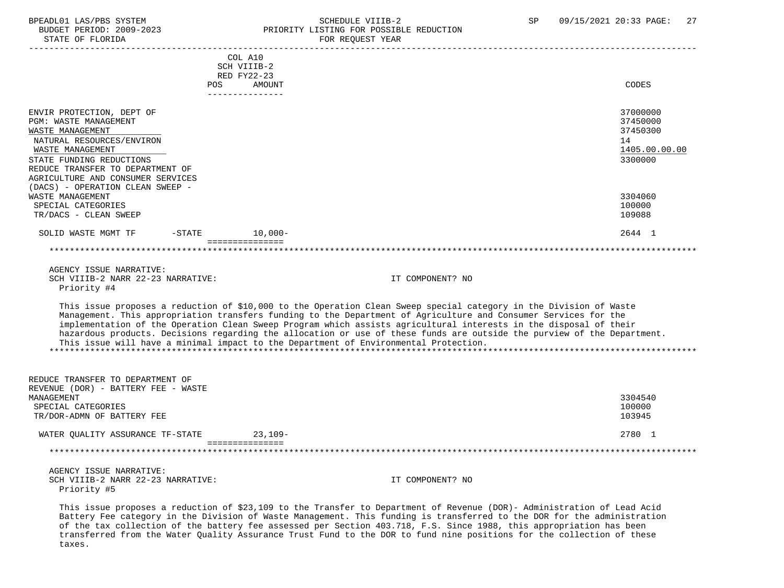STATE OF FLORIDA FOR REQUEST YEAR

### BPEADL01 LAS/PBS SYSTEM STRING THE SCHEDULE VIIIB-2 SP 09/15/2021 20:33 PAGE: 27<br>BUDGET PERIOD: 2009-2023 PRIORITY LISTING FOR POSSIBLE REDUCTION PRIORITY LISTING FOR POSSIBLE REDUCTION

| SIAIL UP PLUKIDA                                  |                        | PUR REQUESI IEAR                                                                                                        |                  |
|---------------------------------------------------|------------------------|-------------------------------------------------------------------------------------------------------------------------|------------------|
|                                                   | COL A10                |                                                                                                                         |                  |
|                                                   | SCH VIIIB-2            |                                                                                                                         |                  |
|                                                   | RED FY22-23            |                                                                                                                         |                  |
|                                                   | POS<br><b>AMOUNT</b>   |                                                                                                                         | CODES            |
|                                                   | ----------------       |                                                                                                                         |                  |
| ENVIR PROTECTION, DEPT OF                         |                        |                                                                                                                         | 37000000         |
| <b>PGM: WASTE MANAGEMENT</b>                      |                        |                                                                                                                         | 37450000         |
| WASTE MANAGEMENT                                  |                        |                                                                                                                         | 37450300         |
| NATURAL RESOURCES/ENVIRON                         |                        |                                                                                                                         | 14               |
| WASTE MANAGEMENT                                  |                        |                                                                                                                         | 1405.00.00.00    |
| STATE FUNDING REDUCTIONS                          |                        |                                                                                                                         | 3300000          |
| REDUCE TRANSFER TO DEPARTMENT OF                  |                        |                                                                                                                         |                  |
| AGRICULTURE AND CONSUMER SERVICES                 |                        |                                                                                                                         |                  |
| (DACS) - OPERATION CLEAN SWEEP -                  |                        |                                                                                                                         |                  |
| WASTE MANAGEMENT                                  |                        |                                                                                                                         | 3304060          |
| SPECIAL CATEGORIES                                |                        |                                                                                                                         | 100000           |
| TR/DACS - CLEAN SWEEP                             |                        |                                                                                                                         | 109088           |
| SOLID WASTE MGMT TF                               | $10,000-$<br>$-$ STATE |                                                                                                                         | 2644 1           |
|                                                   | ===============        |                                                                                                                         |                  |
|                                                   |                        |                                                                                                                         |                  |
|                                                   |                        |                                                                                                                         |                  |
| AGENCY ISSUE NARRATIVE:                           |                        |                                                                                                                         |                  |
| SCH VIIIB-2 NARR 22-23 NARRATIVE:                 |                        | IT COMPONENT? NO                                                                                                        |                  |
| Priority #4                                       |                        |                                                                                                                         |                  |
|                                                   |                        |                                                                                                                         |                  |
|                                                   |                        | This issue proposes a reduction of \$10,000 to the Operation Clean Sweep special category in the Division of Waste      |                  |
|                                                   |                        | Management. This appropriation transfers funding to the Department of Agriculture and Consumer Services for the         |                  |
|                                                   |                        | implementation of the Operation Clean Sweep Program which assists agricultural interests in the disposal of their       |                  |
|                                                   |                        | hazardous products. Decisions regarding the allocation or use of these funds are outside the purview of the Department. |                  |
|                                                   |                        | This issue will have a minimal impact to the Department of Environmental Protection.                                    |                  |
|                                                   |                        |                                                                                                                         |                  |
|                                                   |                        |                                                                                                                         |                  |
|                                                   |                        |                                                                                                                         |                  |
| REDUCE TRANSFER TO DEPARTMENT OF                  |                        |                                                                                                                         |                  |
| REVENUE (DOR) - BATTERY FEE - WASTE<br>MANAGEMENT |                        |                                                                                                                         | 3304540          |
|                                                   |                        |                                                                                                                         |                  |
| SPECIAL CATEGORIES                                |                        |                                                                                                                         | 100000<br>103945 |
| TR/DOR-ADMN OF BATTERY FEE                        |                        |                                                                                                                         |                  |
| WATER OUALITY ASSURANCE TF-STATE                  | $23,109-$              |                                                                                                                         | 2780 1           |
|                                                   | ===============        |                                                                                                                         |                  |
|                                                   |                        |                                                                                                                         |                  |
| AGENCY ISSUE NARRATIVE:                           |                        |                                                                                                                         |                  |
| SCH VIIIB-2 NARR 22-23 NARRATIVE:                 |                        | IT COMPONENT? NO                                                                                                        |                  |
| Priority #5                                       |                        |                                                                                                                         |                  |
|                                                   |                        |                                                                                                                         |                  |

 This issue proposes a reduction of \$23,109 to the Transfer to Department of Revenue (DOR)- Administration of Lead Acid Battery Fee category in the Division of Waste Management. This funding is transferred to the DOR for the administration of the tax collection of the battery fee assessed per Section 403.718, F.S. Since 1988, this appropriation has been transferred from the Water Quality Assurance Trust Fund to the DOR to fund nine positions for the collection of these taxes.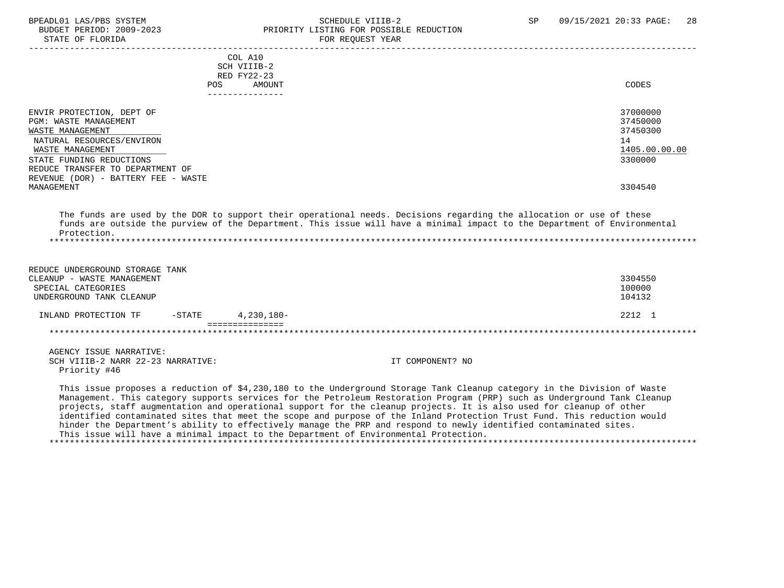# BPEADL01 LAS/PBS SYSTEM SOHEDULE VIIIB-2 SCHEDULE VIIIB-2 SP 09/15/2021 20:33 PAGE: 28 UDGET PERIOD: 2009-2023 PRIORITY LISTING FOR POSSIBLE REDUCTION

|                                     |           |                           | _________________________________ |
|-------------------------------------|-----------|---------------------------|-----------------------------------|
|                                     |           | COL A10                   |                                   |
|                                     |           | SCH VIIIB-2               |                                   |
|                                     |           | RED FY22-23               |                                   |
|                                     | POS       | AMOUNT<br>--------------- | CODES                             |
|                                     |           |                           |                                   |
| ENVIR PROTECTION, DEPT OF           |           |                           | 37000000                          |
| <b>PGM: WASTE MANAGEMENT</b>        |           |                           | 37450000                          |
| WASTE MANAGEMENT                    |           |                           | 37450300                          |
| NATURAL RESOURCES/ENVIRON           |           |                           | 14                                |
| WASTE MANAGEMENT                    |           |                           | 1405.00.00.00                     |
| STATE FUNDING REDUCTIONS            |           |                           | 3300000                           |
| REDUCE TRANSFER TO DEPARTMENT OF    |           |                           |                                   |
| REVENUE (DOR) - BATTERY FEE - WASTE |           |                           |                                   |
| MANAGEMENT                          |           |                           | 3304540                           |
|                                     |           |                           |                                   |
| Protection.                         |           |                           |                                   |
| REDUCE UNDERGROUND STORAGE TANK     |           |                           |                                   |
| CLEANUP - WASTE MANAGEMENT          |           |                           | 3304550                           |
| SPECIAL CATEGORIES                  |           |                           | 100000                            |
| UNDERGROUND TANK CLEANUP            |           |                           | 104132                            |
| INLAND PROTECTION TF                | $-$ STATE | 4,230,180-                | 2212 1                            |
|                                     |           | ===============           |                                   |
|                                     |           |                           |                                   |
| AGENCY ISSUE NARRATIVE:             |           |                           |                                   |

gement. This category supports services for the Petroleum Restoration Program (PRP) such as Underground Tank Cleanup projects, staff augmentation and operational support for the cleanup projects. It is also used for cleanup of other identified contaminated sites that meet the scope and purpose of the Inland Protection Trust Fund. This reduction would hinder the Department's ability to effectively manage the PRP and respond to newly identified contaminated sites. This issue will have a minimal impact to the Department of Environmental Protection. \*\*\*\*\*\*\*\*\*\*\*\*\*\*\*\*\*\*\*\*\*\*\*\*\*\*\*\*\*\*\*\*\*\*\*\*\*\*\*\*\*\*\*\*\*\*\*\*\*\*\*\*\*\*\*\*\*\*\*\*\*\*\*\*\*\*\*\*\*\*\*\*\*\*\*\*\*\*\*\*\*\*\*\*\*\*\*\*\*\*\*\*\*\*\*\*\*\*\*\*\*\*\*\*\*\*\*\*\*\*\*\*\*\*\*\*\*\*\*\*\*\*\*\*\*\*\*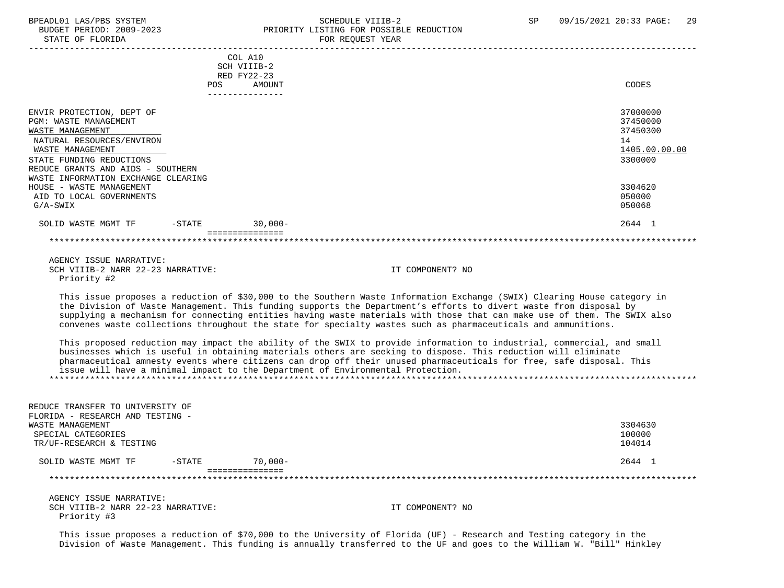Priority #3

# BPEADL01 LAS/PBS SYSTEM STREER STREER: 29<br>BUDGET PERIOD: 2009-2023 SPERORITY LISTING FOR POSSIBLE REDUCTION PRIORITY LISTING FOR POSSIBLE REDUCTION<br>FOR REQUEST YEAR

|                                                                                                                                                                                          |           | COL A10<br>SCH VIIIB-2                   |                                                                                                                                                                                                                                                                                                                                                                                                                                                                                            |                                                                    |
|------------------------------------------------------------------------------------------------------------------------------------------------------------------------------------------|-----------|------------------------------------------|--------------------------------------------------------------------------------------------------------------------------------------------------------------------------------------------------------------------------------------------------------------------------------------------------------------------------------------------------------------------------------------------------------------------------------------------------------------------------------------------|--------------------------------------------------------------------|
|                                                                                                                                                                                          | POS.      | RED FY22-23<br>AMOUNT<br>--------------- |                                                                                                                                                                                                                                                                                                                                                                                                                                                                                            | CODES                                                              |
| ENVIR PROTECTION, DEPT OF<br>PGM: WASTE MANAGEMENT<br>WASTE MANAGEMENT<br>NATURAL RESOURCES/ENVIRON<br>WASTE MANAGEMENT<br>STATE FUNDING REDUCTIONS<br>REDUCE GRANTS AND AIDS - SOUTHERN |           |                                          |                                                                                                                                                                                                                                                                                                                                                                                                                                                                                            | 37000000<br>37450000<br>37450300<br>14<br>1405.00.00.00<br>3300000 |
| WASTE INFORMATION EXCHANGE CLEARING<br>HOUSE - WASTE MANAGEMENT<br>AID TO LOCAL GOVERNMENTS<br>$G/A-SWIX$                                                                                |           |                                          |                                                                                                                                                                                                                                                                                                                                                                                                                                                                                            | 3304620<br>050000<br>050068                                        |
| SOLID WASTE MGMT TF                                                                                                                                                                      | $-$ STATE | $30,000-$                                |                                                                                                                                                                                                                                                                                                                                                                                                                                                                                            | 2644 1                                                             |
|                                                                                                                                                                                          |           | ===============                          |                                                                                                                                                                                                                                                                                                                                                                                                                                                                                            |                                                                    |
| AGENCY ISSUE NARRATIVE:<br>SCH VIIIB-2 NARR 22-23 NARRATIVE:<br>Priority #2                                                                                                              |           |                                          | IT COMPONENT? NO                                                                                                                                                                                                                                                                                                                                                                                                                                                                           |                                                                    |
|                                                                                                                                                                                          |           |                                          | This issue proposes a reduction of \$30,000 to the Southern Waste Information Exchange (SWIX) Clearing House category in<br>the Division of Waste Management. This funding supports the Department's efforts to divert waste from disposal by<br>supplying a mechanism for connecting entities having waste materials with those that can make use of them. The SWIX also<br>convenes waste collections throughout the state for specialty wastes such as pharmaceuticals and ammunitions. |                                                                    |
|                                                                                                                                                                                          |           |                                          | This proposed reduction may impact the ability of the SWIX to provide information to industrial, commercial, and small<br>businesses which is useful in obtaining materials others are seeking to dispose. This reduction will eliminate<br>pharmaceutical amnesty events where citizens can drop off their unused pharmaceuticals for free, safe disposal. This<br>issue will have a minimal impact to the Department of Environmental Protection.                                        |                                                                    |
| REDUCE TRANSFER TO UNIVERSITY OF<br>FLORIDA - RESEARCH AND TESTING -                                                                                                                     |           |                                          |                                                                                                                                                                                                                                                                                                                                                                                                                                                                                            |                                                                    |
| WASTE MANAGEMENT<br>SPECIAL CATEGORIES<br>TR/UF-RESEARCH & TESTING                                                                                                                       |           |                                          |                                                                                                                                                                                                                                                                                                                                                                                                                                                                                            | 3304630<br>100000<br>104014                                        |
| SOLID WASTE MGMT TF                                                                                                                                                                      | $-$ STATE | $70,000-$                                |                                                                                                                                                                                                                                                                                                                                                                                                                                                                                            | 2644 1                                                             |
|                                                                                                                                                                                          |           | ===============                          |                                                                                                                                                                                                                                                                                                                                                                                                                                                                                            |                                                                    |
| AGENCY ISSUE NARRATIVE:                                                                                                                                                                  |           |                                          |                                                                                                                                                                                                                                                                                                                                                                                                                                                                                            |                                                                    |
| SCH VIIIB-2 NARR 22-23 NARRATIVE:                                                                                                                                                        |           |                                          | IT COMPONENT? NO                                                                                                                                                                                                                                                                                                                                                                                                                                                                           |                                                                    |

 This issue proposes a reduction of \$70,000 to the University of Florida (UF) - Research and Testing category in the Division of Waste Management. This funding is annually transferred to the UF and goes to the William W. "Bill" Hinkley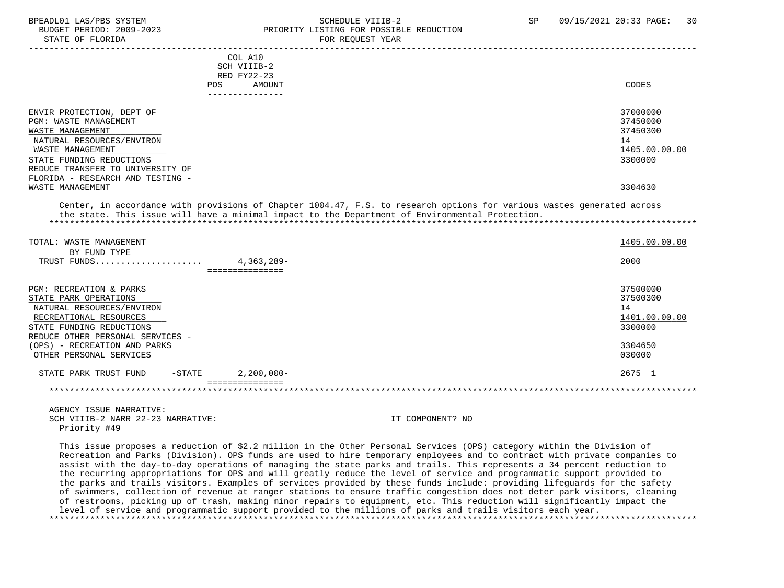#### BPEADL01 LAS/PBS SYSTEM SCHEDULE VIIIB-2 SCHEDULE VIIIB-2 SP 09/15/2021 20:33 PAGE: 30 BUDGET PERIOD: 2009-2023<br>
STATE OF FLORIDA<br>
FOR REOUEST YEAR FOR REQUEST YEAR

| COL A10<br>SCH VIIIB-2<br>RED FY22-23<br>AMOUNT<br><b>POS</b>                                                                                                                                                                                          | CODES                                                                         |
|--------------------------------------------------------------------------------------------------------------------------------------------------------------------------------------------------------------------------------------------------------|-------------------------------------------------------------------------------|
| --------------                                                                                                                                                                                                                                         |                                                                               |
| ENVIR PROTECTION, DEPT OF<br><b>PGM: WASTE MANAGEMENT</b><br>WASTE MANAGEMENT<br>NATURAL RESOURCES/ENVIRON<br>WASTE MANAGEMENT<br>STATE FUNDING REDUCTIONS<br>REDUCE TRANSFER TO UNIVERSITY OF<br>FLORIDA - RESEARCH AND TESTING -<br>WASTE MANAGEMENT | 37000000<br>37450000<br>37450300<br>14<br>1405.00.00.00<br>3300000<br>3304630 |
| Center, in accordance with provisions of Chapter 1004.47, F.S. to research options for various wastes generated across<br>the state. This issue will have a minimal impact to the Department of Environmental Protection.                              |                                                                               |
| TOTAL: WASTE MANAGEMENT<br>BY FUND TYPE                                                                                                                                                                                                                | 1405.00.00.00                                                                 |
| 4,363,289-<br>TRUST FUNDS                                                                                                                                                                                                                              | 2000                                                                          |

| PGM: RECREATION & PARKS          |               | 37500000      |
|----------------------------------|---------------|---------------|
| STATE PARK OPERATIONS            |               | 37500300      |
| NATURAL RESOURCES/ENVIRON        |               | 14            |
| RECREATIONAL RESOURCES           |               | 1401.00.00.00 |
| STATE FUNDING REDUCTIONS         |               | 3300000       |
| REDUCE OTHER PERSONAL SERVICES - |               |               |
| - RECREATION AND PARKS<br>(OPS)  |               | 3304650       |
| OTHER PERSONAL SERVICES          |               | 030000        |
| -STATE<br>STATE PARK TRUST FUND  | $2,200,000 -$ | 2675          |
|                                  |               |               |
|                                  |               |               |

 AGENCY ISSUE NARRATIVE: SCH VIIIB-2 NARR 22-23 NARRATIVE: IT COMPONENT? NO Priority #49

 This issue proposes a reduction of \$2.2 million in the Other Personal Services (OPS) category within the Division of Recreation and Parks (Division). OPS funds are used to hire temporary employees and to contract with private companies to assist with the day-to-day operations of managing the state parks and trails. This represents a 34 percent reduction to the recurring appropriations for OPS and will greatly reduce the level of service and programmatic support provided to the parks and trails visitors. Examples of services provided by these funds include: providing lifeguards for the safety of swimmers, collection of revenue at ranger stations to ensure traffic congestion does not deter park visitors, cleaning of restrooms, picking up of trash, making minor repairs to equipment, etc. This reduction will significantly impact the level of service and programmatic support provided to the millions of parks and trails visitors each year. \*\*\*\*\*\*\*\*\*\*\*\*\*\*\*\*\*\*\*\*\*\*\*\*\*\*\*\*\*\*\*\*\*\*\*\*\*\*\*\*\*\*\*\*\*\*\*\*\*\*\*\*\*\*\*\*\*\*\*\*\*\*\*\*\*\*\*\*\*\*\*\*\*\*\*\*\*\*\*\*\*\*\*\*\*\*\*\*\*\*\*\*\*\*\*\*\*\*\*\*\*\*\*\*\*\*\*\*\*\*\*\*\*\*\*\*\*\*\*\*\*\*\*\*\*\*\*

\*\*\*\*\*\*\*\*\*\*\*\*\*\*\*\*\*\*\*\*\*\*\*\*\*\*\*\*\*\*\*\*\*\*\*\*\*\*\*\*\*\*\*\*\*\*\*\*\*\*\*\*\*\*\*\*\*\*\*\*\*\*\*\*\*\*\*\*\*\*\*\*\*\*\*\*\*\*\*\*\*\*\*\*\*\*\*\*\*\*\*\*\*\*\*\*\*\*\*\*\*\*\*\*\*\*\*\*\*\*\*\*\*\*\*\*\*\*\*\*\*\*\*\*\*\*\*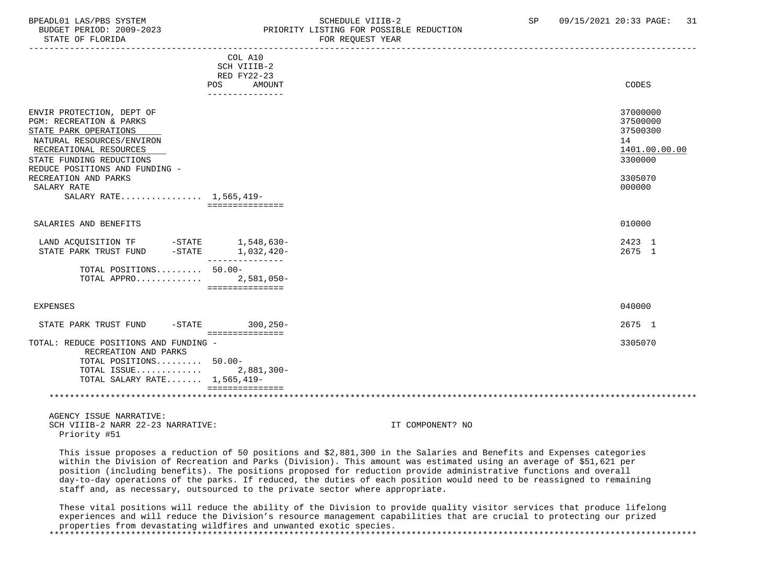STATE OF FLORIDA FOR REQUEST YEAR

### BPEADL01 LAS/PBS SYSTEM SOHEDULE VIIIB-2 SCHEDULE VIIIB-2 SP 09/15/2021 20:33 PAGE: 31 PRIORITY LISTING FOR POSSIBLE REDUCTION

|                                                                                                                                                                                                    | COL A10<br>SCH VIIIB-2<br>RED FY22-23 |    |                                                              |
|----------------------------------------------------------------------------------------------------------------------------------------------------------------------------------------------------|---------------------------------------|----|--------------------------------------------------------------|
|                                                                                                                                                                                                    | AMOUNT<br><b>POS</b>                  |    | CODES                                                        |
|                                                                                                                                                                                                    |                                       |    |                                                              |
| ENVIR PROTECTION, DEPT OF<br>PGM: RECREATION & PARKS<br>STATE PARK OPERATIONS<br>NATURAL RESOURCES/ENVIRON<br>RECREATIONAL RESOURCES<br>STATE FUNDING REDUCTIONS<br>REDUCE POSITIONS AND FUNDING - |                                       | 14 | 37000000<br>37500000<br>37500300<br>1401.00.00.00<br>3300000 |
|                                                                                                                                                                                                    |                                       |    |                                                              |
| RECREATION AND PARKS                                                                                                                                                                               |                                       |    | 3305070                                                      |
| SALARY RATE                                                                                                                                                                                        |                                       |    | 000000                                                       |
| SALARY RATE 1,565,419-                                                                                                                                                                             |                                       |    |                                                              |
|                                                                                                                                                                                                    | ===============                       |    |                                                              |
| SALARIES AND BENEFITS                                                                                                                                                                              |                                       |    | 010000                                                       |
| LAND ACQUISITION TF -STATE 1,548,630-                                                                                                                                                              |                                       |    | 2423 1                                                       |
| $-STATE$<br>STATE PARK TRUST FUND                                                                                                                                                                  | 1,032,420-                            |    | 2675 1                                                       |
|                                                                                                                                                                                                    |                                       |    |                                                              |
| TOTAL POSITIONS 50.00-                                                                                                                                                                             |                                       |    |                                                              |
| TOTAL APPRO                                                                                                                                                                                        | $2,581,050-$                          |    |                                                              |
|                                                                                                                                                                                                    | ===============                       |    |                                                              |
|                                                                                                                                                                                                    |                                       |    |                                                              |
| EXPENSES                                                                                                                                                                                           |                                       |    | 040000                                                       |
|                                                                                                                                                                                                    |                                       |    |                                                              |
| $-\mathtt{STATE}$<br>STATE PARK TRUST FUND                                                                                                                                                         | $300, 250 -$                          |    | 2675 1                                                       |
|                                                                                                                                                                                                    | ===============                       |    |                                                              |
| TOTAL: REDUCE POSITIONS AND FUNDING -                                                                                                                                                              |                                       |    | 3305070                                                      |
| RECREATION AND PARKS                                                                                                                                                                               |                                       |    |                                                              |
| TOTAL POSITIONS 50.00-                                                                                                                                                                             |                                       |    |                                                              |
| TOTAL ISSUE 2,881,300-                                                                                                                                                                             |                                       |    |                                                              |
| TOTAL SALARY RATE 1,565,419-                                                                                                                                                                       |                                       |    |                                                              |
|                                                                                                                                                                                                    | ===============                       |    |                                                              |
|                                                                                                                                                                                                    |                                       |    |                                                              |
|                                                                                                                                                                                                    |                                       |    |                                                              |
|                                                                                                                                                                                                    |                                       |    |                                                              |

 AGENCY ISSUE NARRATIVE: SCH VIIIB-2 NARR 22-23 NARRATIVE: IT COMPONENT? NO Priority #51

 This issue proposes a reduction of 50 positions and \$2,881,300 in the Salaries and Benefits and Expenses categories within the Division of Recreation and Parks (Division). This amount was estimated using an average of \$51,621 per position (including benefits). The positions proposed for reduction provide administrative functions and overall day-to-day operations of the parks. If reduced, the duties of each position would need to be reassigned to remaining staff and, as necessary, outsourced to the private sector where appropriate.

 These vital positions will reduce the ability of the Division to provide quality visitor services that produce lifelong experiences and will reduce the Division's resource management capabilities that are crucial to protecting our prized properties from devastating wildfires and unwanted exotic species. \*\*\*\*\*\*\*\*\*\*\*\*\*\*\*\*\*\*\*\*\*\*\*\*\*\*\*\*\*\*\*\*\*\*\*\*\*\*\*\*\*\*\*\*\*\*\*\*\*\*\*\*\*\*\*\*\*\*\*\*\*\*\*\*\*\*\*\*\*\*\*\*\*\*\*\*\*\*\*\*\*\*\*\*\*\*\*\*\*\*\*\*\*\*\*\*\*\*\*\*\*\*\*\*\*\*\*\*\*\*\*\*\*\*\*\*\*\*\*\*\*\*\*\*\*\*\*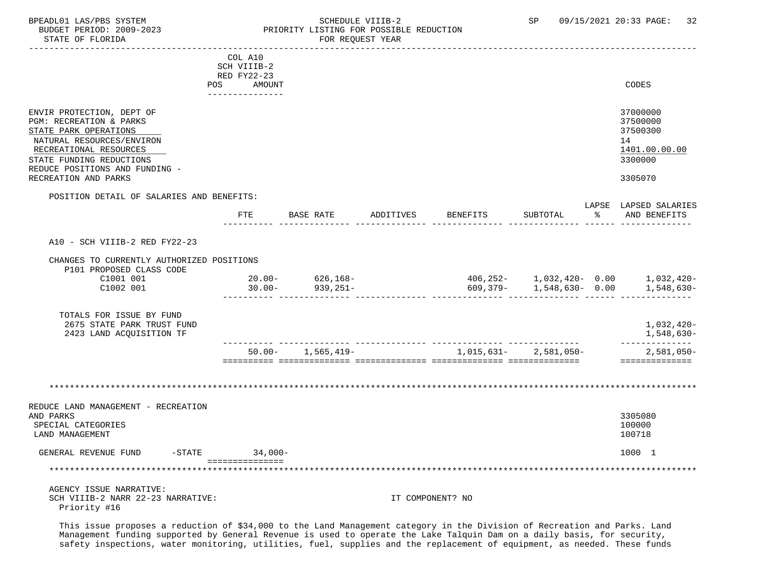STATE OF FLORIDA FOR REQUEST YEAR

### BPEADL01 LAS/PBS SYSTEM SALL SALL SOMEDULE VIIIB-2 SP 09/15/2021 20:33 PAGE: 32 BUDGET PERIOD: 2009-2023 PRIORITY LISTING FOR POSSIBLE REDUCTION

 ----------------------------------------------------------------------------------------------------------------------------------- COL A10 SCH VIIIB-2 RED FY22-23 POS AMOUNT CODES --------------- ENVIR PROTECTION, DEPT OF 37000000 ENVIR PROTECTION, DEPT OF 37000000 ENVIR PROTECTION, DEPT OF 375000000 ENVIR PGM: RECREATION & PARKS 37500000 (2008) 2012 37500000 (2008) 37500000 (2008) 37500000 (2008) 2013<br>TEATE PARK OPERATIONS STATE PARK OPERATIONS NATURAL RESOURCES/ENVIRON 14<br>RECREATIONAL RESOURCES (ENVIRON 1401.00.00) RECREATIONAL RESOURCES LATER EN EN ENTRE EN ENGLAND EN EN ENFERANCIA EN EN ENFERANCIA EN EN ENGLAND EN EN ENGL<br>TATE FUNDING REDUCTIONS STATE FUNDING REDUCTIONS REDUCE POSITIONS AND FUNDING - RECREATION AND PARKS 3305070 POSITION DETAIL OF SALARIES AND BENEFITS: LAPSE LAPSED SALARIES FTE BASE RATE ADDITIVES BENEFITS SUBTOTAL % AND BENEFITS ---------- -------------- -------------- -------------- -------------- ------ -------------- A10 - SCH VIIIB-2 RED FY22-23 CHANGES TO CURRENTLY AUTHORIZED POSITIONS P101 PROPOSED CLASS CODE  $\begin{array}{cccccccc} \texttt{C1001} & \texttt{001} & & & & \texttt{20.00-} & & & \texttt{626,168-} & & & & \texttt{406,252-} & & \texttt{1,032,420-} & \texttt{0.00} & & & \texttt{1,032,420-} & \texttt{0.00} & & & \texttt{1,548.630-} & \texttt{0.00} & & & \texttt{1.548.630-} & \texttt{0.00} & & & \texttt{1.548.630-} & \end{array}$  C1002 001 30.00- 939,251- 609,379- 1,548,630- 0.00 1,548,630- ---------- -------------- -------------- -------------- -------------- ------ -------------- TOTALS FOR ISSUE BY FUND 2675 STATE PARK TRUST FUND 1,032,420- 2423 LAND ACQUISITION TF ---------- -------------- -------------- -------------- -------------- -------------- 50.00- 1,565,419- 1,015,631- 2,581,050- 2,581,050- ========== ============== ============== ============== ============== ============== \*\*\*\*\*\*\*\*\*\*\*\*\*\*\*\*\*\*\*\*\*\*\*\*\*\*\*\*\*\*\*\*\*\*\*\*\*\*\*\*\*\*\*\*\*\*\*\*\*\*\*\*\*\*\*\*\*\*\*\*\*\*\*\*\*\*\*\*\*\*\*\*\*\*\*\*\*\*\*\*\*\*\*\*\*\*\*\*\*\*\*\*\*\*\*\*\*\*\*\*\*\*\*\*\*\*\*\*\*\*\*\*\*\*\*\*\*\*\*\*\*\*\*\*\*\*\* REDUCE LAND MANAGEMENT - RECREATION AND PARKS 3305080 SPECIAL CATEGORIES 100000 POSTAGORIES AND SERVICE SUPERINTENT OF STATEGORIES AND SERVICE SUPERINTENT OF STATEGORIES LAND MANAGEMENT 100718 GENERAL REVENUE FUND -STATE 34,000- 3000- 3000- 2000 1000 1 ================ \*\*\*\*\*\*\*\*\*\*\*\*\*\*\*\*\*\*\*\*\*\*\*\*\*\*\*\*\*\*\*\*\*\*\*\*\*\*\*\*\*\*\*\*\*\*\*\*\*\*\*\*\*\*\*\*\*\*\*\*\*\*\*\*\*\*\*\*\*\*\*\*\*\*\*\*\*\*\*\*\*\*\*\*\*\*\*\*\*\*\*\*\*\*\*\*\*\*\*\*\*\*\*\*\*\*\*\*\*\*\*\*\*\*\*\*\*\*\*\*\*\*\*\*\*\*\* AGENCY ISSUE NARRATIVE: SCH VIIIB-2 NARR 22-23 NARRATIVE: IT COMPONENT? NO Priority #16

 This issue proposes a reduction of \$34,000 to the Land Management category in the Division of Recreation and Parks. Land Management funding supported by General Revenue is used to operate the Lake Talquin Dam on a daily basis, for security, safety inspections, water monitoring, utilities, fuel, supplies and the replacement of equipment, as needed. These funds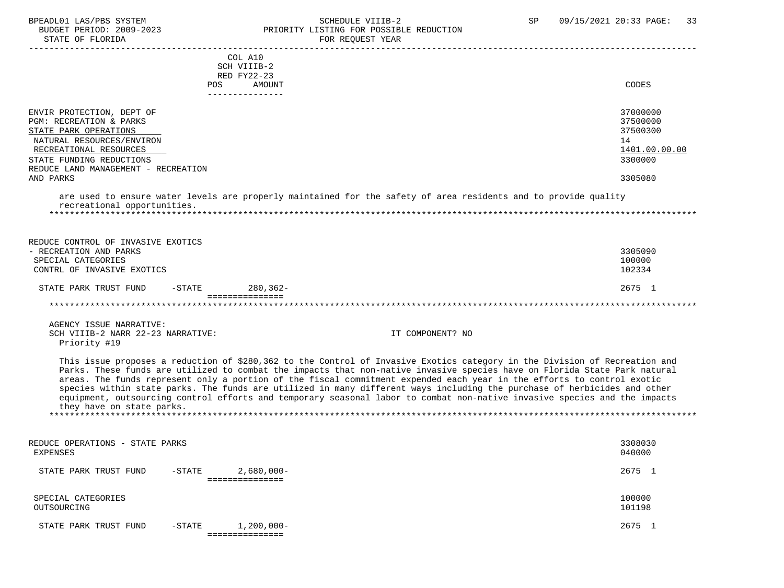### BPEADL01 LAS/PBS SYSTEM SALL SOME SCHEDULE VIIIB-2 SCHEDULE SP 09/15/2021 20:33 PAGE: 33 BUDGET PERIOD: 2009-2023 PRIORITY LISTING FOR POSSIBLE REDUCTION

| STATE OF FLORIDA                                                                                                                                                                                                     | FOR REQUEST YEAR                                                                                                                                                                                                                                                                                                                                                                                                                                                                                                                                                                                                                           |                                                                               |
|----------------------------------------------------------------------------------------------------------------------------------------------------------------------------------------------------------------------|--------------------------------------------------------------------------------------------------------------------------------------------------------------------------------------------------------------------------------------------------------------------------------------------------------------------------------------------------------------------------------------------------------------------------------------------------------------------------------------------------------------------------------------------------------------------------------------------------------------------------------------------|-------------------------------------------------------------------------------|
| POS                                                                                                                                                                                                                  | COL A10<br>SCH VIIIB-2<br>RED FY22-23<br>AMOUNT<br>---------------                                                                                                                                                                                                                                                                                                                                                                                                                                                                                                                                                                         | CODES                                                                         |
| ENVIR PROTECTION, DEPT OF<br>PGM: RECREATION & PARKS<br>STATE PARK OPERATIONS<br>NATURAL RESOURCES/ENVIRON<br>RECREATIONAL RESOURCES<br>STATE FUNDING REDUCTIONS<br>REDUCE LAND MANAGEMENT - RECREATION<br>AND PARKS |                                                                                                                                                                                                                                                                                                                                                                                                                                                                                                                                                                                                                                            | 37000000<br>37500000<br>37500300<br>14<br>1401.00.00.00<br>3300000<br>3305080 |
| recreational opportunities.                                                                                                                                                                                          | are used to ensure water levels are properly maintained for the safety of area residents and to provide quality                                                                                                                                                                                                                                                                                                                                                                                                                                                                                                                            |                                                                               |
| REDUCE CONTROL OF INVASIVE EXOTICS<br>- RECREATION AND PARKS<br>SPECIAL CATEGORIES<br>CONTRL OF INVASIVE EXOTICS<br>STATE PARK TRUST FUND<br>-STATE                                                                  | $280, 362 -$                                                                                                                                                                                                                                                                                                                                                                                                                                                                                                                                                                                                                               | 3305090<br>100000<br>102334<br>2675 1                                         |
|                                                                                                                                                                                                                      | ===============                                                                                                                                                                                                                                                                                                                                                                                                                                                                                                                                                                                                                            |                                                                               |
| AGENCY ISSUE NARRATIVE:<br>SCH VIIIB-2 NARR 22-23 NARRATIVE:<br>Priority #19                                                                                                                                         | IT COMPONENT? NO                                                                                                                                                                                                                                                                                                                                                                                                                                                                                                                                                                                                                           |                                                                               |
| they have on state parks.                                                                                                                                                                                            | This issue proposes a reduction of \$280,362 to the Control of Invasive Exotics category in the Division of Recreation and<br>Parks. These funds are utilized to combat the impacts that non-native invasive species have on Florida State Park natural<br>areas. The funds represent only a portion of the fiscal commitment expended each year in the efforts to control exotic<br>species within state parks. The funds are utilized in many different ways including the purchase of herbicides and other<br>equipment, outsourcing control efforts and temporary seasonal labor to combat non-native invasive species and the impacts |                                                                               |
| REDUCE OPERATIONS - STATE PARKS<br><b>EXPENSES</b>                                                                                                                                                                   |                                                                                                                                                                                                                                                                                                                                                                                                                                                                                                                                                                                                                                            | 3308030<br>040000                                                             |
| STATE PARK TRUST FUND<br>$-$ STATE                                                                                                                                                                                   | $2,680,000 -$                                                                                                                                                                                                                                                                                                                                                                                                                                                                                                                                                                                                                              | 2675 1                                                                        |
|                                                                                                                                                                                                                      | ===============                                                                                                                                                                                                                                                                                                                                                                                                                                                                                                                                                                                                                            |                                                                               |
| SPECIAL CATEGORIES<br>OUTSOURCING                                                                                                                                                                                    |                                                                                                                                                                                                                                                                                                                                                                                                                                                                                                                                                                                                                                            | 100000<br>101198                                                              |
| STATE PARK TRUST FUND<br>$-STATE$                                                                                                                                                                                    | $1,200,000 -$                                                                                                                                                                                                                                                                                                                                                                                                                                                                                                                                                                                                                              | 2675 1                                                                        |

===============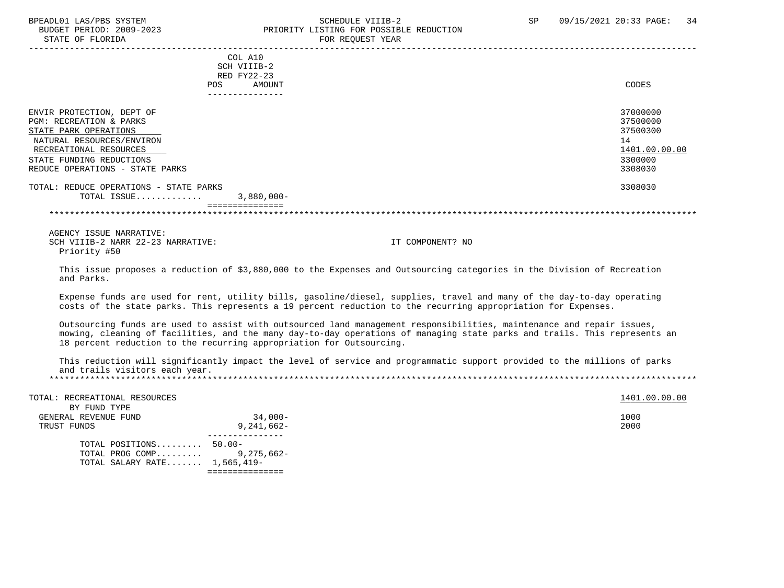STATE OF FLORIDA FOR STATE OF STATE OF STATE OF STATE OF STATE OF STATE OF STATE OF STATE OF STATE OF STATE OF STATE OF STATE OF STATE OF STATE OF STATE OF STATE OF STATE OF STATE OF STATE OF STATE OF STATE OF STATE OF STA

### BPEADL01 LAS/PBS SYSTEM SOHEDULE VIIIB-2 SCHEDULE VIIIB-2 SP 09/15/2021 20:33 PAGE: 34 PRIORITY LISTING FOR POSSIBLE REDUCTION

| POS.                                                                                                                                                                                                           | COL A10<br>SCH VIIIB-2<br>RED FY22-23<br>AMOUNT | CODES                                                                         |
|----------------------------------------------------------------------------------------------------------------------------------------------------------------------------------------------------------------|-------------------------------------------------|-------------------------------------------------------------------------------|
|                                                                                                                                                                                                                | ---------------                                 |                                                                               |
| ENVIR PROTECTION, DEPT OF<br><b>PGM: RECREATION &amp; PARKS</b><br>STATE PARK OPERATIONS<br>NATURAL RESOURCES/ENVIRON<br>RECREATIONAL RESOURCES<br>STATE FUNDING REDUCTIONS<br>REDUCE OPERATIONS - STATE PARKS |                                                 | 37000000<br>37500000<br>37500300<br>14<br>1401.00.00.00<br>3300000<br>3308030 |
| TOTAL: REDUCE OPERATIONS - STATE PARKS<br>TOTAL ISSUE                                                                                                                                                          | $3,880,000 -$<br>===============                | 3308030                                                                       |

\*\*\*\*\*\*\*\*\*\*\*\*\*\*\*\*\*\*\*\*\*\*\*\*\*\*\*\*\*\*\*\*\*\*\*\*\*\*\*\*\*\*\*\*\*\*\*\*\*\*\*\*\*\*\*\*\*\*\*\*\*\*\*\*\*\*\*\*\*\*\*\*\*\*\*\*\*\*\*\*\*\*\*\*\*\*\*\*\*\*\*\*\*\*\*\*\*\*\*\*\*\*\*\*\*\*\*\*\*\*\*\*\*\*\*\*\*\*\*\*\*\*\*\*\*\*\*

 AGENCY ISSUE NARRATIVE: SCH VIIIB-2 NARR 22-23 NARRATIVE: IT COMPONENT? NO Priority #50

 This issue proposes a reduction of \$3,880,000 to the Expenses and Outsourcing categories in the Division of Recreation and Parks.

 Expense funds are used for rent, utility bills, gasoline/diesel, supplies, travel and many of the day-to-day operating costs of the state parks. This represents a 19 percent reduction to the recurring appropriation for Expenses.

 Outsourcing funds are used to assist with outsourced land management responsibilities, maintenance and repair issues, mowing, cleaning of facilities, and the many day-to-day operations of managing state parks and trails. This represents an 18 percent reduction to the recurring appropriation for Outsourcing.

 This reduction will significantly impact the level of service and programmatic support provided to the millions of parks and trails visitors each year. \*\*\*\*\*\*\*\*\*\*\*\*\*\*\*\*\*\*\*\*\*\*\*\*\*\*\*\*\*\*\*\*\*\*\*\*\*\*\*\*\*\*\*\*\*\*\*\*\*\*\*\*\*\*\*\*\*\*\*\*\*\*\*\*\*\*\*\*\*\*\*\*\*\*\*\*\*\*\*\*\*\*\*\*\*\*\*\*\*\*\*\*\*\*\*\*\*\*\*\*\*\*\*\*\*\*\*\*\*\*\*\*\*\*\*\*\*\*\*\*\*\*\*\*\*\*\*

| TOTAL: RECREATIONAL RESOURCES<br>BY FUND TYPE |              | 1401.00.00.00 |
|-----------------------------------------------|--------------|---------------|
|                                               |              |               |
| GENERAL REVENUE FUND                          | $34,000-$    | 1000          |
| TRUST FUNDS                                   | $9,241,662-$ | 2000          |
|                                               |              |               |
| TOTAL POSITIONS 50.00-                        |              |               |
| TOTAL PROG COMP 9,275,662-                    |              |               |
| TOTAL SALARY RATE 1,565,419-                  |              |               |
|                                               |              |               |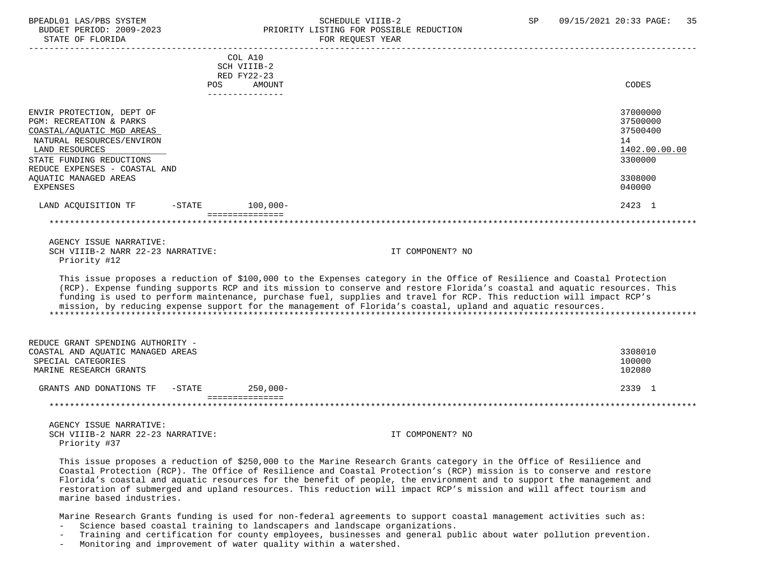### BPEADL01 LAS/PBS SYSTEM SOHEDULE VIIIB-2 SCHEDULE VIIIB-2 SP 09/15/2021 20:33 PAGE: 35 PRIORITY LISTING FOR POSSIBLE REDUCTION

| STATE OF FLORIDA                                                                                                                                                                                                                                     |            |                                                                    | FOR REQUEST YEAR                                                                                                                                                                                                                                                                                                                                                                                                                                                                             |                                                                                         |
|------------------------------------------------------------------------------------------------------------------------------------------------------------------------------------------------------------------------------------------------------|------------|--------------------------------------------------------------------|----------------------------------------------------------------------------------------------------------------------------------------------------------------------------------------------------------------------------------------------------------------------------------------------------------------------------------------------------------------------------------------------------------------------------------------------------------------------------------------------|-----------------------------------------------------------------------------------------|
|                                                                                                                                                                                                                                                      | <b>POS</b> | COL A10<br>SCH VIIIB-2<br>RED FY22-23<br>AMOUNT<br>--------------- |                                                                                                                                                                                                                                                                                                                                                                                                                                                                                              | CODES                                                                                   |
| ENVIR PROTECTION, DEPT OF<br><b>PGM: RECREATION &amp; PARKS</b><br>COASTAL/AQUATIC MGD AREAS<br>NATURAL RESOURCES/ENVIRON<br>LAND RESOURCES<br>STATE FUNDING REDUCTIONS<br>REDUCE EXPENSES - COASTAL AND<br>AOUATIC MANAGED AREAS<br><b>EXPENSES</b> |            |                                                                    |                                                                                                                                                                                                                                                                                                                                                                                                                                                                                              | 37000000<br>37500000<br>37500400<br>14<br>1402.00.00.00<br>3300000<br>3308000<br>040000 |
| LAND ACQUISITION TF                                                                                                                                                                                                                                  | $-$ STATE  | $100,000 -$                                                        |                                                                                                                                                                                                                                                                                                                                                                                                                                                                                              | 2423 1                                                                                  |
|                                                                                                                                                                                                                                                      |            | ===============                                                    |                                                                                                                                                                                                                                                                                                                                                                                                                                                                                              |                                                                                         |
| AGENCY ISSUE NARRATIVE:<br>SCH VIIIB-2 NARR 22-23 NARRATIVE:<br>Priority #12                                                                                                                                                                         |            |                                                                    | IT COMPONENT? NO                                                                                                                                                                                                                                                                                                                                                                                                                                                                             |                                                                                         |
|                                                                                                                                                                                                                                                      |            |                                                                    | This issue proposes a reduction of \$100,000 to the Expenses category in the Office of Resilience and Coastal Protection<br>(RCP). Expense funding supports RCP and its mission to conserve and restore Florida's coastal and aquatic resources. This<br>funding is used to perform maintenance, purchase fuel, supplies and travel for RCP. This reduction will impact RCP's<br>mission, by reducing expense support for the management of Florida's coastal, upland and aquatic resources. |                                                                                         |
| REDUCE GRANT SPENDING AUTHORITY -<br>COASTAL AND AOUATIC MANAGED AREAS<br>SPECIAL CATEGORIES<br>MARINE RESEARCH GRANTS                                                                                                                               |            |                                                                    |                                                                                                                                                                                                                                                                                                                                                                                                                                                                                              | 3308010<br>100000<br>102080                                                             |
| GRANTS AND DONATIONS TF                                                                                                                                                                                                                              | $-STATE$   | $250,000-$                                                         |                                                                                                                                                                                                                                                                                                                                                                                                                                                                                              | 2339 1                                                                                  |
| *********************                                                                                                                                                                                                                                |            | ===============                                                    |                                                                                                                                                                                                                                                                                                                                                                                                                                                                                              |                                                                                         |
| $\Lambda$ סעזדים מספגון היסט ד עמוקס                                                                                                                                                                                                                 |            |                                                                    |                                                                                                                                                                                                                                                                                                                                                                                                                                                                                              |                                                                                         |

 AGENCY ISSUE NARRATIVE: SCH VIIIB-2 NARR 22-23 NARRATIVE: IT COMPONENT? NO Priority #37

 This issue proposes a reduction of \$250,000 to the Marine Research Grants category in the Office of Resilience and Coastal Protection (RCP). The Office of Resilience and Coastal Protection's (RCP) mission is to conserve and restore Florida's coastal and aquatic resources for the benefit of people, the environment and to support the management and restoration of submerged and upland resources. This reduction will impact RCP's mission and will affect tourism and marine based industries.

Marine Research Grants funding is used for non-federal agreements to support coastal management activities such as:

- Science based coastal training to landscapers and landscape organizations.
- Training and certification for county employees, businesses and general public about water pollution prevention.
- Monitoring and improvement of water quality within a watershed.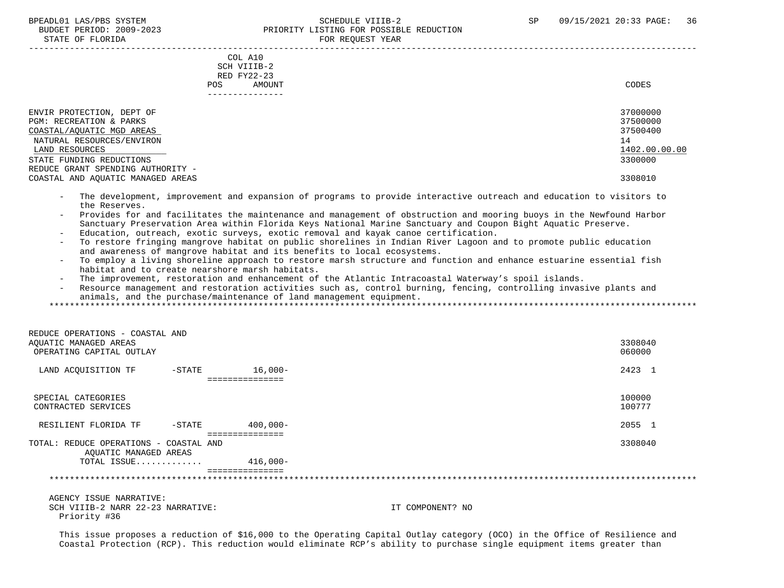#### BPEADL01 LAS/PBS SYSTEM SALE SOLUTION SCHEDULE VIIIB-2 SP 09/15/2021 20:33 PAGE: 36 BUDGET PERIOD: 2009-2023<br>
PRIORITY LISTING FOR POSSIBLE REDUCTION STATE OF FLORIDA FOR REQUEST YEAR

| DIAID OF FUORIDA                                                                                                                                                                                                                       |                                                 | LOW WEQUEST TEAM                                             |               |
|----------------------------------------------------------------------------------------------------------------------------------------------------------------------------------------------------------------------------------------|-------------------------------------------------|--------------------------------------------------------------|---------------|
| POS.                                                                                                                                                                                                                                   | COL A10<br>SCH VIIIB-2<br>RED FY22-23<br>AMOUNT | CODES                                                        |               |
| ENVIR PROTECTION, DEPT OF<br>PGM: RECREATION & PARKS<br>COASTAL/AOUATIC MGD AREAS<br>NATURAL RESOURCES/ENVIRON<br>LAND RESOURCES<br>STATE FUNDING REDUCTIONS<br>REDUCE GRANT SPENDING AUTHORITY -<br>COASTAL AND AOUATIC MANAGED AREAS |                                                 | 37000000<br>37500000<br>37500400<br>14<br>3300000<br>3308010 | 1402.00.00.00 |

- The development, improvement and expansion of programs to provide interactive outreach and education to visitors to the Reserves.
- Provides for and facilitates the maintenance and management of obstruction and mooring buoys in the Newfound Harbor Sanctuary Preservation Area within Florida Keys National Marine Sanctuary and Coupon Bight Aquatic Preserve.
- Education, outreach, exotic surveys, exotic removal and kayak canoe certification.
- To restore fringing mangrove habitat on public shorelines in Indian River Lagoon and to promote public education and awareness of mangrove habitat and its benefits to local ecosystems.
- To employ a living shoreline approach to restore marsh structure and function and enhance estuarine essential fish habitat and to create nearshore marsh habitats.
- The improvement, restoration and enhancement of the Atlantic Intracoastal Waterway's spoil islands.
- Resource management and restoration activities such as, control burning, fencing, controlling invasive plants and animals, and the purchase/maintenance of land management equipment.

\*\*\*\*\*\*\*\*\*\*\*\*\*\*\*\*\*\*\*\*\*\*\*\*\*\*\*\*\*\*\*\*\*\*\*\*\*\*\*\*\*\*\*\*\*\*\*\*\*\*\*\*\*\*\*\*\*\*\*\*\*\*\*\*\*\*\*\*\*\*\*\*\*\*\*\*\*\*\*\*\*\*\*\*\*\*\*\*\*\*\*\*\*\*\*\*\*\*\*\*\*\*\*\*\*\*\*\*\*\*\*\*\*\*\*\*\*\*\*\*\*\*\*\*\*\*\*

| REDUCE OPERATIONS - COASTAL AND                                 |           |                 |         |
|-----------------------------------------------------------------|-----------|-----------------|---------|
| AOUATIC MANAGED AREAS                                           |           |                 | 3308040 |
| OPERATING CAPITAL OUTLAY                                        |           |                 | 060000  |
| LAND ACQUISITION TF                                             | $-$ STATE | $16,000-$       | 2423 1  |
|                                                                 |           | ==============  |         |
| SPECIAL CATEGORIES                                              |           |                 | 100000  |
| CONTRACTED SERVICES                                             |           |                 | 100777  |
| RESILIENT FLORIDA TF                                            | $-$ STATE | $400.000 -$     | 2055 1  |
|                                                                 |           |                 |         |
| TOTAL: REDUCE OPERATIONS - COASTAL AND<br>AQUATIC MANAGED AREAS |           |                 | 3308040 |
| TOTAL ISSUE                                                     |           | $416.000 -$     |         |
|                                                                 |           | =============== |         |
|                                                                 |           |                 |         |

 AGENCY ISSUE NARRATIVE: SCH VIIIB-2 NARR 22-23 NARRATIVE: IT COMPONENT? NO Priority #36

 This issue proposes a reduction of \$16,000 to the Operating Capital Outlay category (OCO) in the Office of Resilience and Coastal Protection (RCP). This reduction would eliminate RCP's ability to purchase single equipment items greater than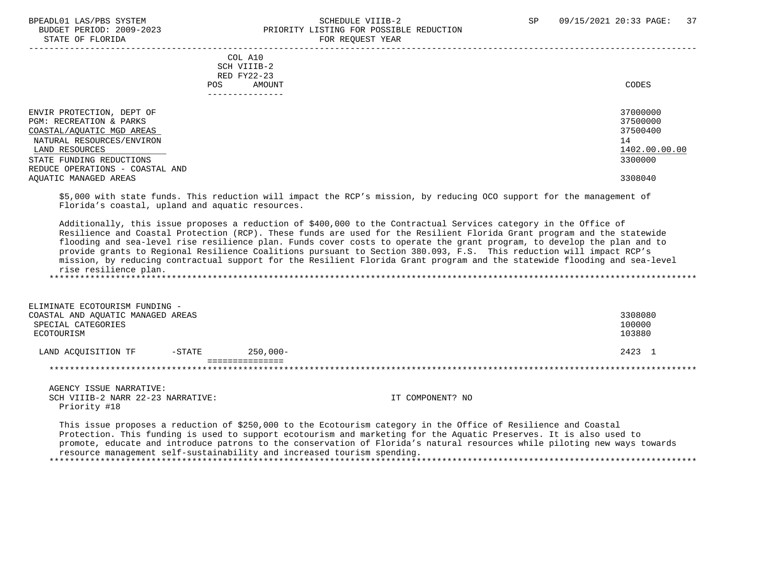#### BPEADL01 LAS/PBS SYSTEM STREADLE SCHEDULE VIIIB-2 SP 09/15/2021 20:33 PAGE: 37 BUDGET PERIOD: 2009-2023 PRIORITY LISTING FOR POSSIBLE REDUCTION STATE OF FLORIDA FOR REQUEST YEAR

|                                                                                                                                                                                                 | COL A10<br>SCH VIIIB-2<br>RED FY22-23<br>AMOUNT<br>POS.<br>------------ | CODES                                                              |
|-------------------------------------------------------------------------------------------------------------------------------------------------------------------------------------------------|-------------------------------------------------------------------------|--------------------------------------------------------------------|
| ENVIR PROTECTION, DEPT OF<br>PGM: RECREATION & PARKS<br>COASTAL/AQUATIC MGD AREAS<br>NATURAL RESOURCES/ENVIRON<br>LAND RESOURCES<br>STATE FUNDING REDUCTIONS<br>REDUCE OPERATIONS - COASTAL AND |                                                                         | 37000000<br>37500000<br>37500400<br>14<br>1402.00.00.00<br>3300000 |
| AQUATIC MANAGED AREAS                                                                                                                                                                           |                                                                         | 3308040                                                            |

 \$5,000 with state funds. This reduction will impact the RCP's mission, by reducing OCO support for the management of Florida's coastal, upland and aquatic resources.

 Additionally, this issue proposes a reduction of \$400,000 to the Contractual Services category in the Office of Resilience and Coastal Protection (RCP). These funds are used for the Resilient Florida Grant program and the statewide flooding and sea-level rise resilience plan. Funds cover costs to operate the grant program, to develop the plan and to provide grants to Regional Resilience Coalitions pursuant to Section 380.093, F.S. This reduction will impact RCP's mission, by reducing contractual support for the Resilient Florida Grant program and the statewide flooding and sea-level rise resilience plan. \*\*\*\*\*\*\*\*\*\*\*\*\*\*\*\*\*\*\*\*\*\*\*\*\*\*\*\*\*\*\*\*\*\*\*\*\*\*\*\*\*\*\*\*\*\*\*\*\*\*\*\*\*\*\*\*\*\*\*\*\*\*\*\*\*\*\*\*\*\*\*\*\*\*\*\*\*\*\*\*\*\*\*\*\*\*\*\*\*\*\*\*\*\*\*\*\*\*\*\*\*\*\*\*\*\*\*\*\*\*\*\*\*\*\*\*\*\*\*\*\*\*\*\*\*\*\*

| ELIMINATE ECOTOURISM FUNDING -<br>COASTAL AND AOUATIC MANAGED AREAS<br>SPECIAL CATEGORIES<br>ECOTOURISM |           |             | 3308080<br>100000<br>103880 |
|---------------------------------------------------------------------------------------------------------|-----------|-------------|-----------------------------|
| LAND ACOUISITION TF                                                                                     | $-$ STATE | $250.000 -$ | 2423 1                      |
|                                                                                                         |           |             |                             |
|                                                                                                         |           |             |                             |
|                                                                                                         |           |             |                             |
| AGENCY ISSUE NARRATIVE:                                                                                 |           |             |                             |

SCH VIIIB-2 NARR 22-23 NARRATIVE: IT COMPONENT? NO Priority #18

 This issue proposes a reduction of \$250,000 to the Ecotourism category in the Office of Resilience and Coastal Protection. This funding is used to support ecotourism and marketing for the Aquatic Preserves. It is also used to promote, educate and introduce patrons to the conservation of Florida's natural resources while piloting new ways towards resource management self-sustainability and increased tourism spending. \*\*\*\*\*\*\*\*\*\*\*\*\*\*\*\*\*\*\*\*\*\*\*\*\*\*\*\*\*\*\*\*\*\*\*\*\*\*\*\*\*\*\*\*\*\*\*\*\*\*\*\*\*\*\*\*\*\*\*\*\*\*\*\*\*\*\*\*\*\*\*\*\*\*\*\*\*\*\*\*\*\*\*\*\*\*\*\*\*\*\*\*\*\*\*\*\*\*\*\*\*\*\*\*\*\*\*\*\*\*\*\*\*\*\*\*\*\*\*\*\*\*\*\*\*\*\*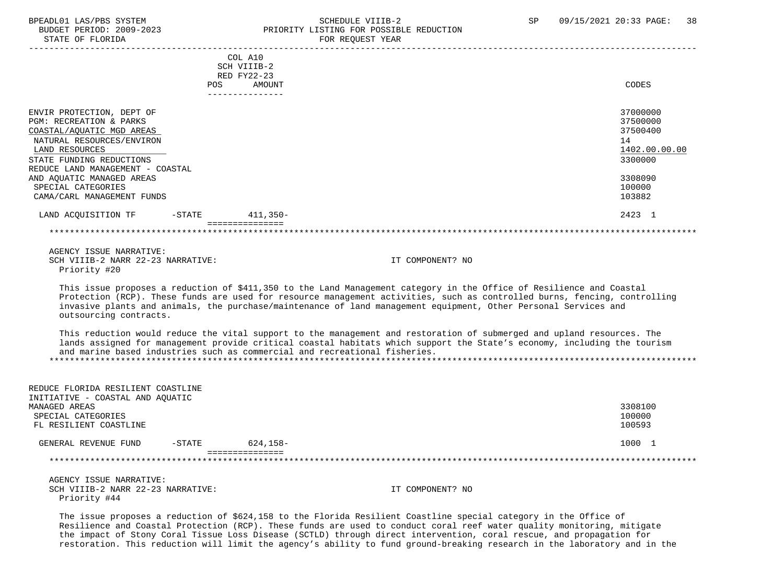# BPEADL01 LAS/PBS SYSTEM SCHEDULE VIIIB-2 SCHEDULE VIIIB-2 SP 09/15/2021 20:33 PAGE: 38<br>BUDGET PERIOD: 2009-2023 PRIORITY LISTING FOR POSSIBLE REDUCTION PRIORITY LISTING FOR POSSIBLE REDUCTION

| STATE OF FLORIDA                                                                                                                                                                                                              |                                                                                  | FOR REQUEST YEAR                                                                                                                                                                                                                                                                                                                                                     |                                                                               |
|-------------------------------------------------------------------------------------------------------------------------------------------------------------------------------------------------------------------------------|----------------------------------------------------------------------------------|----------------------------------------------------------------------------------------------------------------------------------------------------------------------------------------------------------------------------------------------------------------------------------------------------------------------------------------------------------------------|-------------------------------------------------------------------------------|
|                                                                                                                                                                                                                               | COL A10<br>SCH VIIIB-2<br>RED FY22-23<br><b>POS</b><br>AMOUNT<br>--------------- |                                                                                                                                                                                                                                                                                                                                                                      | CODES                                                                         |
| ENVIR PROTECTION, DEPT OF<br>PGM: RECREATION & PARKS<br>COASTAL/AQUATIC MGD AREAS<br>NATURAL RESOURCES/ENVIRON<br>LAND RESOURCES<br>STATE FUNDING REDUCTIONS<br>REDUCE LAND MANAGEMENT - COASTAL<br>AND AQUATIC MANAGED AREAS |                                                                                  |                                                                                                                                                                                                                                                                                                                                                                      | 37000000<br>37500000<br>37500400<br>14<br>1402.00.00.00<br>3300000<br>3308090 |
| SPECIAL CATEGORIES<br>CAMA/CARL MANAGEMENT FUNDS                                                                                                                                                                              |                                                                                  |                                                                                                                                                                                                                                                                                                                                                                      | 100000<br>103882                                                              |
| LAND ACQUISITION TF<br>$-$ STATE                                                                                                                                                                                              | $411.350 -$                                                                      |                                                                                                                                                                                                                                                                                                                                                                      | 2423 1                                                                        |
|                                                                                                                                                                                                                               | ===============                                                                  |                                                                                                                                                                                                                                                                                                                                                                      |                                                                               |
| AGENCY ISSUE NARRATIVE:<br>SCH VIIIB-2 NARR 22-23 NARRATIVE:<br>Priority #20                                                                                                                                                  |                                                                                  | IT COMPONENT? NO                                                                                                                                                                                                                                                                                                                                                     |                                                                               |
| outsourcing contracts.                                                                                                                                                                                                        |                                                                                  | This issue proposes a reduction of \$411,350 to the Land Management category in the Office of Resilience and Coastal<br>Protection (RCP). These funds are used for resource management activities, such as controlled burns, fencing, controlling<br>invasive plants and animals, the purchase/maintenance of land management equipment, Other Personal Services and |                                                                               |
| and marine based industries such as commercial and recreational fisheries.                                                                                                                                                    |                                                                                  | This reduction would reduce the vital support to the management and restoration of submerged and upland resources. The<br>lands assigned for management provide critical coastal habitats which support the State's economy, including the tourism                                                                                                                   |                                                                               |
| REDUCE FLORIDA RESILIENT COASTLINE<br>INITIATIVE - COASTAL AND AQUATIC<br>MANAGED AREAS<br>SPECIAL CATEGORIES<br>FL RESILIENT COASTLINE                                                                                       |                                                                                  |                                                                                                                                                                                                                                                                                                                                                                      | 3308100<br>100000<br>100593                                                   |
| $-STATE$<br>GENERAL REVENUE FUND                                                                                                                                                                                              | $624, 158 -$                                                                     |                                                                                                                                                                                                                                                                                                                                                                      | 1000 1                                                                        |
|                                                                                                                                                                                                                               | ================                                                                 |                                                                                                                                                                                                                                                                                                                                                                      |                                                                               |
| AGENCY ISSUE NARRATIVE:<br>SCH VIIIB-2 NARR 22-23 NARRATIVE:<br>Priority #44                                                                                                                                                  |                                                                                  | IT COMPONENT? NO                                                                                                                                                                                                                                                                                                                                                     |                                                                               |

The issue proposes a reduction of \$624,158 to the Florida Resilient Coastline special category in the Office of Resilience and Coastal Protection (RCP). These funds are used to conduct coral reef water quality monitoring, mitigate the impact of Stony Coral Tissue Loss Disease (SCTLD) through direct intervention, coral rescue, and propagation for restoration. This reduction will limit the agency's ability to fund ground-breaking research in the laboratory and in the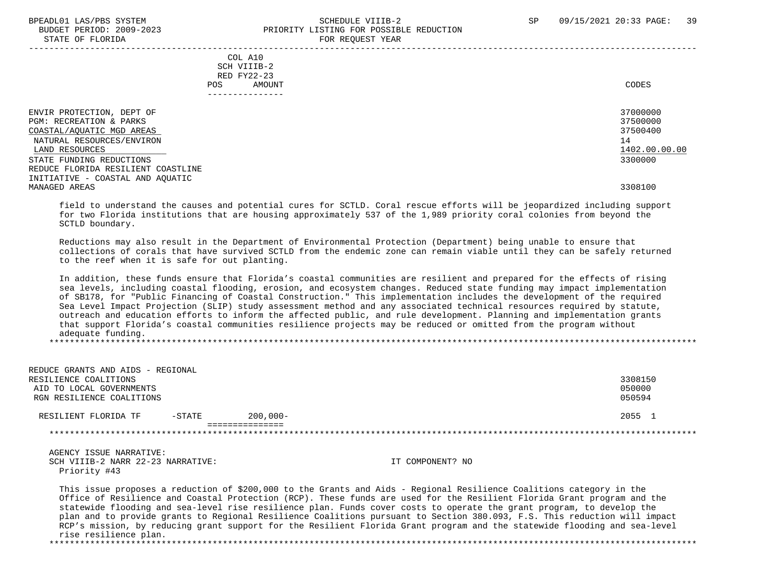STATE OF FLORIDA

# BPEADL01 LAS/PBS SYSTEM SALL SALL SOMEDULE VIIIB-2 SP 09/15/2021 20:33 PAGE: 39 BUDGET PERIOD: 2009-2023<br>
PRIORITY LISTING FOR POSSIBLE REDUCTION

| DIAID OF FUORIDA                                                                                                                                                                                                                                        | LOW VENGEDI IEUW                                                 |                                                                               |
|---------------------------------------------------------------------------------------------------------------------------------------------------------------------------------------------------------------------------------------------------------|------------------------------------------------------------------|-------------------------------------------------------------------------------|
| POS.                                                                                                                                                                                                                                                    | COL A10<br>SCH VIIIB-2<br>RED FY22-23<br>AMOUNT<br>------------- | CODES                                                                         |
| ENVIR PROTECTION, DEPT OF<br>PGM: RECREATION & PARKS<br>COASTAL/AQUATIC MGD AREAS<br>NATURAL RESOURCES/ENVIRON<br>LAND RESOURCES<br>STATE FUNDING REDUCTIONS<br>REDUCE FLORIDA RESILIENT COASTLINE<br>INITIATIVE - COASTAL AND AQUATIC<br>MANAGED AREAS |                                                                  | 37000000<br>37500000<br>37500400<br>14<br>1402.00.00.00<br>3300000<br>3308100 |
|                                                                                                                                                                                                                                                         |                                                                  |                                                                               |

 field to understand the causes and potential cures for SCTLD. Coral rescue efforts will be jeopardized including support for two Florida institutions that are housing approximately 537 of the 1,989 priority coral colonies from beyond the SCTLD boundary.

 Reductions may also result in the Department of Environmental Protection (Department) being unable to ensure that collections of corals that have survived SCTLD from the endemic zone can remain viable until they can be safely returned to the reef when it is safe for out planting.

 In addition, these funds ensure that Florida's coastal communities are resilient and prepared for the effects of rising sea levels, including coastal flooding, erosion, and ecosystem changes. Reduced state funding may impact implementation of SB178, for "Public Financing of Coastal Construction." This implementation includes the development of the required Sea Level Impact Projection (SLIP) study assessment method and any associated technical resources required by statute, outreach and education efforts to inform the affected public, and rule development. Planning and implementation grants that support Florida's coastal communities resilience projects may be reduced or omitted from the program without adequate funding. \*\*\*\*\*\*\*\*\*\*\*\*\*\*\*\*\*\*\*\*\*\*\*\*\*\*\*\*\*\*\*\*\*\*\*\*\*\*\*\*\*\*\*\*\*\*\*\*\*\*\*\*\*\*\*\*\*\*\*\*\*\*\*\*\*\*\*\*\*\*\*\*\*\*\*\*\*\*\*\*\*\*\*\*\*\*\*\*\*\*\*\*\*\*\*\*\*\*\*\*\*\*\*\*\*\*\*\*\*\*\*\*\*\*\*\*\*\*\*\*\*\*\*\*\*\*\*

 REDUCE GRANTS AND AIDS - REGIONAL RESILIENCE COALITIONS 3308150<br>AID TO LOCAL GOVERNMENTS AND RESILIENCE COALITIONS AND RESILIENCE COALITIONS AND RESILIENCE COALITIONS AID TO LOCAL GOVERNMENTS (1999) AND TO LOCAL GOVERNMENTS (1999) AND TO LOCAL GOVERNMENTS (1999) AND TO LOCAL GOVERNMENTS (1999) AND TO LOCAL GOVERNMENTS (1999) AND TO LOCAL GOVERNMENTS (1999) AND TO LOCAL GOVERNMENTS (1999 RGN RESILIENCE COALITIONS RESILIENT FLORIDA TF -STATE 200,000- 2055 1 ===============

 AGENCY ISSUE NARRATIVE: SCH VIIIB-2 NARR 22-23 NARRATIVE: IT COMPONENT? NO Priority #43

 This issue proposes a reduction of \$200,000 to the Grants and Aids - Regional Resilience Coalitions category in the Office of Resilience and Coastal Protection (RCP). These funds are used for the Resilient Florida Grant program and the statewide flooding and sea-level rise resilience plan. Funds cover costs to operate the grant program, to develop the plan and to provide grants to Regional Resilience Coalitions pursuant to Section 380.093, F.S. This reduction will impact RCP's mission, by reducing grant support for the Resilient Florida Grant program and the statewide flooding and sea-level rise resilience plan.

\*\*\*\*\*\*\*\*\*\*\*\*\*\*\*\*\*\*\*\*\*\*\*\*\*\*\*\*\*\*\*\*\*\*\*\*\*\*\*\*\*\*\*\*\*\*\*\*\*\*\*\*\*\*\*\*\*\*\*\*\*\*\*\*\*\*\*\*\*\*\*\*\*\*\*\*\*\*\*\*\*\*\*\*\*\*\*\*\*\*\*\*\*\*\*\*\*\*\*\*\*\*\*\*\*\*\*\*\*\*\*\*\*\*\*\*\*\*\*\*\*\*\*\*\*\*\*

\*\*\*\*\*\*\*\*\*\*\*\*\*\*\*\*\*\*\*\*\*\*\*\*\*\*\*\*\*\*\*\*\*\*\*\*\*\*\*\*\*\*\*\*\*\*\*\*\*\*\*\*\*\*\*\*\*\*\*\*\*\*\*\*\*\*\*\*\*\*\*\*\*\*\*\*\*\*\*\*\*\*\*\*\*\*\*\*\*\*\*\*\*\*\*\*\*\*\*\*\*\*\*\*\*\*\*\*\*\*\*\*\*\*\*\*\*\*\*\*\*\*\*\*\*\*\*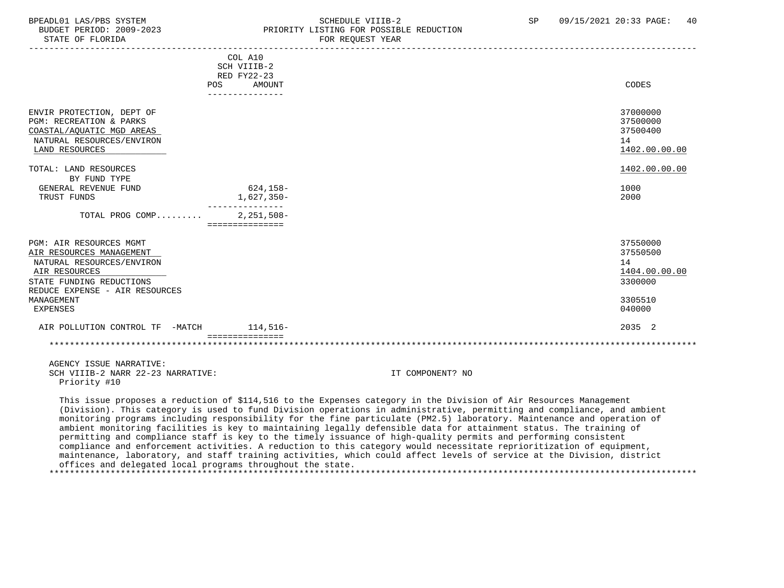STATE OF FLORIDA

### BPEADL01 LAS/PBS SYSTEM SCHEDULE VIIIB-2 SCHEDULE VIIIB-2 SP 09/15/2021 20:33 PAGE: 40 PRIORITY LISTING FOR POSSIBLE REDUCTION<br>FOR REQUEST YEAR

|                                                                                                                                  | COL A10<br>SCH VIIIB-2<br>RED FY22-23<br>AMOUNT<br>POS<br>--------------- |                    | CODES                                                   |
|----------------------------------------------------------------------------------------------------------------------------------|---------------------------------------------------------------------------|--------------------|---------------------------------------------------------|
| ENVIR PROTECTION, DEPT OF<br>PGM: RECREATION & PARKS<br>COASTAL/AQUATIC MGD AREAS<br>NATURAL RESOURCES/ENVIRON<br>LAND RESOURCES |                                                                           |                    | 37000000<br>37500000<br>37500400<br>14<br>1402.00.00.00 |
| TOTAL: LAND RESOURCES                                                                                                            |                                                                           |                    | 1402.00.00.00                                           |
| BY FUND TYPE                                                                                                                     |                                                                           |                    |                                                         |
| GENERAL REVENUE FUND                                                                                                             | 624,158-                                                                  |                    | 1000                                                    |
| TRUST FUNDS                                                                                                                      | 1,627,350-                                                                |                    | 2000                                                    |
| TOTAL PROG COMP                                                                                                                  | --------<br>$2,251,508-$<br>===============                               |                    |                                                         |
| PGM: AIR RESOURCES MGMT<br>AIR RESOURCES MANAGEMENT<br>NATURAL RESOURCES/ENVIRON<br>AIR RESOURCES<br>STATE FUNDING REDUCTIONS    |                                                                           |                    | 37550000<br>37550500<br>14<br>1404.00.00.00<br>3300000  |
| REDUCE EXPENSE - AIR RESOURCES                                                                                                   |                                                                           |                    |                                                         |
| MANAGEMENT                                                                                                                       |                                                                           |                    | 3305510                                                 |
| <b>EXPENSES</b>                                                                                                                  |                                                                           |                    | 040000                                                  |
| AIR POLLUTION CONTROL TF -MATCH                                                                                                  | $114,516-$<br>---------------                                             |                    | 2035 2                                                  |
|                                                                                                                                  |                                                                           |                    |                                                         |
| AGENCY ISSUE NARRATIVE:                                                                                                          |                                                                           |                    |                                                         |
| ---- ------ - ----- -- -- -----------                                                                                            |                                                                           | -- --------------- |                                                         |

SCH VIIIB-2 NARR 22-23 NARRATIVE: IT COMPONENT? NO Priority #10

 This issue proposes a reduction of \$114,516 to the Expenses category in the Division of Air Resources Management (Division). This category is used to fund Division operations in administrative, permitting and compliance, and ambient monitoring programs including responsibility for the fine particulate (PM2.5) laboratory. Maintenance and operation of ambient monitoring facilities is key to maintaining legally defensible data for attainment status. The training of permitting and compliance staff is key to the timely issuance of high-quality permits and performing consistent compliance and enforcement activities. A reduction to this category would necessitate reprioritization of equipment, maintenance, laboratory, and staff training activities, which could affect levels of service at the Division, district offices and delegated local programs throughout the state. \*\*\*\*\*\*\*\*\*\*\*\*\*\*\*\*\*\*\*\*\*\*\*\*\*\*\*\*\*\*\*\*\*\*\*\*\*\*\*\*\*\*\*\*\*\*\*\*\*\*\*\*\*\*\*\*\*\*\*\*\*\*\*\*\*\*\*\*\*\*\*\*\*\*\*\*\*\*\*\*\*\*\*\*\*\*\*\*\*\*\*\*\*\*\*\*\*\*\*\*\*\*\*\*\*\*\*\*\*\*\*\*\*\*\*\*\*\*\*\*\*\*\*\*\*\*\*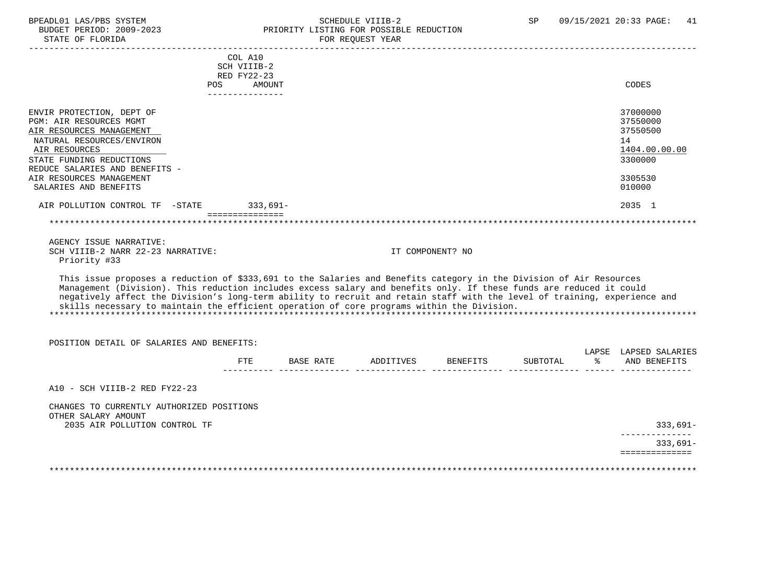#### BPEADL01 LAS/PBS SYSTEM STRING THE SCHEDULE VIIIB-2 SP 09/15/2021 20:33 PAGE: 41 BUDGET PERIOD: 2009-2023 PRIORITY LISTING FOR POSSIBLE REDUCTION FOR REQUEST YEAR

|                                                                                                                                                                                                                                                                                                                                                                                                                                                                       |                        |                              | TON NEQUEDI IEAN |                  |          |               |                              |
|-----------------------------------------------------------------------------------------------------------------------------------------------------------------------------------------------------------------------------------------------------------------------------------------------------------------------------------------------------------------------------------------------------------------------------------------------------------------------|------------------------|------------------------------|------------------|------------------|----------|---------------|------------------------------|
|                                                                                                                                                                                                                                                                                                                                                                                                                                                                       | COL A10<br>SCH VIIIB-2 |                              |                  |                  |          |               |                              |
|                                                                                                                                                                                                                                                                                                                                                                                                                                                                       | RED FY22-23            |                              |                  |                  |          |               |                              |
|                                                                                                                                                                                                                                                                                                                                                                                                                                                                       | POS AMOUNT             |                              |                  |                  |          |               | CODES                        |
|                                                                                                                                                                                                                                                                                                                                                                                                                                                                       | ----------------       |                              |                  |                  |          |               |                              |
| ENVIR PROTECTION, DEPT OF                                                                                                                                                                                                                                                                                                                                                                                                                                             |                        |                              |                  |                  |          |               | 37000000                     |
| <b>PGM: AIR RESOURCES MGMT</b>                                                                                                                                                                                                                                                                                                                                                                                                                                        |                        |                              |                  |                  |          |               | 37550000                     |
| AIR RESOURCES MANAGEMENT                                                                                                                                                                                                                                                                                                                                                                                                                                              |                        |                              |                  |                  |          |               | 37550500                     |
| NATURAL RESOURCES/ENVIRON                                                                                                                                                                                                                                                                                                                                                                                                                                             |                        |                              |                  |                  |          |               | 14                           |
| AIR RESOURCES                                                                                                                                                                                                                                                                                                                                                                                                                                                         |                        |                              |                  |                  |          |               | 1404.00.00.00                |
| STATE FUNDING REDUCTIONS                                                                                                                                                                                                                                                                                                                                                                                                                                              |                        |                              |                  |                  |          |               | 3300000                      |
| REDUCE SALARIES AND BENEFITS -                                                                                                                                                                                                                                                                                                                                                                                                                                        |                        |                              |                  |                  |          |               |                              |
| AIR RESOURCES MANAGEMENT                                                                                                                                                                                                                                                                                                                                                                                                                                              |                        |                              |                  |                  |          |               | 3305530                      |
| SALARIES AND BENEFITS                                                                                                                                                                                                                                                                                                                                                                                                                                                 |                        |                              |                  |                  |          |               | 010000                       |
| AIR POLLUTION CONTROL TF -STATE 333,691-                                                                                                                                                                                                                                                                                                                                                                                                                              | ===============        |                              |                  |                  |          |               | 2035 1                       |
|                                                                                                                                                                                                                                                                                                                                                                                                                                                                       |                        |                              |                  |                  |          |               |                              |
| AGENCY ISSUE NARRATIVE:                                                                                                                                                                                                                                                                                                                                                                                                                                               |                        |                              |                  |                  |          |               |                              |
| SCH VIIIB-2 NARR 22-23 NARRATIVE:                                                                                                                                                                                                                                                                                                                                                                                                                                     |                        |                              |                  | IT COMPONENT? NO |          |               |                              |
| Priority #33                                                                                                                                                                                                                                                                                                                                                                                                                                                          |                        |                              |                  |                  |          |               |                              |
| This issue proposes a reduction of \$333,691 to the Salaries and Benefits category in the Division of Air Resources<br>Management (Division). This reduction includes excess salary and benefits only. If these funds are reduced it could<br>negatively affect the Division's long-term ability to recruit and retain staff with the level of training, experience and<br>skills necessary to maintain the efficient operation of core programs within the Division. |                        |                              |                  |                  |          |               |                              |
| POSITION DETAIL OF SALARIES AND BENEFITS:                                                                                                                                                                                                                                                                                                                                                                                                                             |                        |                              |                  |                  |          |               |                              |
|                                                                                                                                                                                                                                                                                                                                                                                                                                                                       |                        |                              |                  |                  |          |               | LAPSE LAPSED SALARIES        |
|                                                                                                                                                                                                                                                                                                                                                                                                                                                                       | <b>FTE</b>             | BASE RATE ADDITIVES BENEFITS |                  |                  | SUBTOTAL | $\sim$ $\sim$ | AND BENEFITS                 |
| A10 - SCH VIIIB-2 RED FY22-23                                                                                                                                                                                                                                                                                                                                                                                                                                         |                        |                              |                  |                  |          |               |                              |
| CHANGES TO CURRENTLY AUTHORIZED POSITIONS<br>OTHER SALARY AMOUNT                                                                                                                                                                                                                                                                                                                                                                                                      |                        |                              |                  |                  |          |               |                              |
| 2035 AIR POLLUTION CONTROL TF                                                                                                                                                                                                                                                                                                                                                                                                                                         |                        |                              |                  |                  |          |               | $333,691-$                   |
|                                                                                                                                                                                                                                                                                                                                                                                                                                                                       |                        |                              |                  |                  |          |               | ______________               |
|                                                                                                                                                                                                                                                                                                                                                                                                                                                                       |                        |                              |                  |                  |          |               | $333,691-$<br>============== |
|                                                                                                                                                                                                                                                                                                                                                                                                                                                                       |                        |                              |                  |                  |          |               |                              |
|                                                                                                                                                                                                                                                                                                                                                                                                                                                                       |                        |                              |                  |                  |          |               |                              |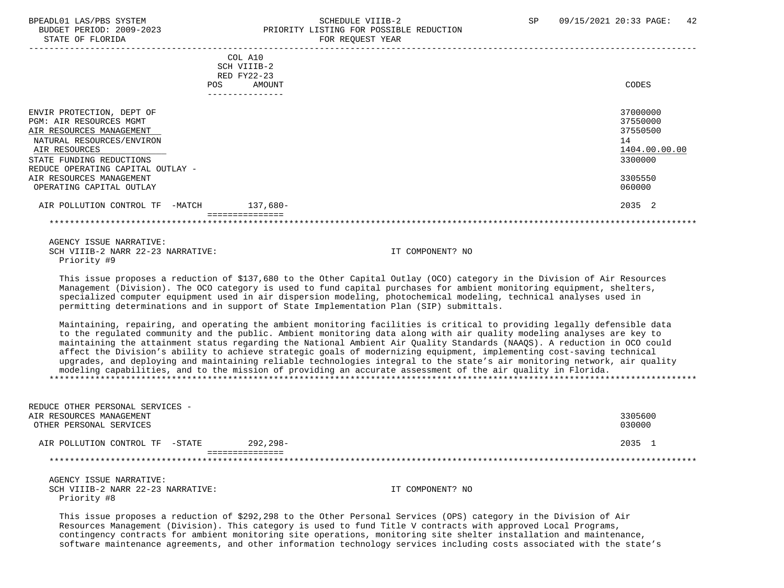STATE OF FLORIDA FOR REQUEST YEAR FOR REQUEST YEAR

### BPEADL01 LAS/PBS SYSTEM SALL SALL SCHEDULE VIIIB-2 SP 09/15/2021 20:33 PAGE: 42 BUDGET PERIOD: 2009-2023 PRIORITY LISTING FOR POSSIBLE REDUCTION

| COL A10<br>SCH VIIIB-2<br>RED FY22-23          |               |
|------------------------------------------------|---------------|
| AMOUNT<br>POS                                  | CODES         |
| --------                                       |               |
|                                                |               |
| ENVIR PROTECTION, DEPT OF                      | 37000000      |
| <b>PGM: AIR RESOURCES MGMT</b>                 | 37550000      |
| AIR RESOURCES MANAGEMENT                       | 37550500      |
| NATURAL RESOURCES/ENVIRON                      | 14            |
| AIR RESOURCES                                  | 1404.00.00.00 |
| STATE FUNDING REDUCTIONS                       | 3300000       |
| REDUCE OPERATING CAPITAL OUTLAY -              |               |
| AIR RESOURCES MANAGEMENT                       | 3305550       |
| OPERATING CAPITAL OUTLAY                       | 060000        |
| 137,680-<br>AIR POLLUTION CONTROL TF<br>-MATCH | 2035 2        |
|                                                |               |

 AGENCY ISSUE NARRATIVE: SCH VIIIB-2 NARR 22-23 NARRATIVE: IT COMPONENT? NO Priority #9

 This issue proposes a reduction of \$137,680 to the Other Capital Outlay (OCO) category in the Division of Air Resources Management (Division). The OCO category is used to fund capital purchases for ambient monitoring equipment, shelters, specialized computer equipment used in air dispersion modeling, photochemical modeling, technical analyses used in permitting determinations and in support of State Implementation Plan (SIP) submittals.

 Maintaining, repairing, and operating the ambient monitoring facilities is critical to providing legally defensible data to the regulated community and the public. Ambient monitoring data along with air quality modeling analyses are key to maintaining the attainment status regarding the National Ambient Air Quality Standards (NAAQS). A reduction in OCO could affect the Division's ability to achieve strategic goals of modernizing equipment, implementing cost-saving technical upgrades, and deploying and maintaining reliable technologies integral to the state's air monitoring network, air quality modeling capabilities, and to the mission of providing an accurate assessment of the air quality in Florida. \*\*\*\*\*\*\*\*\*\*\*\*\*\*\*\*\*\*\*\*\*\*\*\*\*\*\*\*\*\*\*\*\*\*\*\*\*\*\*\*\*\*\*\*\*\*\*\*\*\*\*\*\*\*\*\*\*\*\*\*\*\*\*\*\*\*\*\*\*\*\*\*\*\*\*\*\*\*\*\*\*\*\*\*\*\*\*\*\*\*\*\*\*\*\*\*\*\*\*\*\*\*\*\*\*\*\*\*\*\*\*\*\*\*\*\*\*\*\*\*\*\*\*\*\*\*\*

| REDUCE OTHER PERSONAL SERVICES -<br>AIR RESOURCES MANAGEMENT<br>OTHER PERSONAL SERVICES |          | 3305600<br>030000 |
|-----------------------------------------------------------------------------------------|----------|-------------------|
| AIR POLLUTION CONTROL TF -STATE                                                         | 292,298- | 2035 1            |
|                                                                                         |          |                   |

 AGENCY ISSUE NARRATIVE: SCH VIIIB-2 NARR 22-23 NARRATIVE: IT COMPONENT? NO Priority #8

 This issue proposes a reduction of \$292,298 to the Other Personal Services (OPS) category in the Division of Air Resources Management (Division). This category is used to fund Title V contracts with approved Local Programs, contingency contracts for ambient monitoring site operations, monitoring site shelter installation and maintenance, software maintenance agreements, and other information technology services including costs associated with the state's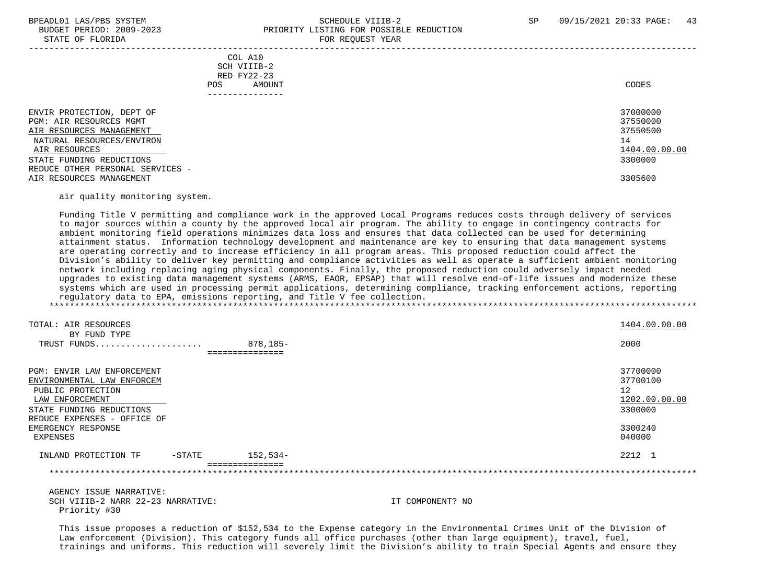#### BPEADL01 LAS/PBS SYSTEM SALL SALL SOMEDULE VIIIB-2 SP 09/15/2021 20:33 PAGE: 43 BUDGET PERIOD: 2009-2023 PRIORITY LISTING FOR POSSIBLE REDUCTION STATE OF FLORIDA **FOR REQUEST YEAR**

|                                                                                                                                                                                                |                                                         | 101111220111111 |                                                                    |
|------------------------------------------------------------------------------------------------------------------------------------------------------------------------------------------------|---------------------------------------------------------|-----------------|--------------------------------------------------------------------|
|                                                                                                                                                                                                | COL A10<br>SCH VIIIB-2<br>RED FY22-23<br>AMOUNT<br>POS. |                 | CODES                                                              |
| ENVIR PROTECTION, DEPT OF<br>PGM: AIR RESOURCES MGMT<br>AIR RESOURCES MANAGEMENT<br>NATURAL RESOURCES/ENVIRON<br>AIR RESOURCES<br>STATE FUNDING REDUCTIONS<br>REDUCE OTHER PERSONAL SERVICES - |                                                         |                 | 37000000<br>37550000<br>37550500<br>14<br>1404.00.00.00<br>3300000 |
| AIR RESOURCES MANAGEMENT                                                                                                                                                                       |                                                         |                 | 3305600                                                            |

#### air quality monitoring system.

 Funding Title V permitting and compliance work in the approved Local Programs reduces costs through delivery of services to major sources within a county by the approved local air program. The ability to engage in contingency contracts for ambient monitoring field operations minimizes data loss and ensures that data collected can be used for determining attainment status. Information technology development and maintenance are key to ensuring that data management systems are operating correctly and to increase efficiency in all program areas. This proposed reduction could affect the Division's ability to deliver key permitting and compliance activities as well as operate a sufficient ambient monitoring network including replacing aging physical components. Finally, the proposed reduction could adversely impact needed upgrades to existing data management systems (ARMS, EAOR, EPSAP) that will resolve end-of-life issues and modernize these systems which are used in processing permit applications, determining compliance, tracking enforcement actions, reporting regulatory data to EPA, emissions reporting, and Title V fee collection.

| TOTAL: AIR RESOURCES                                                                                                         |          |                 | 1404.00.00.00                                          |
|------------------------------------------------------------------------------------------------------------------------------|----------|-----------------|--------------------------------------------------------|
| BY FUND TYPE<br>TRUST FUNDS                                                                                                  |          | 878,185-        | 2000                                                   |
|                                                                                                                              |          | --------------- |                                                        |
| PGM: ENVIR LAW ENFORCEMENT<br>ENVIRONMENTAL LAW ENFORCEM<br>PUBLIC PROTECTION<br>LAW ENFORCEMENT<br>STATE FUNDING REDUCTIONS |          |                 | 37700000<br>37700100<br>12<br>1202.00.00.00<br>3300000 |
| REDUCE EXPENSES - OFFICE OF<br>EMERGENCY RESPONSE<br>EXPENSES                                                                |          |                 | 3300240<br>040000                                      |
| INLAND PROTECTION TF                                                                                                         | $-STATE$ | 152,534-        | 2212 1                                                 |
|                                                                                                                              |          |                 |                                                        |

 AGENCY ISSUE NARRATIVE: SCH VIIIB-2 NARR 22-23 NARRATIVE: IT COMPONENT? NO Priority #30

 This issue proposes a reduction of \$152,534 to the Expense category in the Environmental Crimes Unit of the Division of Law enforcement (Division). This category funds all office purchases (other than large equipment), travel, fuel, trainings and uniforms. This reduction will severely limit the Division's ability to train Special Agents and ensure they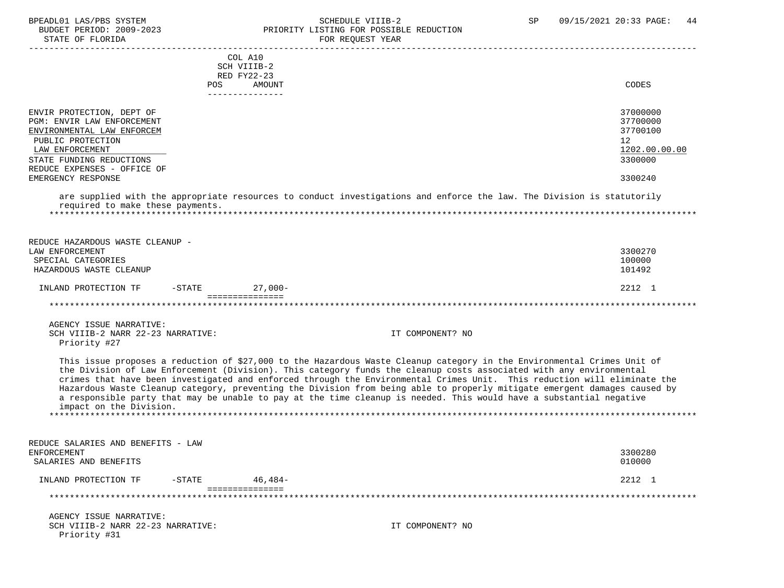#### BPEADL01 LAS/PBS SYSTEM SALLE STRID SCHEDULE VIIIB-2 SP 09/15/2021 20:33 PAGE: 44 BUDGET PERIOD: 2009-2023 PRIORITY LISTING FOR POSSIBLE REDUCTION FOR REQUEST YEAR

|                                                                                       | COL A10<br>SCH VIIIB-2  |                                                                                                                                                                                                                                                                                                                                                                                                                                                                                                                                                                                                                                |                                        |
|---------------------------------------------------------------------------------------|-------------------------|--------------------------------------------------------------------------------------------------------------------------------------------------------------------------------------------------------------------------------------------------------------------------------------------------------------------------------------------------------------------------------------------------------------------------------------------------------------------------------------------------------------------------------------------------------------------------------------------------------------------------------|----------------------------------------|
|                                                                                       | RED FY22-23             |                                                                                                                                                                                                                                                                                                                                                                                                                                                                                                                                                                                                                                |                                        |
|                                                                                       | <b>POS</b><br>AMOUNT    |                                                                                                                                                                                                                                                                                                                                                                                                                                                                                                                                                                                                                                | CODES                                  |
|                                                                                       | ---------------         |                                                                                                                                                                                                                                                                                                                                                                                                                                                                                                                                                                                                                                |                                        |
| ENVIR PROTECTION, DEPT OF<br>PGM: ENVIR LAW ENFORCEMENT<br>ENVIRONMENTAL LAW ENFORCEM |                         |                                                                                                                                                                                                                                                                                                                                                                                                                                                                                                                                                                                                                                | 37000000<br>37700000<br>37700100<br>12 |
| PUBLIC PROTECTION                                                                     |                         |                                                                                                                                                                                                                                                                                                                                                                                                                                                                                                                                                                                                                                |                                        |
| LAW ENFORCEMENT                                                                       |                         |                                                                                                                                                                                                                                                                                                                                                                                                                                                                                                                                                                                                                                | 1202.00.00.00                          |
| STATE FUNDING REDUCTIONS                                                              |                         |                                                                                                                                                                                                                                                                                                                                                                                                                                                                                                                                                                                                                                | 3300000                                |
| REDUCE EXPENSES - OFFICE OF<br>EMERGENCY RESPONSE                                     |                         |                                                                                                                                                                                                                                                                                                                                                                                                                                                                                                                                                                                                                                | 3300240                                |
| required to make these payments.<br>*****************************                     |                         | are supplied with the appropriate resources to conduct investigations and enforce the law. The Division is statutorily                                                                                                                                                                                                                                                                                                                                                                                                                                                                                                         |                                        |
| REDUCE HAZARDOUS WASTE CLEANUP -                                                      |                         |                                                                                                                                                                                                                                                                                                                                                                                                                                                                                                                                                                                                                                |                                        |
| LAW ENFORCEMENT                                                                       |                         |                                                                                                                                                                                                                                                                                                                                                                                                                                                                                                                                                                                                                                | 3300270                                |
| SPECIAL CATEGORIES                                                                    |                         |                                                                                                                                                                                                                                                                                                                                                                                                                                                                                                                                                                                                                                | 100000                                 |
| HAZARDOUS WASTE CLEANUP                                                               |                         |                                                                                                                                                                                                                                                                                                                                                                                                                                                                                                                                                                                                                                | 101492                                 |
|                                                                                       |                         |                                                                                                                                                                                                                                                                                                                                                                                                                                                                                                                                                                                                                                |                                        |
| INLAND PROTECTION TF                                                                  | $-$ STATE<br>$27.000 -$ |                                                                                                                                                                                                                                                                                                                                                                                                                                                                                                                                                                                                                                | 2212 1                                 |
|                                                                                       | ===============         |                                                                                                                                                                                                                                                                                                                                                                                                                                                                                                                                                                                                                                |                                        |
|                                                                                       |                         |                                                                                                                                                                                                                                                                                                                                                                                                                                                                                                                                                                                                                                |                                        |
| AGENCY ISSUE NARRATIVE:                                                               |                         |                                                                                                                                                                                                                                                                                                                                                                                                                                                                                                                                                                                                                                |                                        |
| SCH VIIIB-2 NARR 22-23 NARRATIVE:                                                     |                         | IT COMPONENT? NO                                                                                                                                                                                                                                                                                                                                                                                                                                                                                                                                                                                                               |                                        |
| Priority #27                                                                          |                         |                                                                                                                                                                                                                                                                                                                                                                                                                                                                                                                                                                                                                                |                                        |
| impact on the Division.                                                               |                         | This issue proposes a reduction of \$27,000 to the Hazardous Waste Cleanup category in the Environmental Crimes Unit of<br>the Division of Law Enforcement (Division). This category funds the cleanup costs associated with any environmental<br>crimes that have been investigated and enforced through the Environmental Crimes Unit. This reduction will eliminate the<br>Hazardous Waste Cleanup category, preventing the Division from being able to properly mitigate emergent damages caused by<br>a responsible party that may be unable to pay at the time cleanup is needed. This would have a substantial negative |                                        |
|                                                                                       |                         |                                                                                                                                                                                                                                                                                                                                                                                                                                                                                                                                                                                                                                |                                        |
| REDUCE SALARIES AND BENEFITS - LAW                                                    |                         |                                                                                                                                                                                                                                                                                                                                                                                                                                                                                                                                                                                                                                |                                        |
| <b>ENFORCEMENT</b>                                                                    |                         |                                                                                                                                                                                                                                                                                                                                                                                                                                                                                                                                                                                                                                | 3300280                                |
| SALARIES AND BENEFITS                                                                 |                         |                                                                                                                                                                                                                                                                                                                                                                                                                                                                                                                                                                                                                                | 010000                                 |
| INLAND PROTECTION TF                                                                  | $-STATE$<br>$46,484-$   |                                                                                                                                                                                                                                                                                                                                                                                                                                                                                                                                                                                                                                | 2212 1                                 |
|                                                                                       | ===============         |                                                                                                                                                                                                                                                                                                                                                                                                                                                                                                                                                                                                                                |                                        |
| AGENCY ISSUE NARRATIVE:                                                               |                         |                                                                                                                                                                                                                                                                                                                                                                                                                                                                                                                                                                                                                                |                                        |
| SCH VIIIB-2 NARR 22-23 NARRATIVE:<br>Priority #31                                     |                         | IT COMPONENT? NO                                                                                                                                                                                                                                                                                                                                                                                                                                                                                                                                                                                                               |                                        |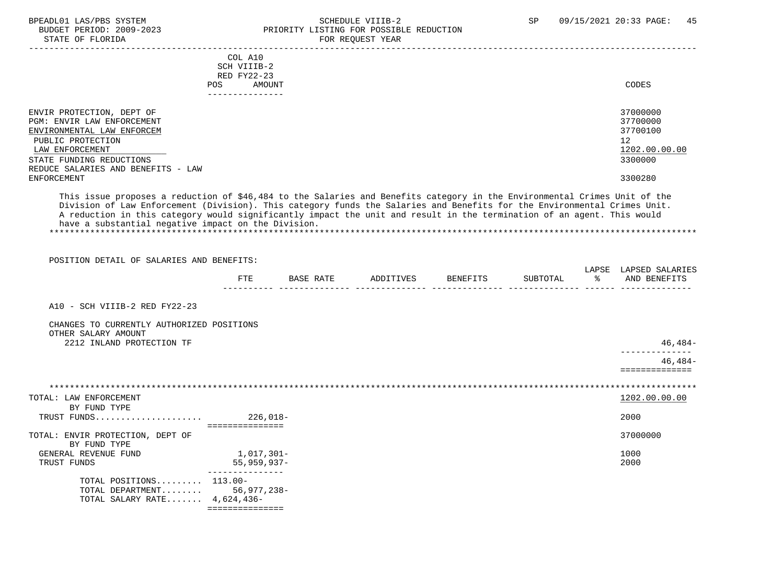### BPEADL01 LAS/PBS SYSTEM SALL SOME SCHEDULE VIIIB-2 SCHEDULE SP 09/15/2021 20:33 PAGE: 45 BUDGET PERIOD: 2009-2023 PRIORITY LISTING FOR POSSIBLE REDUCTION

| STATE OF FLORIDA                                                                                                                                                              |                               |           | FOR REQUEST YEAR   |          |                       |
|-------------------------------------------------------------------------------------------------------------------------------------------------------------------------------|-------------------------------|-----------|--------------------|----------|-----------------------|
|                                                                                                                                                                               | COL A10                       |           |                    |          |                       |
|                                                                                                                                                                               | SCH VIIIB-2                   |           |                    |          |                       |
|                                                                                                                                                                               | RED FY22-23                   |           |                    |          |                       |
|                                                                                                                                                                               | POS AMOUNT<br>_______________ |           |                    |          | CODES                 |
| ENVIR PROTECTION, DEPT OF                                                                                                                                                     |                               |           |                    |          | 37000000              |
| PGM: ENVIR LAW ENFORCEMENT                                                                                                                                                    |                               |           |                    |          | 37700000              |
| ENVIRONMENTAL LAW ENFORCEM                                                                                                                                                    |                               |           |                    |          | 37700100              |
| PUBLIC PROTECTION                                                                                                                                                             |                               |           |                    |          | $12 \overline{ }$     |
| LAW ENFORCEMENT                                                                                                                                                               |                               |           |                    |          | 1202.00.00.00         |
| STATE FUNDING REDUCTIONS                                                                                                                                                      |                               |           |                    |          | 3300000               |
| REDUCE SALARIES AND BENEFITS - LAW                                                                                                                                            |                               |           |                    |          |                       |
| <b>ENFORCEMENT</b>                                                                                                                                                            |                               |           |                    |          | 3300280               |
| A reduction in this category would significantly impact the unit and result in the termination of an agent. This would<br>have a substantial negative impact on the Division. |                               |           |                    |          |                       |
| POSITION DETAIL OF SALARIES AND BENEFITS:                                                                                                                                     |                               |           |                    |          | LAPSE LAPSED SALARIES |
|                                                                                                                                                                               | FTE                           | BASE RATE | ADDITIVES BENEFITS | SUBTOTAL | % AND BENEFITS        |
|                                                                                                                                                                               |                               |           |                    |          |                       |
| A10 - SCH VIIIB-2 RED FY22-23                                                                                                                                                 |                               |           |                    |          |                       |
| CHANGES TO CURRENTLY AUTHORIZED POSITIONS<br>OTHER SALARY AMOUNT                                                                                                              |                               |           |                    |          |                       |
| 2212 INLAND PROTECTION TF                                                                                                                                                     |                               |           |                    |          | $46,484-$             |
|                                                                                                                                                                               |                               |           |                    |          | $46.484-$             |
|                                                                                                                                                                               |                               |           |                    |          | ==============        |
|                                                                                                                                                                               |                               |           |                    |          |                       |
| TOTAL: LAW ENFORCEMENT                                                                                                                                                        |                               |           |                    |          | 1202.00.00.00         |
| BY FUND TYPE                                                                                                                                                                  |                               |           |                    |          |                       |
|                                                                                                                                                                               | ================              |           |                    |          | 2000                  |
| TOTAL: ENVIR PROTECTION, DEPT OF<br>BY FUND TYPE                                                                                                                              |                               |           |                    |          | 37000000              |
| GENERAL REVENUE FUND                                                                                                                                                          | 1,017,301-                    |           |                    |          | 1000                  |
| TRUST FUNDS                                                                                                                                                                   | 55,959,937-                   |           |                    |          | 2000                  |
| TOTAL POSITIONS 113.00-                                                                                                                                                       | ________________              |           |                    |          |                       |
| TOTAL DEPARTMENT 56,977,238-                                                                                                                                                  |                               |           |                    |          |                       |
| TOTAL SALARY RATE $4,624,436-$                                                                                                                                                |                               |           |                    |          |                       |
|                                                                                                                                                                               | ===============               |           |                    |          |                       |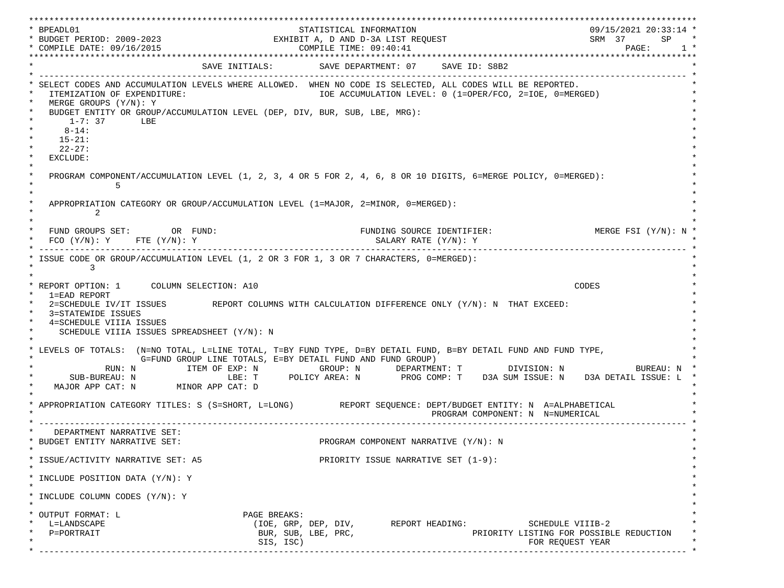\*\*\*\*\*\*\*\*\*\*\*\*\*\*\*\*\*\*\*\*\*\*\*\*\*\*\*\*\*\*\*\*\*\*\*\*\*\*\*\*\*\*\*\*\*\*\*\*\*\*\*\*\*\*\*\*\*\*\*\*\*\*\*\*\*\*\*\*\*\*\*\*\*\*\*\*\*\*\*\*\*\*\*\*\*\*\*\*\*\*\*\*\*\*\*\*\*\*\*\*\*\*\*\*\*\*\*\*\*\*\*\*\*\*\*\*\*\*\*\*\*\*\*\*\*\*\*\*\*\*\* \* BPEADL01 STATISTICAL INFORMATION 09/15/2021 20:33:14 \* \* BUDGET PERIOD: 2009-2023 EXHIBIT A, D AND D-3A LIST REQUEST SRM 37 SP \* \* COMPILE DATE: 09/16/2015 COMPILE TIME: 09:40:41 PAGE: 1 \* \*\*\*\*\*\*\*\*\*\*\*\*\*\*\*\*\*\*\*\*\*\*\*\*\*\*\*\*\*\*\*\*\*\*\*\*\*\*\*\*\*\*\*\*\*\*\*\*\*\*\*\*\*\*\*\*\*\*\*\*\*\*\*\*\*\*\*\*\*\*\*\*\*\*\*\*\*\*\*\*\*\*\*\*\*\*\*\*\*\*\*\*\*\*\*\*\*\*\*\*\*\*\*\*\*\*\*\*\*\*\*\*\*\*\*\*\*\*\*\*\*\*\*\*\*\*\*\*\*\*\* SAVE INITIALS: SAVE DEPARTMENT: 07 SAVE ID: S8B2 \* ------------------------------------------------------------------------------------------------------------------------------- \* SELECT CODES AND ACCUMULATION LEVELS WHERE ALLOWED. WHEN NO CODE IS SELECTED, ALL CODES WILL BE REPORTED. ITEMIZATION OF EXPENDITURE:  $\overline{10E}$  accumulation level: 0 (1=OPER/FCO, 2=IOE, 0=MERGED) MERGE GROUPS (Y/N): Y BUDGET ENTITY OR GROUP/ACCUMULATION LEVEL (DEP, DIV, BUR, SUB, LBE, MRG):  $*$  1-7: 37 LBE  $*$  $*$  8-14:  $*$  $*$  15-21:  $*$  $*$  22-27: \* \* EXCLUDE: \*  $\star$   $\star$  \* PROGRAM COMPONENT/ACCUMULATION LEVEL (1, 2, 3, 4 OR 5 FOR 2, 4, 6, 8 OR 10 DIGITS, 6=MERGE POLICY, 0=MERGED): \*  $\star$  5  $\star$  $\star$   $\star$ APPROPRIATION CATEGORY OR GROUP/ACCUMULATION LEVEL (1=MAJOR, 2=MINOR, 0=MERGED):  $\star$  2  $\star$  $\star$   $\star$ FUND GROUPS SET: OR FUND: THE SOURCE IDENTIFIER: MERGE FSI (Y/N): N  $FCO (Y/N): Y$  FTE  $(Y/N): Y$  SALARY RATE  $(Y/N): Y$  \* ------------------------------------------------------------------------------------------------------------------------------- \* ISSUE CODE OR GROUP/ACCUMULATION LEVEL (1, 2 OR 3 FOR 1, 3 OR 7 CHARACTERS, 0=MERGED):  $\star$  3  $\star$  $\star$   $\star$  \* REPORT OPTION: 1 COLUMN SELECTION: A10 CODES \* \* 1=EAD REPORT \* 2=SCHEDULE IV/IT ISSUES REPORT COLUMNS WITH CALCULATION DIFFERENCE ONLY (Y/N): N THAT EXCEED: 3=STATEWIDE ISSUES 4=SCHEDULE VIIIA ISSUES SCHEDULE VIIIA ISSUES SPREADSHEET (Y/N): N \* \* \* LEVELS OF TOTALS: (N=NO TOTAL, L=LINE TOTAL, T=BY FUND TYPE, D=BY DETAIL FUND, B=BY DETAIL FUND AND FUND TYPE, \* G=FUND GROUP LINE TOTALS, E=BY DETAIL FUND AND FUND GROUP) \* RUN: N ITEM OF EXP: N GROUP: N DEPARTMENT: T DIVISION: N BUREAU: N \* \* SUB-BUREAU: N LBE: T POLICY AREA: N PROG COMP: T D3A SUM ISSUE: N D3A DETAIL ISSUE: L \* MAJOR APP CAT: N MINOR APP CAT: D \* \* APPROPRIATION CATEGORY TITLES: S (S=SHORT, L=LONG) REPORT SEQUENCE: DEPT/BUDGET ENTITY: N A=ALPHABETICAL PROGRAM COMPONENT: N N=NUMERICAL \* ------------------------------------------------------------------------------------------------------------------------------- \* DEPARTMENT NARRATIVE SET:<br>BUDGET ENTITY NARRATIVE SET: PROGRAM COMPONENT NARRATIVE (Y/N): N \* \* \* ISSUE/ACTIVITY NARRATIVE SET: A5 PRIORITY ISSUE NARRATIVE SET (1-9): \*  $\star$   $\star$  \* INCLUDE POSITION DATA (Y/N): Y \* \* \* INCLUDE COLUMN CODES  $(Y/N): Y$  \* \* \* OUTPUT FORMAT: L PAGE BREAKS: L=LANDSCAPE (IOE, GRP, DEP, DIV, REPORT HEADING: SCHEDULE VIIIB-2  ${\tt P=PORTRAIT} \hspace{1.5cm} {\tt BUR, SUB, LBE, PRC,} \hspace{1.5cm} {\tt PRC} {\tt PRLORITY LISTING FOR POSSIBLE REDUCTION}$  $\text{SIS. ISC}$  isc) \* ------------------------------------------------------------------------------------------------------------------------------- \*